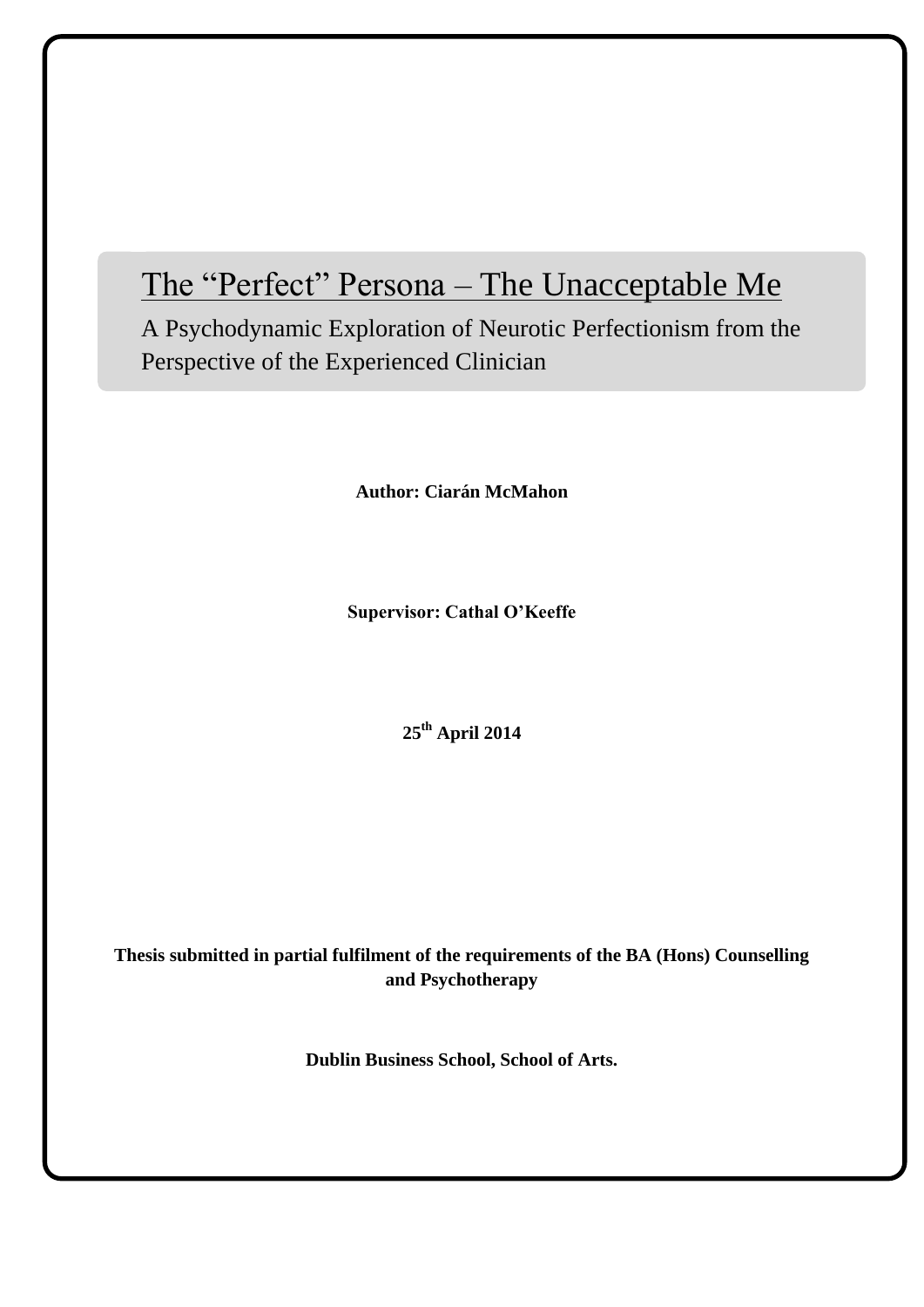# The "Perfect" Persona – The Unacceptable Me

A Psychodynamic Exploration of Neurotic Perfectionism from the Perspective of the Experienced Clinician

**Author: Ciarán McMahon**

**Supervisor: Cathal O'Keeffe**

**25th April 2014**

**Thesis submitted in partial fulfilment of the requirements of the BA (Hons) Counselling and Psychotherapy**

**Dublin Business School, School of Arts.**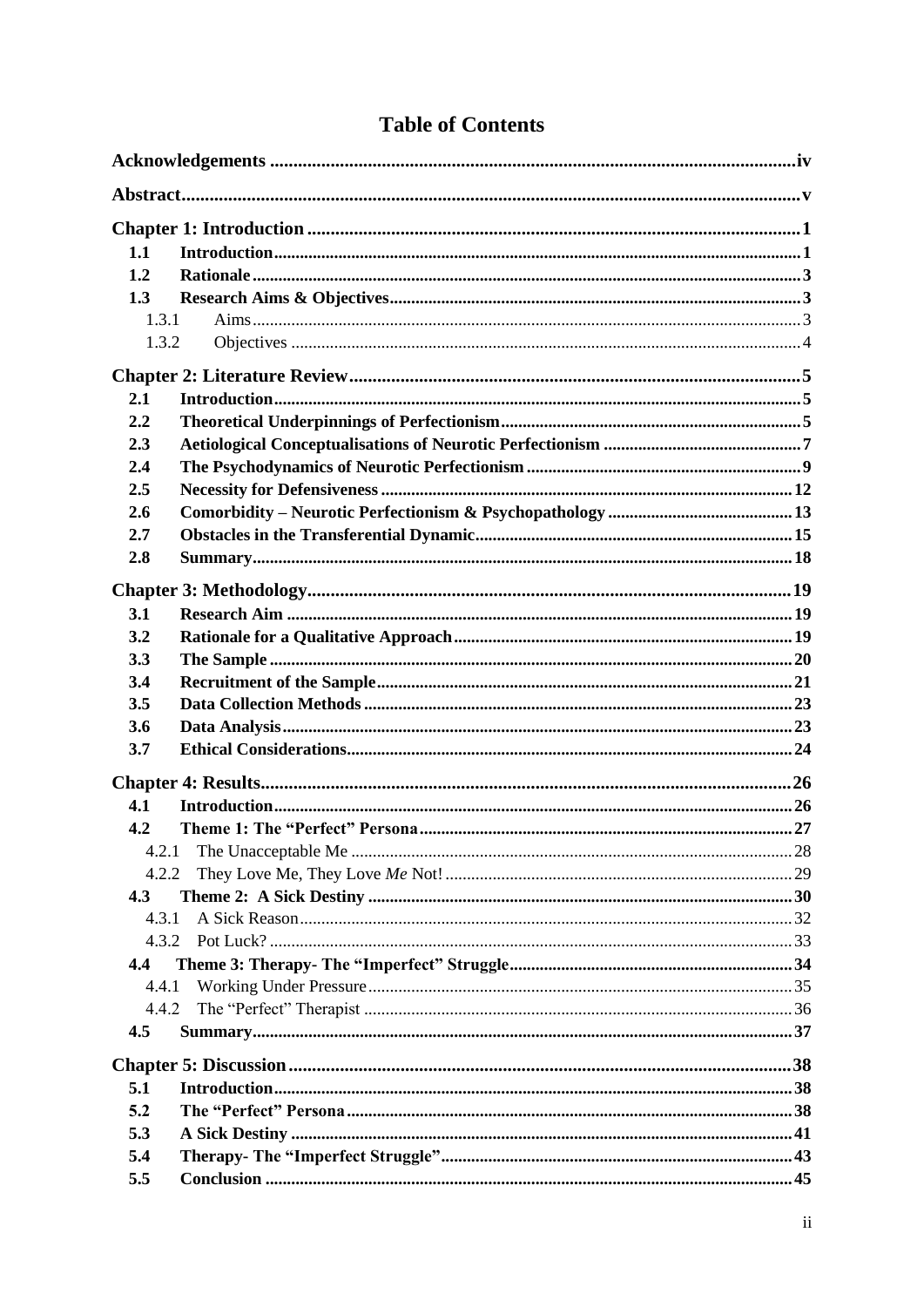| 1.1          |  |
|--------------|--|
| 1.2          |  |
| 1.3          |  |
| 1.3.1        |  |
| 1.3.2        |  |
|              |  |
| 2.1          |  |
| 2.2          |  |
| 2.3          |  |
| 2.4          |  |
| 2.5          |  |
| 2.6          |  |
| 2.7          |  |
| 2.8          |  |
|              |  |
| 3.1          |  |
| 3.2          |  |
| 3.3          |  |
| 3.4          |  |
| 3.5          |  |
| 3.6          |  |
| 3.7          |  |
|              |  |
| 4.1          |  |
| 4.2          |  |
| 4.2.1        |  |
|              |  |
| 4.2.2<br>4.3 |  |
| 4.3.1        |  |
| 4.3.2        |  |
| 4.4          |  |
| 4.4.1        |  |
| 4.4.2        |  |
| 4.5          |  |
|              |  |
|              |  |
| 5.1          |  |
| 5.2          |  |
| 5.3          |  |
| 5.4          |  |
| 5.5          |  |

# **Table of Contents**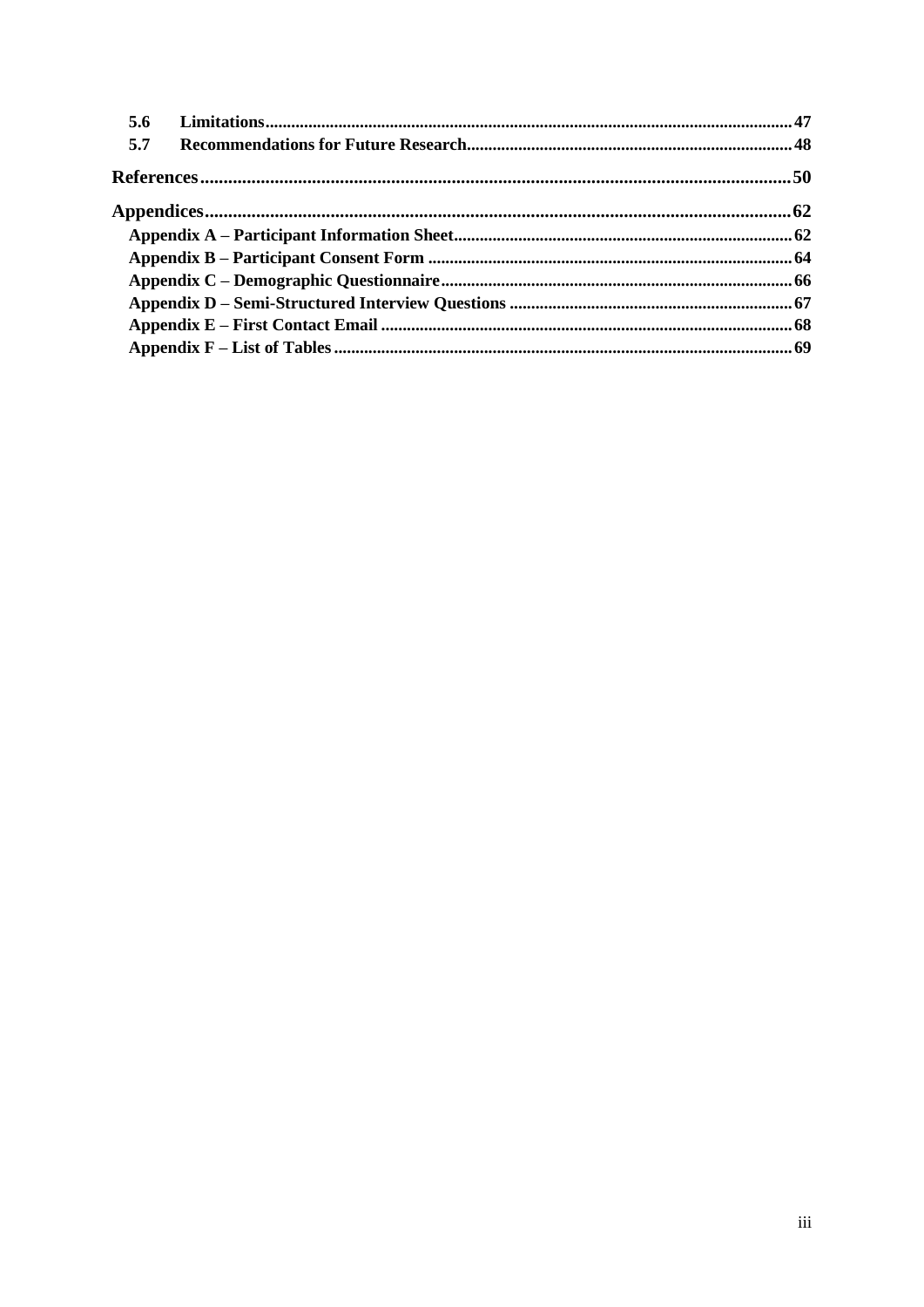| 5.6 |  |
|-----|--|
| 5.7 |  |
|     |  |
|     |  |
|     |  |
|     |  |
|     |  |
|     |  |
|     |  |
|     |  |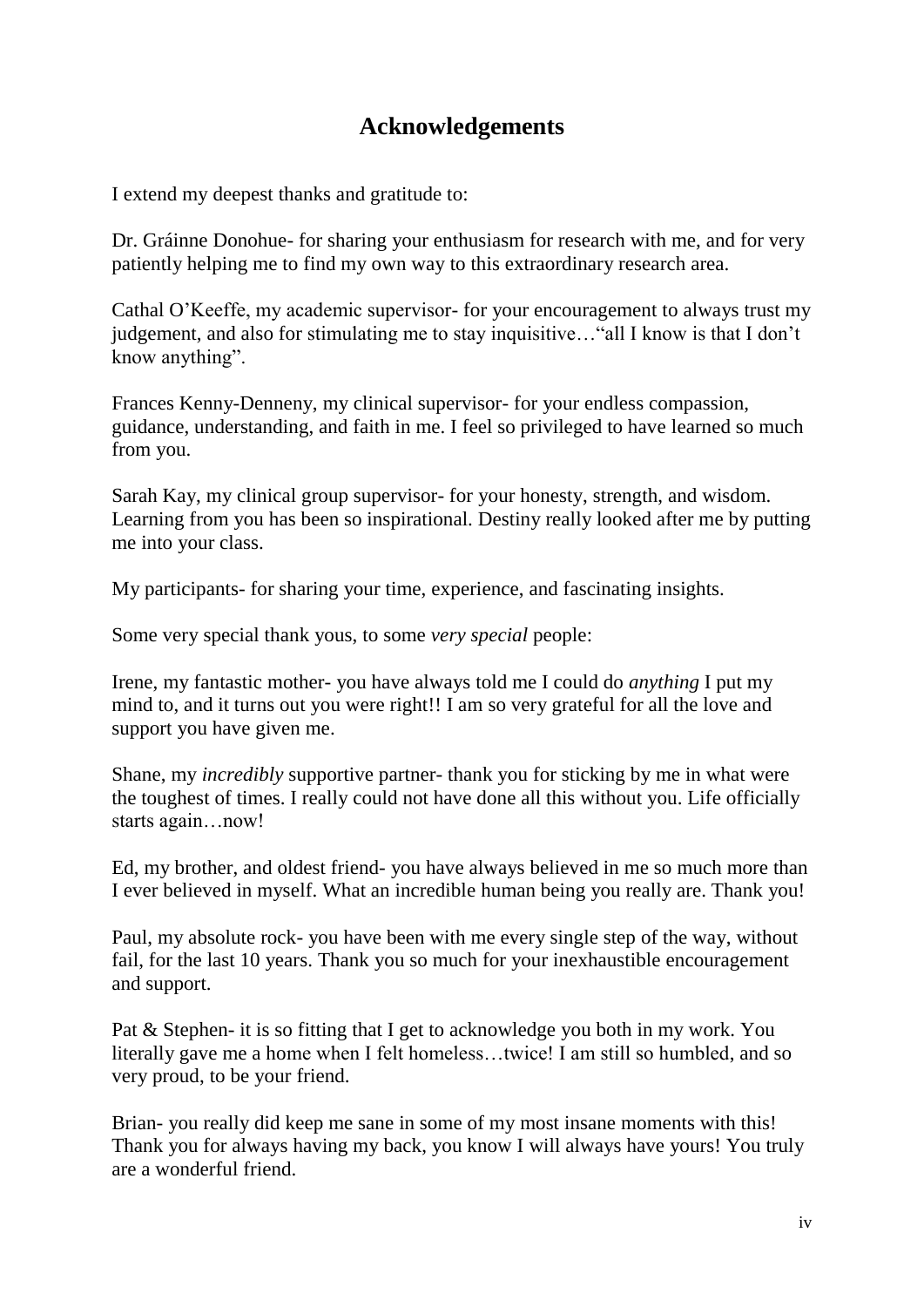# **Acknowledgements**

<span id="page-3-0"></span>I extend my deepest thanks and gratitude to:

Dr. Gráinne Donohue- for sharing your enthusiasm for research with me, and for very patiently helping me to find my own way to this extraordinary research area.

Cathal O"Keeffe, my academic supervisor- for your encouragement to always trust my judgement, and also for stimulating me to stay inquisitive... "all I know is that I don't know anything".

Frances Kenny-Denneny, my clinical supervisor- for your endless compassion, guidance, understanding, and faith in me. I feel so privileged to have learned so much from you.

Sarah Kay, my clinical group supervisor- for your honesty, strength, and wisdom. Learning from you has been so inspirational. Destiny really looked after me by putting me into your class.

My participants- for sharing your time, experience, and fascinating insights.

Some very special thank yous, to some *very special* people:

Irene, my fantastic mother- you have always told me I could do *anything* I put my mind to, and it turns out you were right!! I am so very grateful for all the love and support you have given me.

Shane, my *incredibly* supportive partner- thank you for sticking by me in what were the toughest of times. I really could not have done all this without you. Life officially starts again…now!

Ed, my brother, and oldest friend- you have always believed in me so much more than I ever believed in myself. What an incredible human being you really are. Thank you!

Paul, my absolute rock- you have been with me every single step of the way, without fail, for the last 10 years. Thank you so much for your inexhaustible encouragement and support.

Pat & Stephen- it is so fitting that I get to acknowledge you both in my work. You literally gave me a home when I felt homeless…twice! I am still so humbled, and so very proud, to be your friend.

Brian- you really did keep me sane in some of my most insane moments with this! Thank you for always having my back, you know I will always have yours! You truly are a wonderful friend.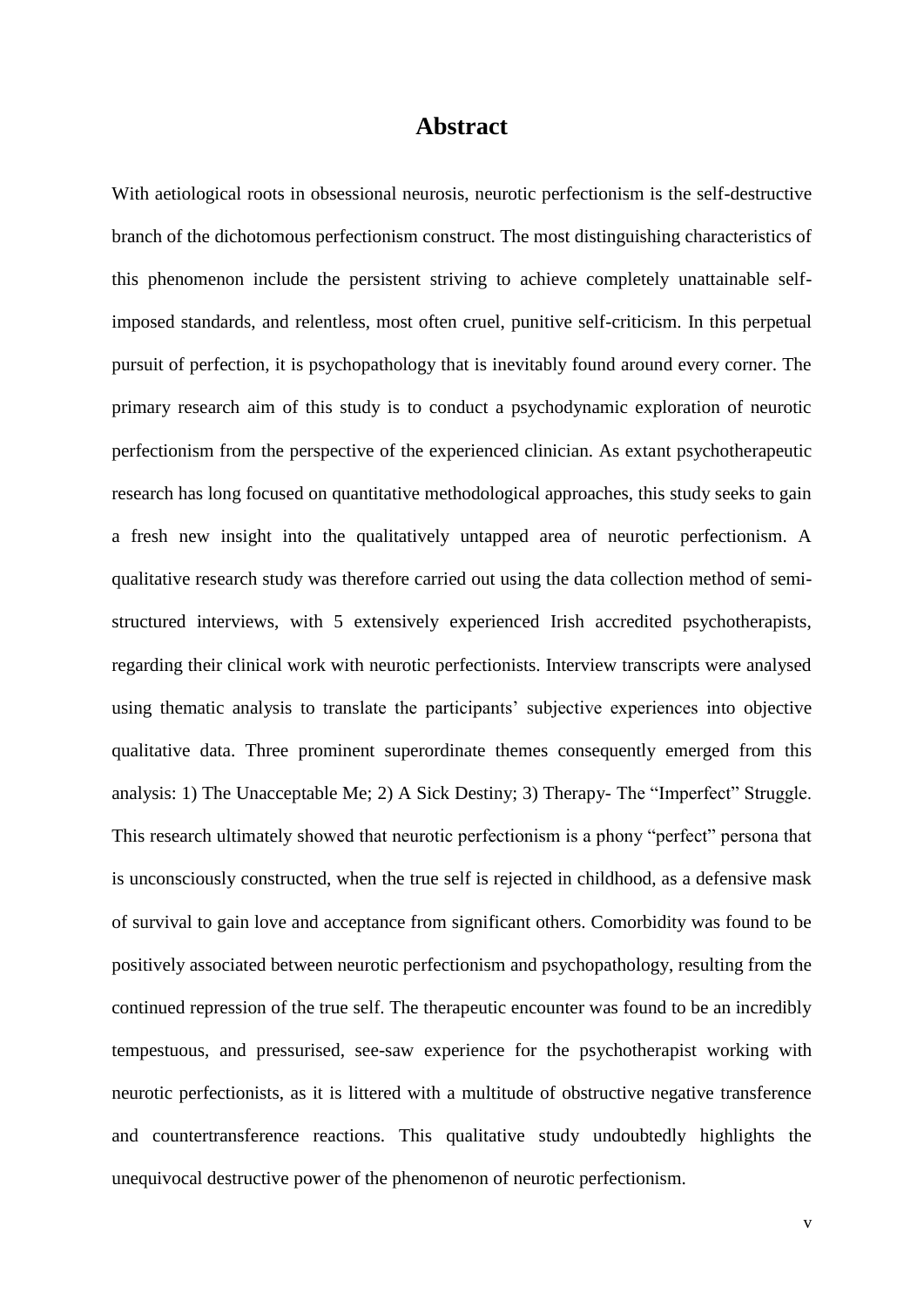### **Abstract**

<span id="page-4-0"></span>With aetiological roots in obsessional neurosis, neurotic perfectionism is the self-destructive branch of the dichotomous perfectionism construct. The most distinguishing characteristics of this phenomenon include the persistent striving to achieve completely unattainable selfimposed standards, and relentless, most often cruel, punitive self-criticism. In this perpetual pursuit of perfection, it is psychopathology that is inevitably found around every corner. The primary research aim of this study is to conduct a psychodynamic exploration of neurotic perfectionism from the perspective of the experienced clinician. As extant psychotherapeutic research has long focused on quantitative methodological approaches, this study seeks to gain a fresh new insight into the qualitatively untapped area of neurotic perfectionism. A qualitative research study was therefore carried out using the data collection method of semistructured interviews, with 5 extensively experienced Irish accredited psychotherapists, regarding their clinical work with neurotic perfectionists. Interview transcripts were analysed using thematic analysis to translate the participants' subjective experiences into objective qualitative data. Three prominent superordinate themes consequently emerged from this analysis: 1) The Unacceptable Me; 2) A Sick Destiny; 3) Therapy- The "Imperfect" Struggle. This research ultimately showed that neurotic perfectionism is a phony "perfect" persona that is unconsciously constructed, when the true self is rejected in childhood, as a defensive mask of survival to gain love and acceptance from significant others. Comorbidity was found to be positively associated between neurotic perfectionism and psychopathology, resulting from the continued repression of the true self. The therapeutic encounter was found to be an incredibly tempestuous, and pressurised, see-saw experience for the psychotherapist working with neurotic perfectionists, as it is littered with a multitude of obstructive negative transference and countertransference reactions. This qualitative study undoubtedly highlights the unequivocal destructive power of the phenomenon of neurotic perfectionism.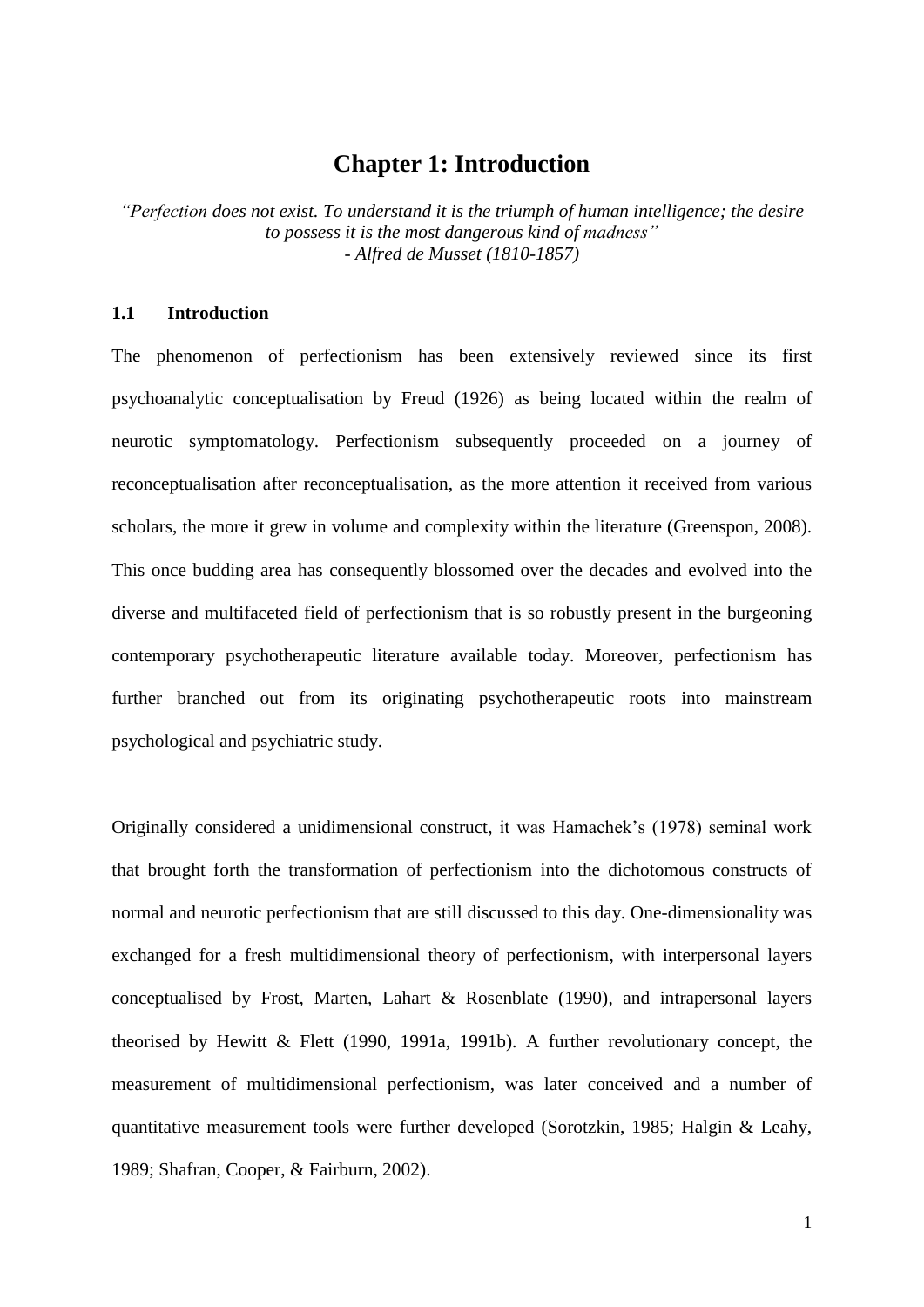# **Chapter 1: Introduction**

<span id="page-5-0"></span>*"Perfection does not exist. To understand it is the triumph of human intelligence; the desire to possess it is the most dangerous kind of madness" - Alfred de Musset (1810-1857)*

#### <span id="page-5-1"></span>**1.1 Introduction**

The phenomenon of perfectionism has been extensively reviewed since its first psychoanalytic conceptualisation by Freud (1926) as being located within the realm of neurotic symptomatology. Perfectionism subsequently proceeded on a journey of reconceptualisation after reconceptualisation, as the more attention it received from various scholars, the more it grew in volume and complexity within the literature (Greenspon, 2008). This once budding area has consequently blossomed over the decades and evolved into the diverse and multifaceted field of perfectionism that is so robustly present in the burgeoning contemporary psychotherapeutic literature available today. Moreover, perfectionism has further branched out from its originating psychotherapeutic roots into mainstream psychological and psychiatric study.

Originally considered a unidimensional construct, it was Hamachek"s (1978) seminal work that brought forth the transformation of perfectionism into the dichotomous constructs of normal and neurotic perfectionism that are still discussed to this day. One-dimensionality was exchanged for a fresh multidimensional theory of perfectionism, with interpersonal layers conceptualised by Frost, Marten, Lahart & Rosenblate (1990), and intrapersonal layers theorised by Hewitt & Flett (1990, 1991a, 1991b). A further revolutionary concept, the measurement of multidimensional perfectionism, was later conceived and a number of quantitative measurement tools were further developed (Sorotzkin, 1985; Halgin & Leahy, 1989; Shafran, Cooper, & Fairburn, 2002).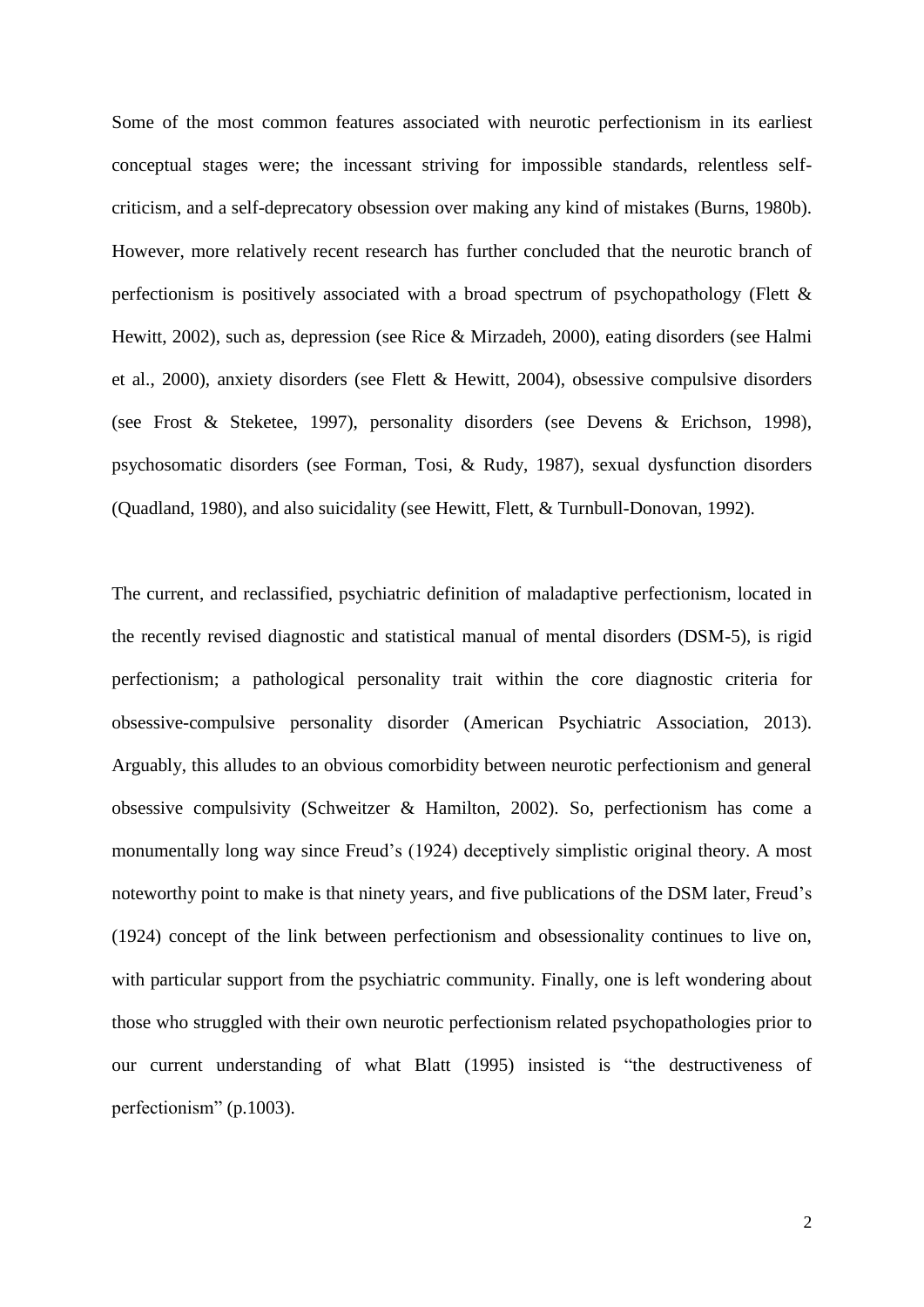Some of the most common features associated with neurotic perfectionism in its earliest conceptual stages were; the incessant striving for impossible standards, relentless selfcriticism, and a self-deprecatory obsession over making any kind of mistakes (Burns, 1980b). However, more relatively recent research has further concluded that the neurotic branch of perfectionism is positively associated with a broad spectrum of psychopathology (Flett & Hewitt, 2002), such as, depression (see Rice & Mirzadeh, 2000), eating disorders (see Halmi et al., 2000), anxiety disorders (see Flett & Hewitt, 2004), obsessive compulsive disorders (see Frost & Steketee, 1997), personality disorders (see Devens & Erichson, 1998), psychosomatic disorders (see Forman, Tosi, & Rudy, 1987), sexual dysfunction disorders (Quadland, 1980), and also suicidality (see Hewitt, Flett, & Turnbull-Donovan, 1992).

The current, and reclassified, psychiatric definition of maladaptive perfectionism, located in the recently revised diagnostic and statistical manual of mental disorders (DSM-5), is rigid perfectionism; a pathological personality trait within the core diagnostic criteria for obsessive-compulsive personality disorder (American Psychiatric Association, 2013). Arguably, this alludes to an obvious comorbidity between neurotic perfectionism and general obsessive compulsivity (Schweitzer & Hamilton, 2002). So, perfectionism has come a monumentally long way since Freud"s (1924) deceptively simplistic original theory. A most noteworthy point to make is that ninety years, and five publications of the DSM later, Freud"s (1924) concept of the link between perfectionism and obsessionality continues to live on, with particular support from the psychiatric community. Finally, one is left wondering about those who struggled with their own neurotic perfectionism related psychopathologies prior to our current understanding of what Blatt (1995) insisted is "the destructiveness of perfectionism" (p.1003).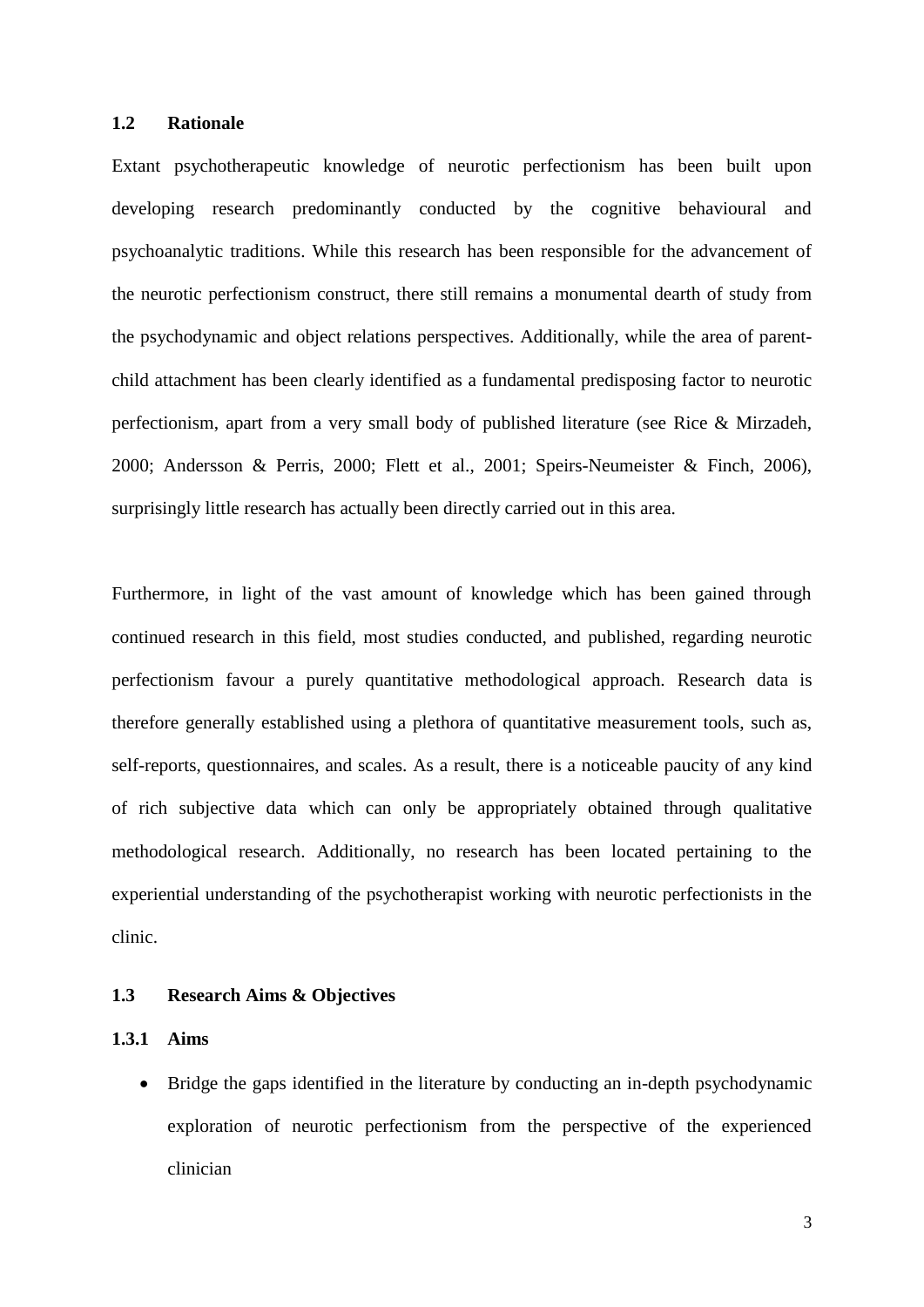#### <span id="page-7-0"></span>**1.2 Rationale**

Extant psychotherapeutic knowledge of neurotic perfectionism has been built upon developing research predominantly conducted by the cognitive behavioural and psychoanalytic traditions. While this research has been responsible for the advancement of the neurotic perfectionism construct, there still remains a monumental dearth of study from the psychodynamic and object relations perspectives. Additionally, while the area of parentchild attachment has been clearly identified as a fundamental predisposing factor to neurotic perfectionism, apart from a very small body of published literature (see Rice & Mirzadeh, 2000; Andersson & Perris, 2000; Flett et al., 2001; Speirs-Neumeister & Finch, 2006), surprisingly little research has actually been directly carried out in this area.

Furthermore, in light of the vast amount of knowledge which has been gained through continued research in this field, most studies conducted, and published, regarding neurotic perfectionism favour a purely quantitative methodological approach. Research data is therefore generally established using a plethora of quantitative measurement tools, such as, self-reports, questionnaires, and scales. As a result, there is a noticeable paucity of any kind of rich subjective data which can only be appropriately obtained through qualitative methodological research. Additionally, no research has been located pertaining to the experiential understanding of the psychotherapist working with neurotic perfectionists in the clinic.

#### <span id="page-7-1"></span>**1.3 Research Aims & Objectives**

#### <span id="page-7-2"></span>**1.3.1 Aims**

 Bridge the gaps identified in the literature by conducting an in-depth psychodynamic exploration of neurotic perfectionism from the perspective of the experienced clinician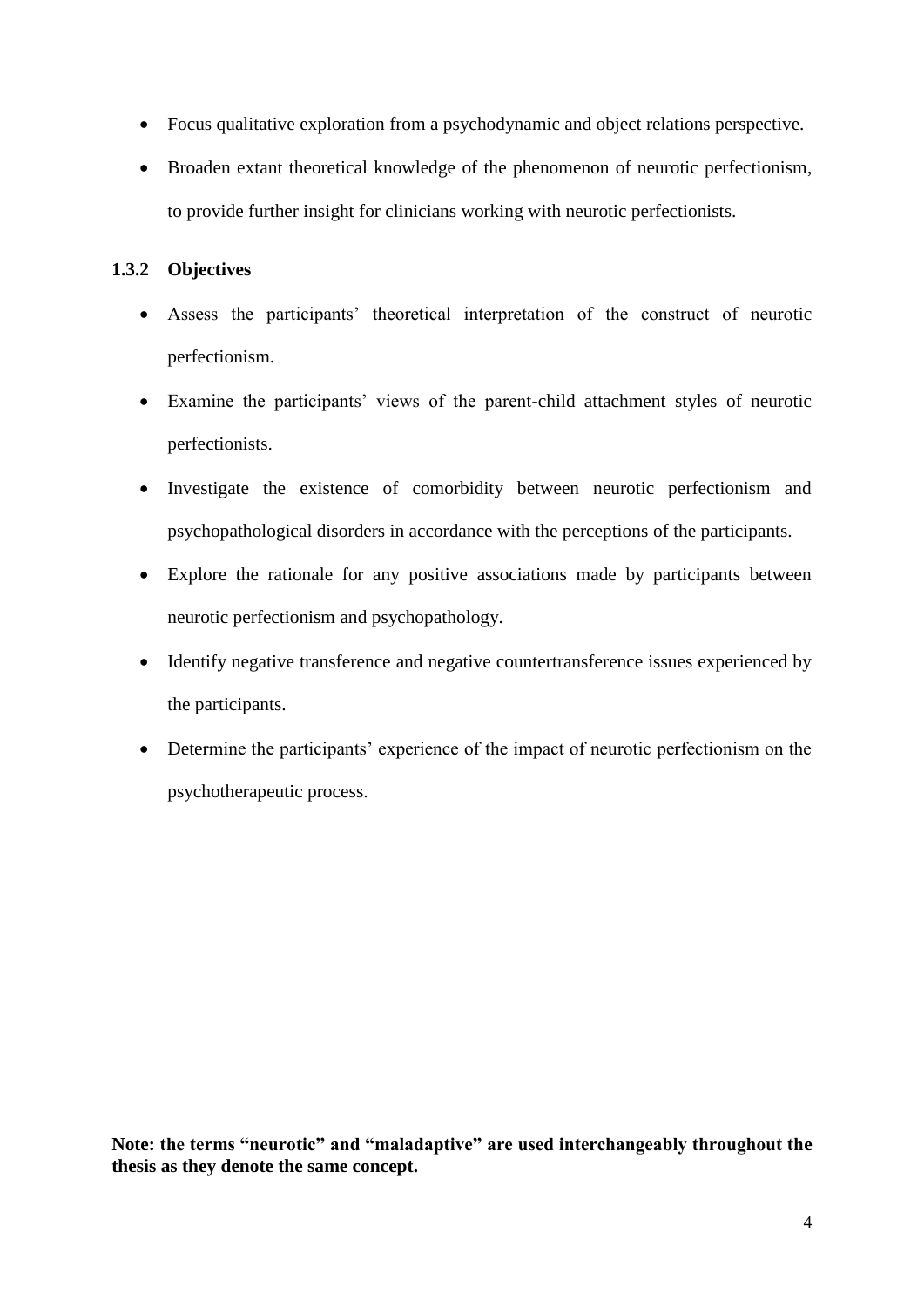- Focus qualitative exploration from a psychodynamic and object relations perspective.
- Broaden extant theoretical knowledge of the phenomenon of neurotic perfectionism, to provide further insight for clinicians working with neurotic perfectionists.

## <span id="page-8-0"></span>**1.3.2 Objectives**

- Assess the participants" theoretical interpretation of the construct of neurotic perfectionism.
- Examine the participants' views of the parent-child attachment styles of neurotic perfectionists.
- Investigate the existence of comorbidity between neurotic perfectionism and psychopathological disorders in accordance with the perceptions of the participants.
- Explore the rationale for any positive associations made by participants between neurotic perfectionism and psychopathology.
- Identify negative transference and negative countertransference issues experienced by the participants.
- Determine the participants' experience of the impact of neurotic perfectionism on the psychotherapeutic process.

**Note: the terms "neurotic" and "maladaptive" are used interchangeably throughout the thesis as they denote the same concept.**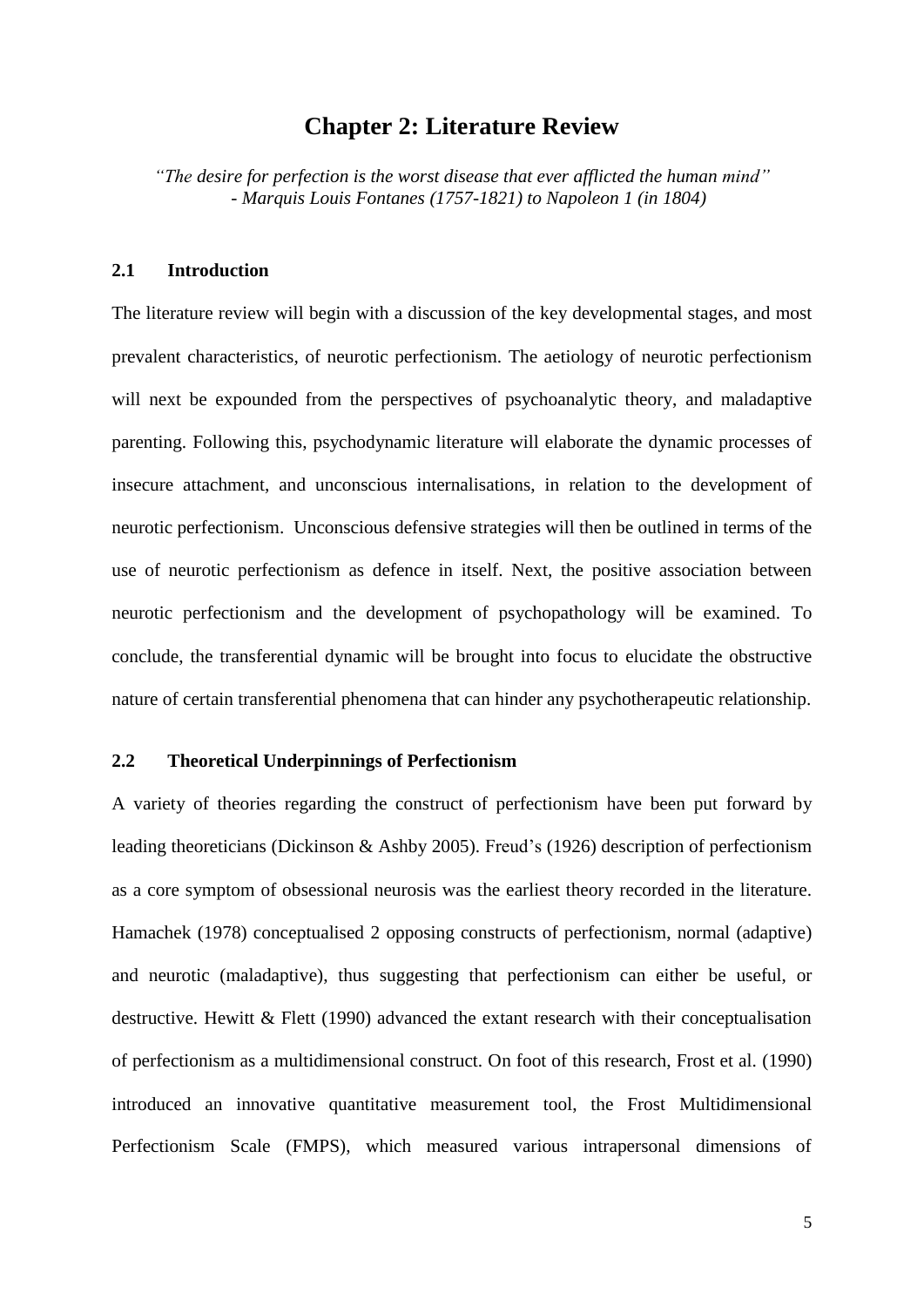### **Chapter 2: Literature Review**

<span id="page-9-0"></span>*"The desire for perfection is the worst disease that ever afflicted the human mind" - Marquis Louis Fontanes (1757-1821) to Napoleon 1 (in 1804)*

#### <span id="page-9-1"></span>**2.1 Introduction**

The literature review will begin with a discussion of the key developmental stages, and most prevalent characteristics, of neurotic perfectionism. The aetiology of neurotic perfectionism will next be expounded from the perspectives of psychoanalytic theory, and maladaptive parenting. Following this, psychodynamic literature will elaborate the dynamic processes of insecure attachment, and unconscious internalisations, in relation to the development of neurotic perfectionism. Unconscious defensive strategies will then be outlined in terms of the use of neurotic perfectionism as defence in itself. Next, the positive association between neurotic perfectionism and the development of psychopathology will be examined. To conclude, the transferential dynamic will be brought into focus to elucidate the obstructive nature of certain transferential phenomena that can hinder any psychotherapeutic relationship.

#### <span id="page-9-2"></span>**2.2 Theoretical Underpinnings of Perfectionism**

A variety of theories regarding the construct of perfectionism have been put forward by leading theoreticians (Dickinson & Ashby 2005). Freud"s (1926) description of perfectionism as a core symptom of obsessional neurosis was the earliest theory recorded in the literature. Hamachek (1978) conceptualised 2 opposing constructs of perfectionism, normal (adaptive) and neurotic (maladaptive), thus suggesting that perfectionism can either be useful, or destructive. Hewitt & Flett (1990) advanced the extant research with their conceptualisation of perfectionism as a multidimensional construct. On foot of this research, Frost et al. (1990) introduced an innovative quantitative measurement tool, the Frost Multidimensional Perfectionism Scale (FMPS), which measured various intrapersonal dimensions of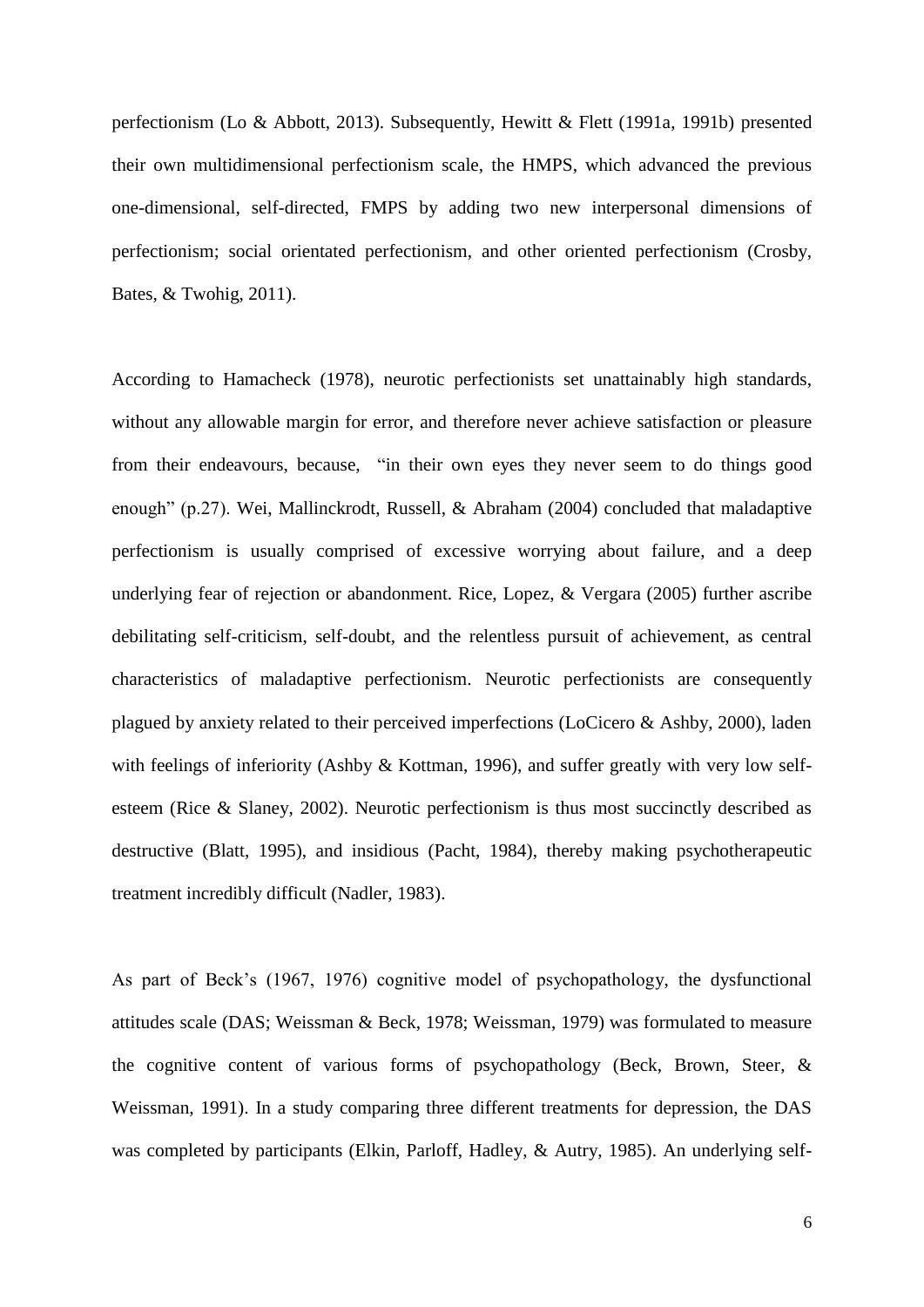perfectionism (Lo & Abbott, 2013). Subsequently, Hewitt & Flett (1991a, 1991b) presented their own multidimensional perfectionism scale, the HMPS, which advanced the previous one-dimensional, self-directed, FMPS by adding two new interpersonal dimensions of perfectionism; social orientated perfectionism, and other oriented perfectionism (Crosby, Bates, & Twohig, 2011).

According to Hamacheck (1978), neurotic perfectionists set unattainably high standards, without any allowable margin for error, and therefore never achieve satisfaction or pleasure from their endeavours, because, "in their own eyes they never seem to do things good enough" (p.27). Wei, Mallinckrodt, Russell, & Abraham (2004) concluded that maladaptive perfectionism is usually comprised of excessive worrying about failure, and a deep underlying fear of rejection or abandonment. Rice, Lopez, & Vergara (2005) further ascribe debilitating self-criticism, self-doubt, and the relentless pursuit of achievement, as central characteristics of maladaptive perfectionism. Neurotic perfectionists are consequently plagued by anxiety related to their perceived imperfections (LoCicero & Ashby, 2000), laden with feelings of inferiority (Ashby & Kottman, 1996), and suffer greatly with very low selfesteem (Rice & Slaney, 2002). Neurotic perfectionism is thus most succinctly described as destructive (Blatt, 1995), and insidious (Pacht, 1984), thereby making psychotherapeutic treatment incredibly difficult (Nadler, 1983).

As part of Beck"s (1967, 1976) cognitive model of psychopathology, the dysfunctional attitudes scale (DAS; Weissman & Beck, 1978; Weissman, 1979) was formulated to measure the cognitive content of various forms of psychopathology (Beck, Brown, Steer, & Weissman, 1991). In a study comparing three different treatments for depression, the DAS was completed by participants (Elkin, Parloff, Hadley, & Autry, 1985). An underlying self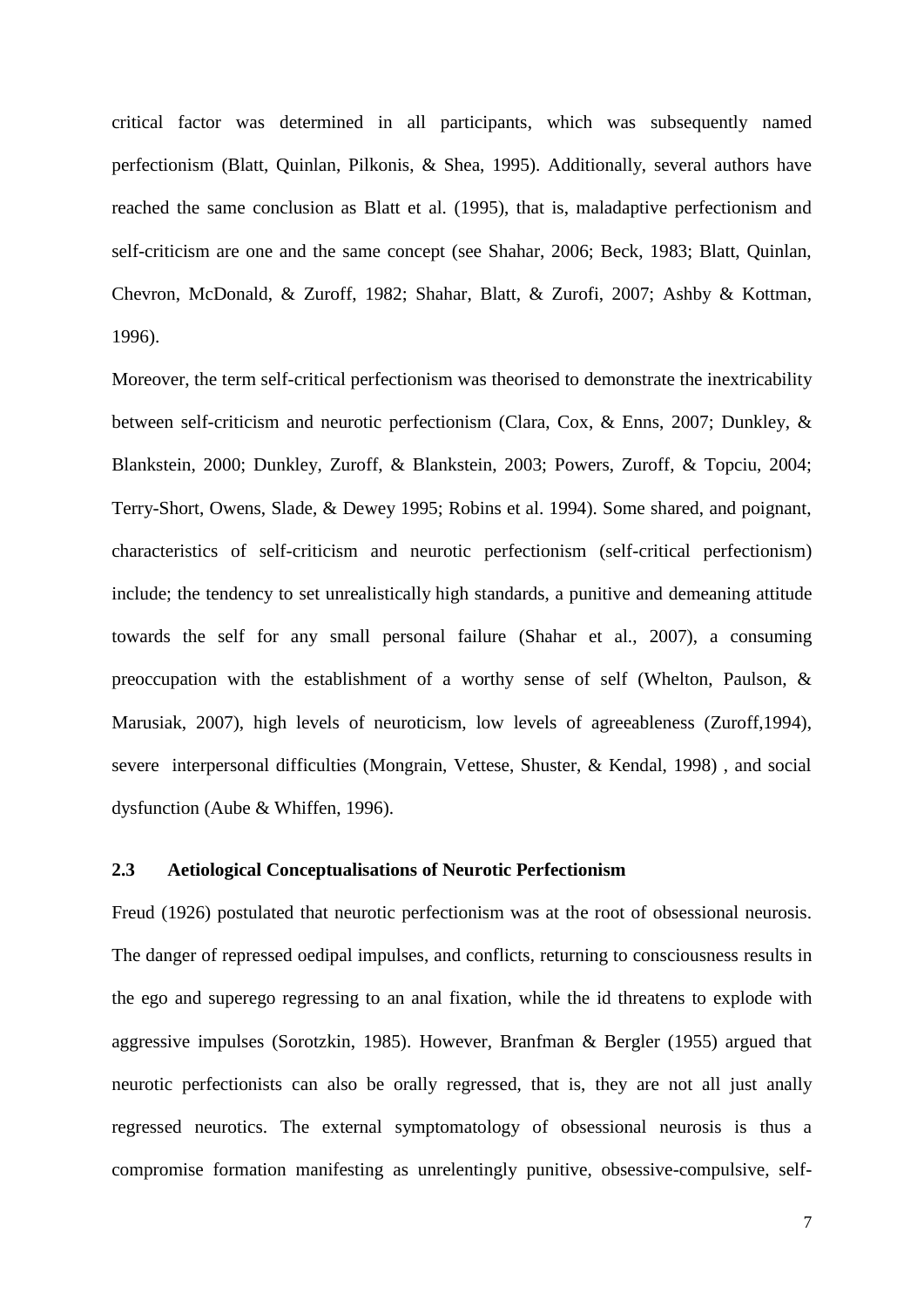critical factor was determined in all participants, which was subsequently named perfectionism (Blatt, Quinlan, Pilkonis, & Shea, 1995). Additionally, several authors have reached the same conclusion as Blatt et al. (1995), that is, maladaptive perfectionism and self-criticism are one and the same concept (see Shahar, 2006; Beck, 1983; Blatt, Quinlan, Chevron, McDonald, & Zuroff, 1982; Shahar, Blatt, & Zurofi, 2007; Ashby & Kottman, 1996).

Moreover, the term self-critical perfectionism was theorised to demonstrate the inextricability between self-criticism and neurotic perfectionism (Clara, Cox, & Enns, 2007; Dunkley, & Blankstein, 2000; Dunkley, Zuroff, & Blankstein, 2003; Powers, Zuroff, & Topciu, 2004; Terry-Short, Owens, Slade, & Dewey 1995; Robins et al. 1994). Some shared, and poignant, characteristics of self-criticism and neurotic perfectionism (self-critical perfectionism) include; the tendency to set unrealistically high standards, a punitive and demeaning attitude towards the self for any small personal failure (Shahar et al., 2007), a consuming preoccupation with the establishment of a worthy sense of self (Whelton, Paulson, & Marusiak, 2007), high levels of neuroticism, low levels of agreeableness (Zuroff,1994), severe interpersonal difficulties (Mongrain, Vettese, Shuster, & Kendal, 1998) , and social dysfunction (Aube & Whiffen, 1996).

#### <span id="page-11-0"></span>**2.3 Aetiological Conceptualisations of Neurotic Perfectionism**

Freud (1926) postulated that neurotic perfectionism was at the root of obsessional neurosis. The danger of repressed oedipal impulses, and conflicts, returning to consciousness results in the ego and superego regressing to an anal fixation, while the id threatens to explode with aggressive impulses (Sorotzkin, 1985). However, Branfman & Bergler (1955) argued that neurotic perfectionists can also be orally regressed, that is, they are not all just anally regressed neurotics. The external symptomatology of obsessional neurosis is thus a compromise formation manifesting as unrelentingly punitive, obsessive-compulsive, self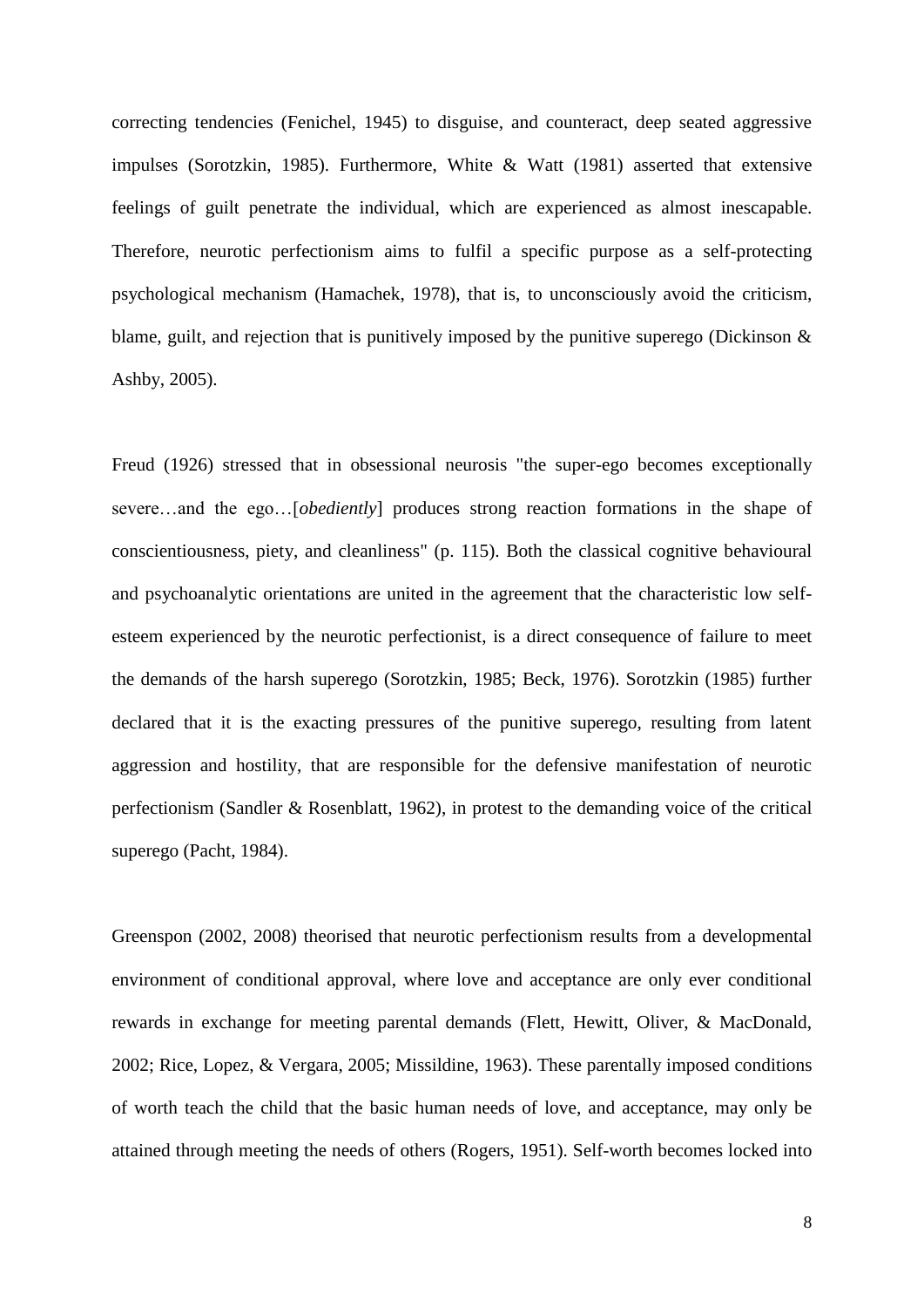correcting tendencies (Fenichel, 1945) to disguise, and counteract, deep seated aggressive impulses (Sorotzkin, 1985). Furthermore, White & Watt (1981) asserted that extensive feelings of guilt penetrate the individual, which are experienced as almost inescapable. Therefore, neurotic perfectionism aims to fulfil a specific purpose as a self-protecting psychological mechanism (Hamachek, 1978), that is, to unconsciously avoid the criticism, blame, guilt, and rejection that is punitively imposed by the punitive superego (Dickinson & Ashby, 2005).

Freud (1926) stressed that in obsessional neurosis "the super-ego becomes exceptionally severe…and the ego…[*obediently*] produces strong reaction formations in the shape of conscientiousness, piety, and cleanliness" (p. 115). Both the classical cognitive behavioural and psychoanalytic orientations are united in the agreement that the characteristic low selfesteem experienced by the neurotic perfectionist, is a direct consequence of failure to meet the demands of the harsh superego (Sorotzkin, 1985; Beck, 1976). Sorotzkin (1985) further declared that it is the exacting pressures of the punitive superego, resulting from latent aggression and hostility, that are responsible for the defensive manifestation of neurotic perfectionism (Sandler & Rosenblatt, 1962), in protest to the demanding voice of the critical superego (Pacht, 1984).

Greenspon (2002, 2008) theorised that neurotic perfectionism results from a developmental environment of conditional approval, where love and acceptance are only ever conditional rewards in exchange for meeting parental demands (Flett, Hewitt, Oliver, & MacDonald, 2002; Rice, Lopez, & Vergara, 2005; Missildine, 1963). These parentally imposed conditions of worth teach the child that the basic human needs of love, and acceptance, may only be attained through meeting the needs of others (Rogers, 1951). Self-worth becomes locked into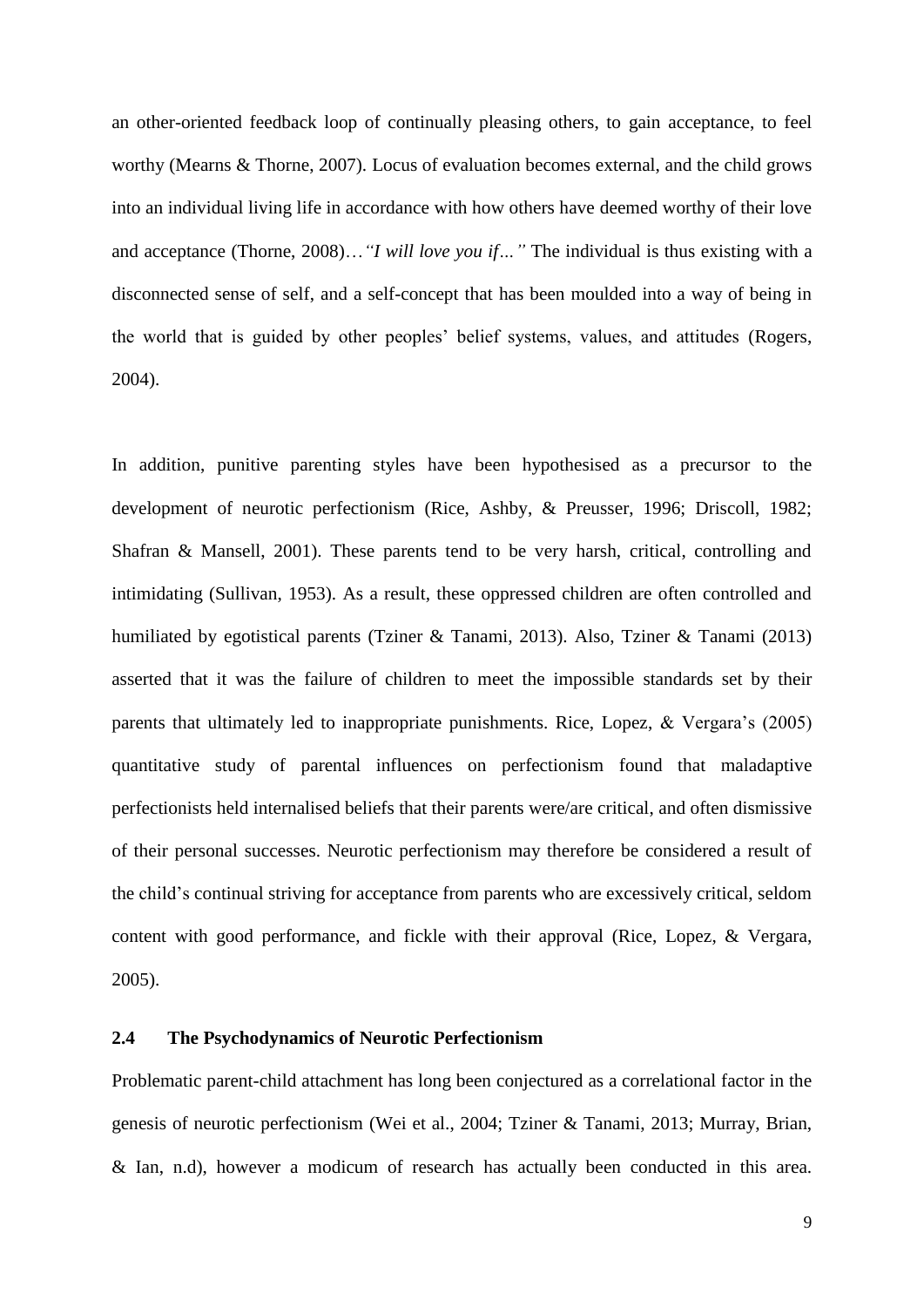an other-oriented feedback loop of continually pleasing others, to gain acceptance, to feel worthy (Mearns & Thorne, 2007). Locus of evaluation becomes external, and the child grows into an individual living life in accordance with how others have deemed worthy of their love and acceptance (Thorne, 2008)…*"I will love you if…"* The individual is thus existing with a disconnected sense of self, and a self-concept that has been moulded into a way of being in the world that is guided by other peoples" belief systems, values, and attitudes (Rogers, 2004).

In addition, punitive parenting styles have been hypothesised as a precursor to the development of neurotic perfectionism (Rice, Ashby, & Preusser, 1996; Driscoll, 1982; Shafran & Mansell, 2001). These parents tend to be very harsh, critical, controlling and intimidating (Sullivan, 1953). As a result, these oppressed children are often controlled and humiliated by egotistical parents (Tziner & Tanami, 2013). Also, Tziner & Tanami (2013) asserted that it was the failure of children to meet the impossible standards set by their parents that ultimately led to inappropriate punishments. Rice, Lopez,  $& Vergara's (2005)$ quantitative study of parental influences on perfectionism found that maladaptive perfectionists held internalised beliefs that their parents were/are critical, and often dismissive of their personal successes. Neurotic perfectionism may therefore be considered a result of the child"s continual striving for acceptance from parents who are excessively critical, seldom content with good performance, and fickle with their approval (Rice, Lopez, & Vergara, 2005).

#### <span id="page-13-0"></span>**2.4 The Psychodynamics of Neurotic Perfectionism**

Problematic parent-child attachment has long been conjectured as a correlational factor in the genesis of neurotic perfectionism (Wei et al., 2004; Tziner & Tanami, 2013; Murray, Brian, & Ian, n.d), however a modicum of research has actually been conducted in this area.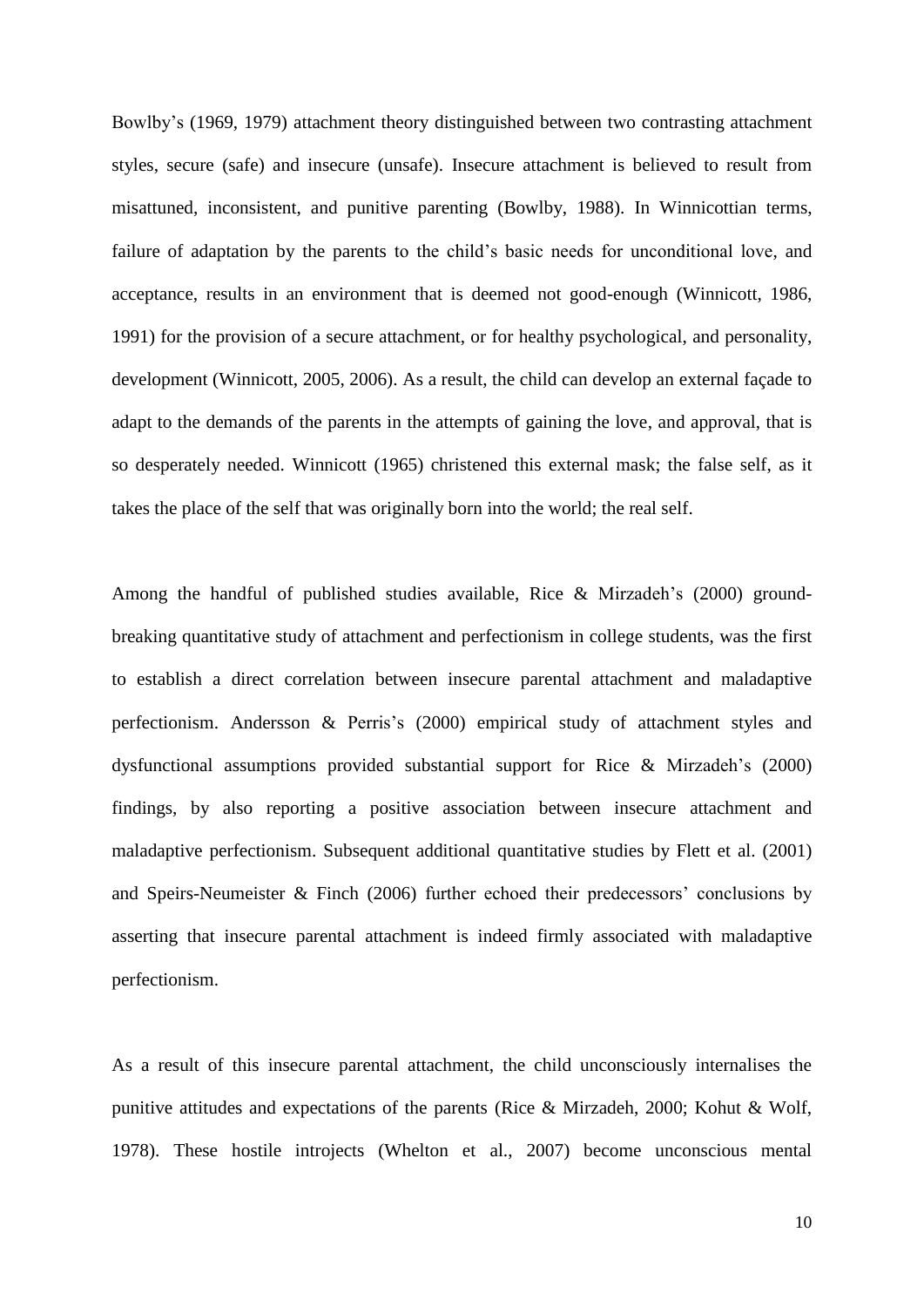Bowlby"s (1969, 1979) attachment theory distinguished between two contrasting attachment styles, secure (safe) and insecure (unsafe). Insecure attachment is believed to result from misattuned, inconsistent, and punitive parenting (Bowlby, 1988). In Winnicottian terms, failure of adaptation by the parents to the child"s basic needs for unconditional love, and acceptance, results in an environment that is deemed not good-enough (Winnicott, 1986, 1991) for the provision of a secure attachment, or for healthy psychological, and personality, development (Winnicott, 2005, 2006). As a result, the child can develop an external façade to adapt to the demands of the parents in the attempts of gaining the love, and approval, that is so desperately needed. Winnicott (1965) christened this external mask; the false self, as it takes the place of the self that was originally born into the world; the real self.

Among the handful of published studies available, Rice & Mirzadeh"s (2000) groundbreaking quantitative study of attachment and perfectionism in college students, was the first to establish a direct correlation between insecure parental attachment and maladaptive perfectionism. Andersson & Perris"s (2000) empirical study of attachment styles and dysfunctional assumptions provided substantial support for Rice & Mirzadeh"s (2000) findings, by also reporting a positive association between insecure attachment and maladaptive perfectionism. Subsequent additional quantitative studies by Flett et al. (2001) and Speirs-Neumeister  $&$  Finch (2006) further echoed their predecessors' conclusions by asserting that insecure parental attachment is indeed firmly associated with maladaptive perfectionism.

As a result of this insecure parental attachment, the child unconsciously internalises the punitive attitudes and expectations of the parents (Rice & Mirzadeh, 2000; Kohut & Wolf, 1978). These hostile introjects (Whelton et al., 2007) become unconscious mental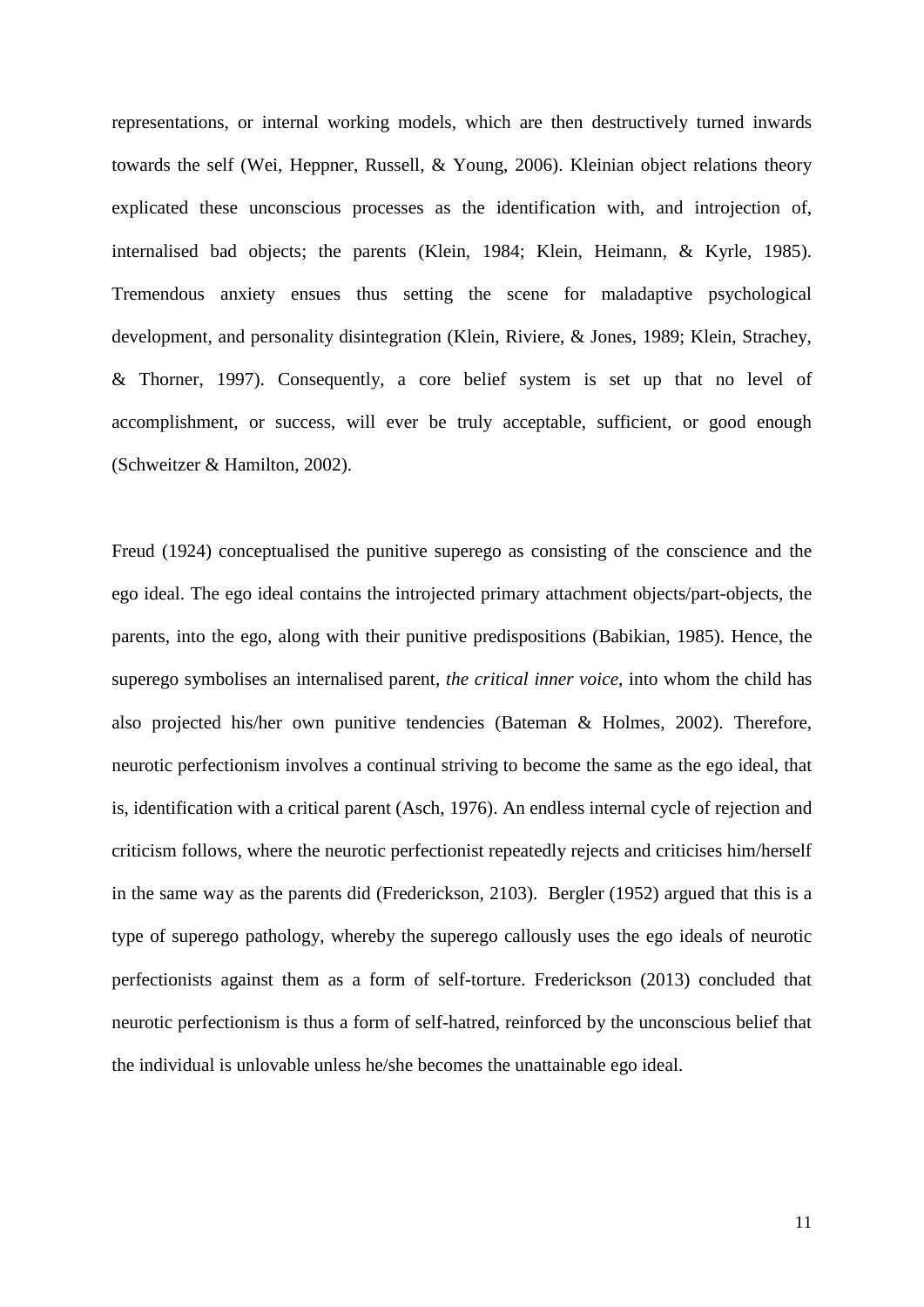representations, or internal working models, which are then destructively turned inwards towards the self (Wei, Heppner, Russell, & Young, 2006). Kleinian object relations theory explicated these unconscious processes as the identification with, and introjection of, internalised bad objects; the parents (Klein, 1984; Klein, Heimann, & Kyrle, 1985). Tremendous anxiety ensues thus setting the scene for maladaptive psychological development, and personality disintegration (Klein, Riviere, & Jones, 1989; Klein, Strachey, & Thorner, 1997). Consequently, a core belief system is set up that no level of accomplishment, or success, will ever be truly acceptable, sufficient, or good enough (Schweitzer & Hamilton, 2002).

Freud (1924) conceptualised the punitive superego as consisting of the conscience and the ego ideal. The ego ideal contains the introjected primary attachment objects/part-objects, the parents, into the ego, along with their punitive predispositions (Babikian, 1985). Hence, the superego symbolises an internalised parent, *the critical inner voice*, into whom the child has also projected his/her own punitive tendencies (Bateman & Holmes, 2002). Therefore, neurotic perfectionism involves a continual striving to become the same as the ego ideal, that is, identification with a critical parent (Asch, 1976). An endless internal cycle of rejection and criticism follows, where the neurotic perfectionist repeatedly rejects and criticises him/herself in the same way as the parents did (Frederickson, 2103). Bergler (1952) argued that this is a type of superego pathology, whereby the superego callously uses the ego ideals of neurotic perfectionists against them as a form of self-torture. Frederickson (2013) concluded that neurotic perfectionism is thus a form of self-hatred, reinforced by the unconscious belief that the individual is unlovable unless he/she becomes the unattainable ego ideal.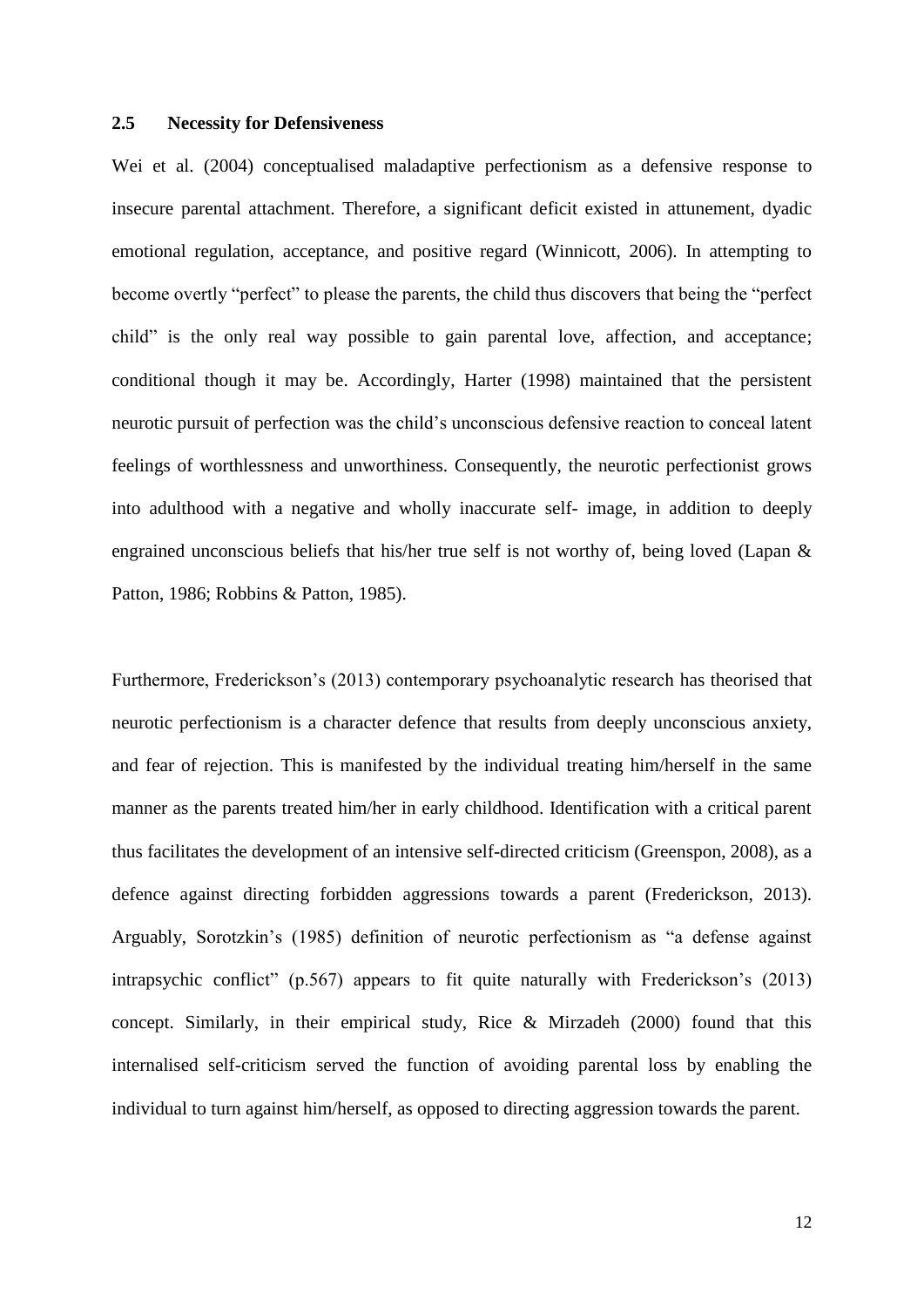#### <span id="page-16-0"></span>**2.5 Necessity for Defensiveness**

Wei et al. (2004) conceptualised maladaptive perfectionism as a defensive response to insecure parental attachment. Therefore, a significant deficit existed in attunement, dyadic emotional regulation, acceptance, and positive regard (Winnicott, 2006). In attempting to become overtly "perfect" to please the parents, the child thus discovers that being the "perfect child" is the only real way possible to gain parental love, affection, and acceptance; conditional though it may be. Accordingly, Harter (1998) maintained that the persistent neurotic pursuit of perfection was the child"s unconscious defensive reaction to conceal latent feelings of worthlessness and unworthiness. Consequently, the neurotic perfectionist grows into adulthood with a negative and wholly inaccurate self- image, in addition to deeply engrained unconscious beliefs that his/her true self is not worthy of, being loved (Lapan & Patton, 1986; Robbins & Patton, 1985).

Furthermore, Frederickson"s (2013) contemporary psychoanalytic research has theorised that neurotic perfectionism is a character defence that results from deeply unconscious anxiety, and fear of rejection. This is manifested by the individual treating him/herself in the same manner as the parents treated him/her in early childhood. Identification with a critical parent thus facilitates the development of an intensive self-directed criticism (Greenspon, 2008), as a defence against directing forbidden aggressions towards a parent (Frederickson, 2013). Arguably, Sorotzkin"s (1985) definition of neurotic perfectionism as "a defense against intrapsychic conflict" (p.567) appears to fit quite naturally with Frederickson's (2013) concept. Similarly, in their empirical study, Rice & Mirzadeh (2000) found that this internalised self-criticism served the function of avoiding parental loss by enabling the individual to turn against him/herself, as opposed to directing aggression towards the parent.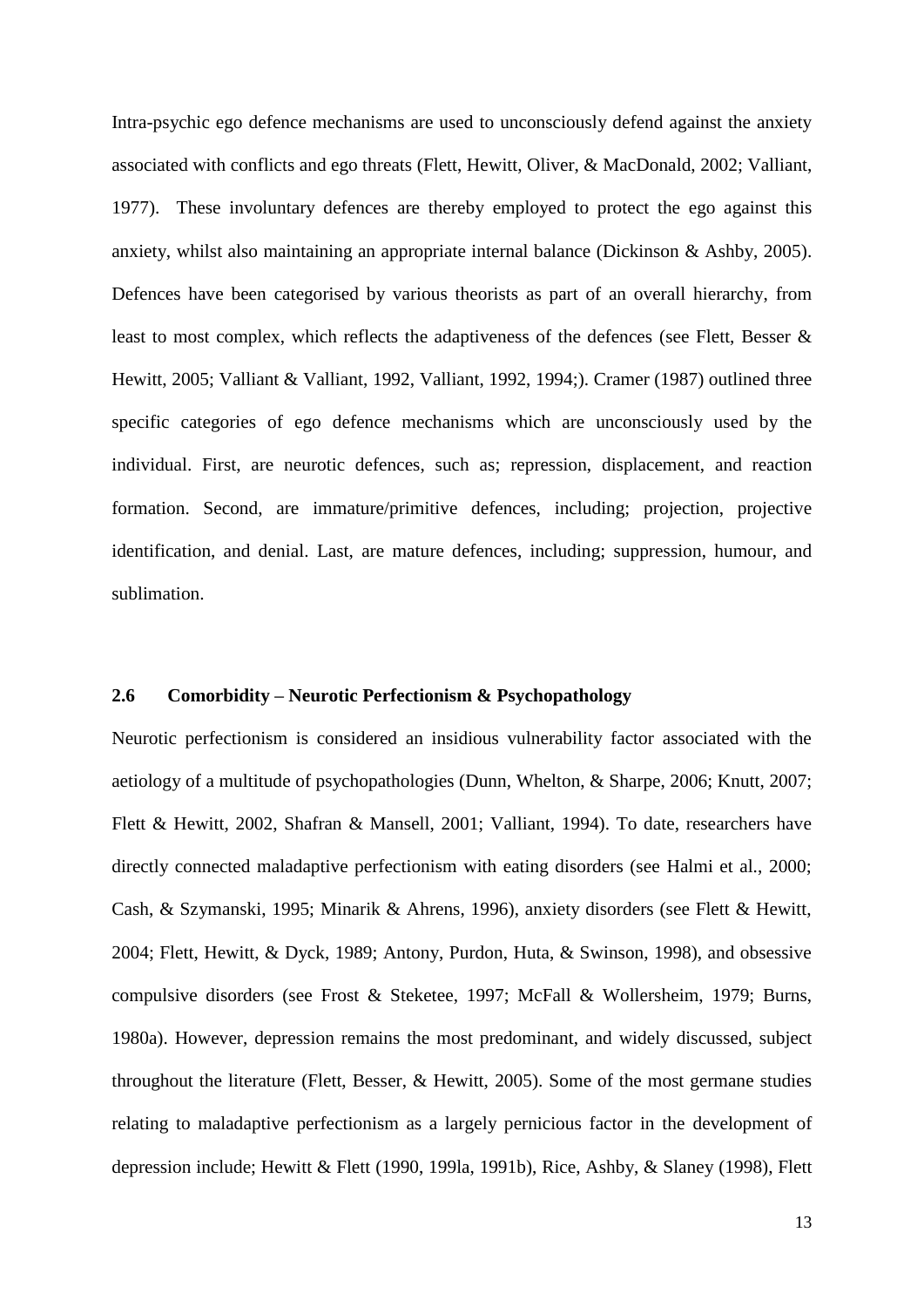Intra-psychic ego defence mechanisms are used to unconsciously defend against the anxiety associated with conflicts and ego threats (Flett, Hewitt, Oliver, & MacDonald, 2002; Valliant, 1977). These involuntary defences are thereby employed to protect the ego against this anxiety, whilst also maintaining an appropriate internal balance (Dickinson & Ashby, 2005). Defences have been categorised by various theorists as part of an overall hierarchy, from least to most complex, which reflects the adaptiveness of the defences (see Flett, Besser & Hewitt, 2005; Valliant & Valliant, 1992, Valliant, 1992, 1994;). Cramer (1987) outlined three specific categories of ego defence mechanisms which are unconsciously used by the individual. First, are neurotic defences, such as; repression, displacement, and reaction formation. Second, are immature/primitive defences, including; projection, projective identification, and denial. Last, are mature defences, including; suppression, humour, and sublimation.

#### <span id="page-17-0"></span>**2.6 Comorbidity – Neurotic Perfectionism & Psychopathology**

Neurotic perfectionism is considered an insidious vulnerability factor associated with the aetiology of a multitude of psychopathologies (Dunn, Whelton, & Sharpe, 2006; Knutt, 2007; Flett & Hewitt, 2002, Shafran & Mansell, 2001; Valliant, 1994). To date, researchers have directly connected maladaptive perfectionism with eating disorders (see Halmi et al., 2000; Cash, & Szymanski, 1995; Minarik & Ahrens, 1996), anxiety disorders (see Flett & Hewitt, 2004; Flett, Hewitt, & Dyck, 1989; Antony, Purdon, Huta, & Swinson, 1998), and obsessive compulsive disorders (see Frost & Steketee, 1997; McFall & Wollersheim, 1979; Burns, 1980a). However, depression remains the most predominant, and widely discussed, subject throughout the literature (Flett, Besser, & Hewitt, 2005). Some of the most germane studies relating to maladaptive perfectionism as a largely pernicious factor in the development of depression include; Hewitt & Flett (1990, 199la, 1991b), Rice, Ashby, & Slaney (1998), Flett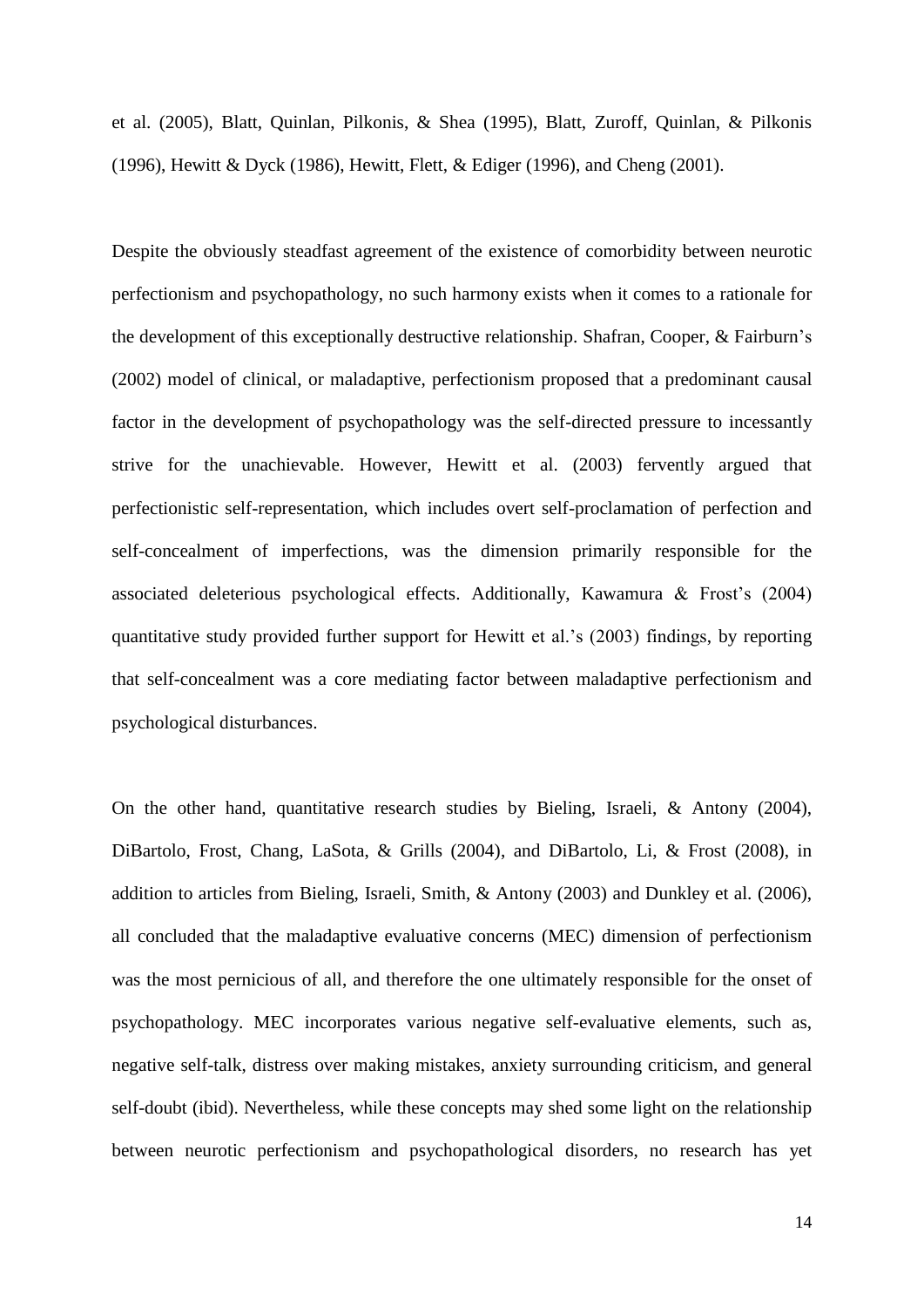et al. (2005), Blatt, Quinlan, Pilkonis, & Shea (1995), Blatt, Zuroff, Quinlan, & Pilkonis (1996), Hewitt & Dyck (1986), Hewitt, Flett, & Ediger (1996), and Cheng (2001).

Despite the obviously steadfast agreement of the existence of comorbidity between neurotic perfectionism and psychopathology, no such harmony exists when it comes to a rationale for the development of this exceptionally destructive relationship. Shafran, Cooper, & Fairburn"s (2002) model of clinical, or maladaptive, perfectionism proposed that a predominant causal factor in the development of psychopathology was the self-directed pressure to incessantly strive for the unachievable. However, Hewitt et al. (2003) fervently argued that perfectionistic self-representation, which includes overt self-proclamation of perfection and self-concealment of imperfections, was the dimension primarily responsible for the associated deleterious psychological effects. Additionally, Kawamura  $\&$  Frost's (2004) quantitative study provided further support for Hewitt et al."s (2003) findings, by reporting that self-concealment was a core mediating factor between maladaptive perfectionism and psychological disturbances.

On the other hand, quantitative research studies by Bieling, Israeli, & Antony (2004), DiBartolo, Frost, Chang, LaSota, & Grills (2004), and DiBartolo, Li, & Frost (2008), in addition to articles from Bieling, Israeli, Smith, & Antony (2003) and Dunkley et al. (2006), all concluded that the maladaptive evaluative concerns (MEC) dimension of perfectionism was the most pernicious of all, and therefore the one ultimately responsible for the onset of psychopathology. MEC incorporates various negative self-evaluative elements, such as, negative self-talk, distress over making mistakes, anxiety surrounding criticism, and general self-doubt (ibid). Nevertheless, while these concepts may shed some light on the relationship between neurotic perfectionism and psychopathological disorders, no research has yet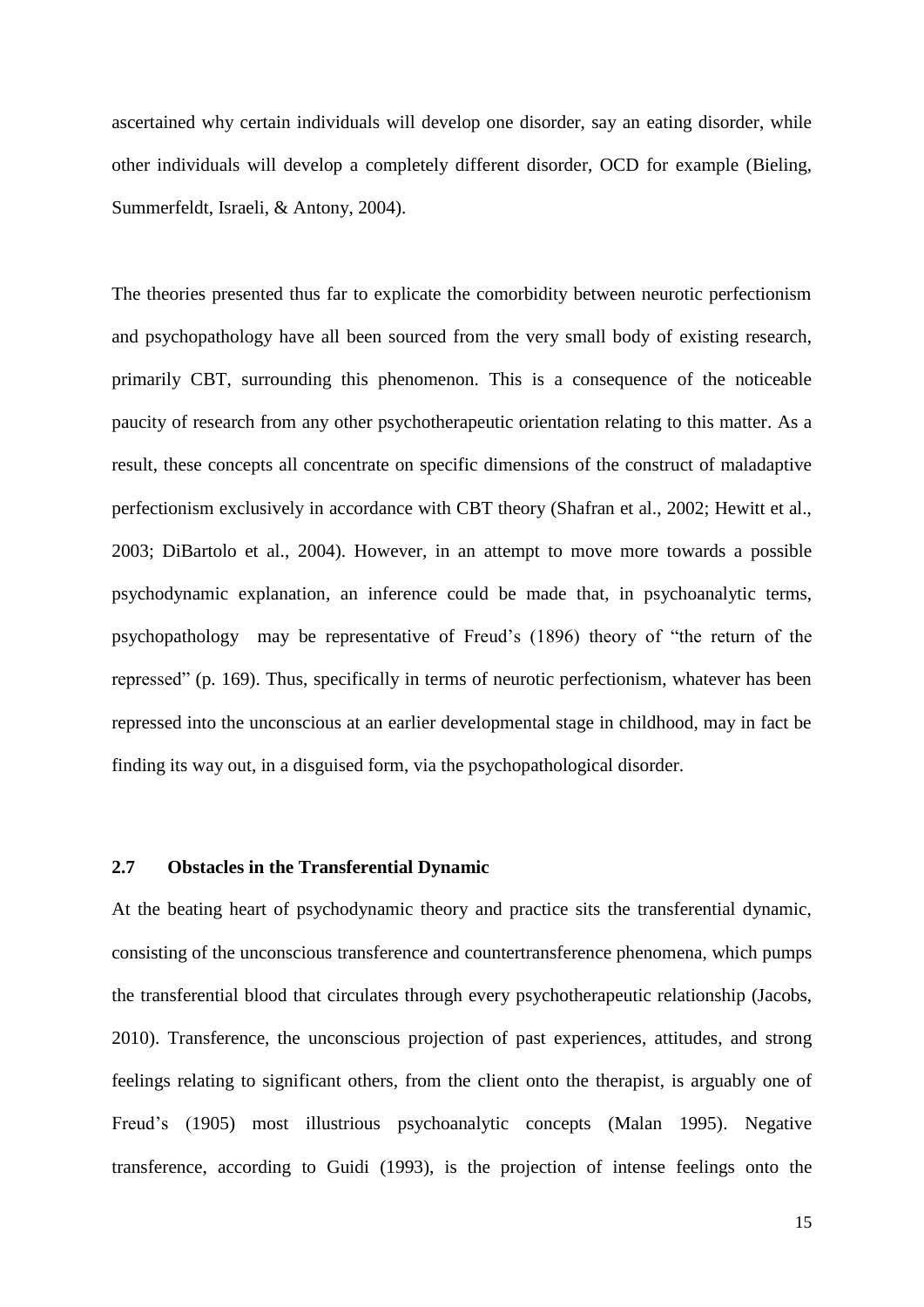ascertained why certain individuals will develop one disorder, say an eating disorder, while other individuals will develop a completely different disorder, OCD for example (Bieling, Summerfeldt, Israeli, & Antony, 2004).

The theories presented thus far to explicate the comorbidity between neurotic perfectionism and psychopathology have all been sourced from the very small body of existing research, primarily CBT, surrounding this phenomenon. This is a consequence of the noticeable paucity of research from any other psychotherapeutic orientation relating to this matter. As a result, these concepts all concentrate on specific dimensions of the construct of maladaptive perfectionism exclusively in accordance with CBT theory (Shafran et al., 2002; Hewitt et al., 2003; DiBartolo et al., 2004). However, in an attempt to move more towards a possible psychodynamic explanation, an inference could be made that, in psychoanalytic terms, psychopathology may be representative of Freud"s (1896) theory of "the return of the repressed" (p. 169). Thus, specifically in terms of neurotic perfectionism, whatever has been repressed into the unconscious at an earlier developmental stage in childhood, may in fact be finding its way out, in a disguised form, via the psychopathological disorder.

#### <span id="page-19-0"></span>**2.7 Obstacles in the Transferential Dynamic**

At the beating heart of psychodynamic theory and practice sits the transferential dynamic, consisting of the unconscious transference and countertransference phenomena, which pumps the transferential blood that circulates through every psychotherapeutic relationship (Jacobs, 2010). Transference, the unconscious projection of past experiences, attitudes, and strong feelings relating to significant others, from the client onto the therapist, is arguably one of Freud"s (1905) most illustrious psychoanalytic concepts (Malan 1995). Negative transference, according to Guidi (1993), is the projection of intense feelings onto the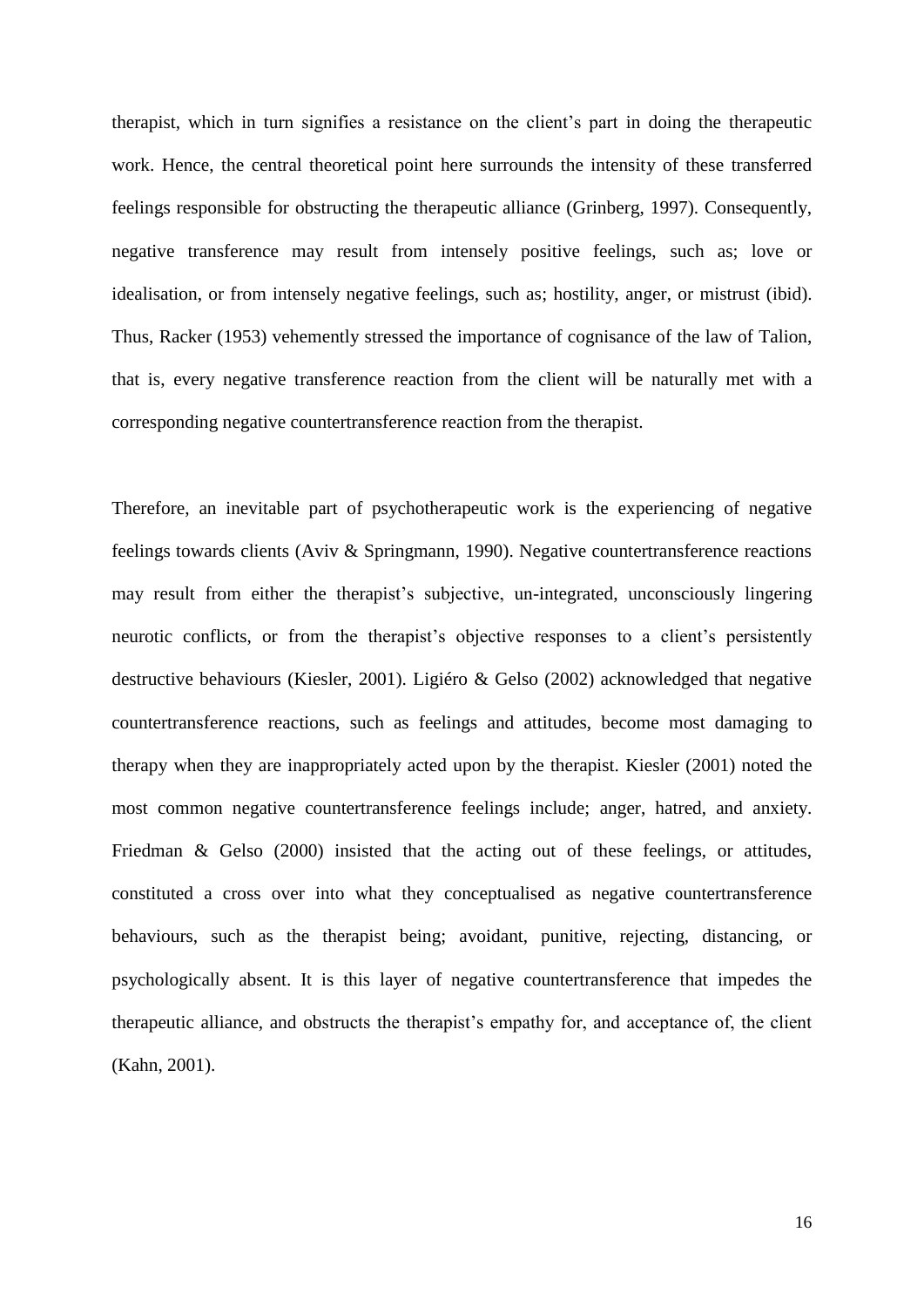therapist, which in turn signifies a resistance on the client"s part in doing the therapeutic work. Hence, the central theoretical point here surrounds the intensity of these transferred feelings responsible for obstructing the therapeutic alliance (Grinberg, 1997). Consequently, negative transference may result from intensely positive feelings, such as; love or idealisation, or from intensely negative feelings, such as; hostility, anger, or mistrust (ibid). Thus, Racker (1953) vehemently stressed the importance of cognisance of the law of Talion, that is, every negative transference reaction from the client will be naturally met with a corresponding negative countertransference reaction from the therapist.

Therefore, an inevitable part of psychotherapeutic work is the experiencing of negative feelings towards clients (Aviv & Springmann, 1990). Negative countertransference reactions may result from either the therapist's subjective, un-integrated, unconsciously lingering neurotic conflicts, or from the therapist's objective responses to a client's persistently destructive behaviours (Kiesler, 2001). Ligiéro & Gelso (2002) acknowledged that negative countertransference reactions, such as feelings and attitudes, become most damaging to therapy when they are inappropriately acted upon by the therapist. Kiesler (2001) noted the most common negative countertransference feelings include; anger, hatred, and anxiety. Friedman & Gelso (2000) insisted that the acting out of these feelings, or attitudes, constituted a cross over into what they conceptualised as negative countertransference behaviours, such as the therapist being; avoidant, punitive, rejecting, distancing, or psychologically absent. It is this layer of negative countertransference that impedes the therapeutic alliance, and obstructs the therapist"s empathy for, and acceptance of, the client (Kahn, 2001).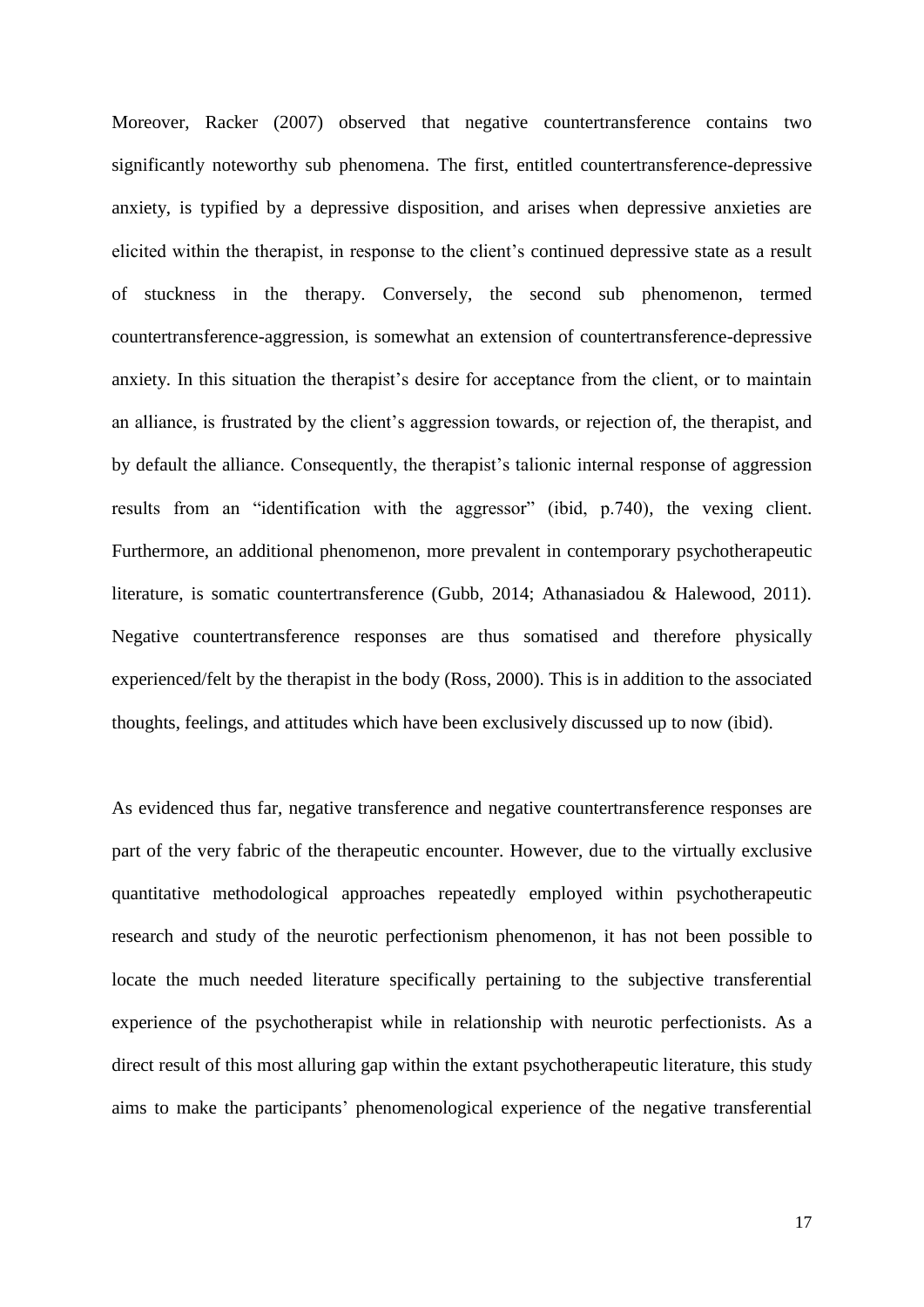Moreover, Racker (2007) observed that negative countertransference contains two significantly noteworthy sub phenomena. The first, entitled countertransference-depressive anxiety, is typified by a depressive disposition, and arises when depressive anxieties are elicited within the therapist, in response to the client"s continued depressive state as a result of stuckness in the therapy. Conversely, the second sub phenomenon, termed countertransference-aggression, is somewhat an extension of countertransference-depressive anxiety. In this situation the therapist's desire for acceptance from the client, or to maintain an alliance, is frustrated by the client's aggression towards, or rejection of, the therapist, and by default the alliance. Consequently, the therapist"s talionic internal response of aggression results from an "identification with the aggressor" (ibid, p.740), the vexing client. Furthermore, an additional phenomenon, more prevalent in contemporary psychotherapeutic literature, is somatic countertransference (Gubb, 2014; Athanasiadou & Halewood, 2011). Negative countertransference responses are thus somatised and therefore physically experienced/felt by the therapist in the body (Ross, 2000). This is in addition to the associated thoughts, feelings, and attitudes which have been exclusively discussed up to now (ibid).

As evidenced thus far, negative transference and negative countertransference responses are part of the very fabric of the therapeutic encounter. However, due to the virtually exclusive quantitative methodological approaches repeatedly employed within psychotherapeutic research and study of the neurotic perfectionism phenomenon, it has not been possible to locate the much needed literature specifically pertaining to the subjective transferential experience of the psychotherapist while in relationship with neurotic perfectionists. As a direct result of this most alluring gap within the extant psychotherapeutic literature, this study aims to make the participants" phenomenological experience of the negative transferential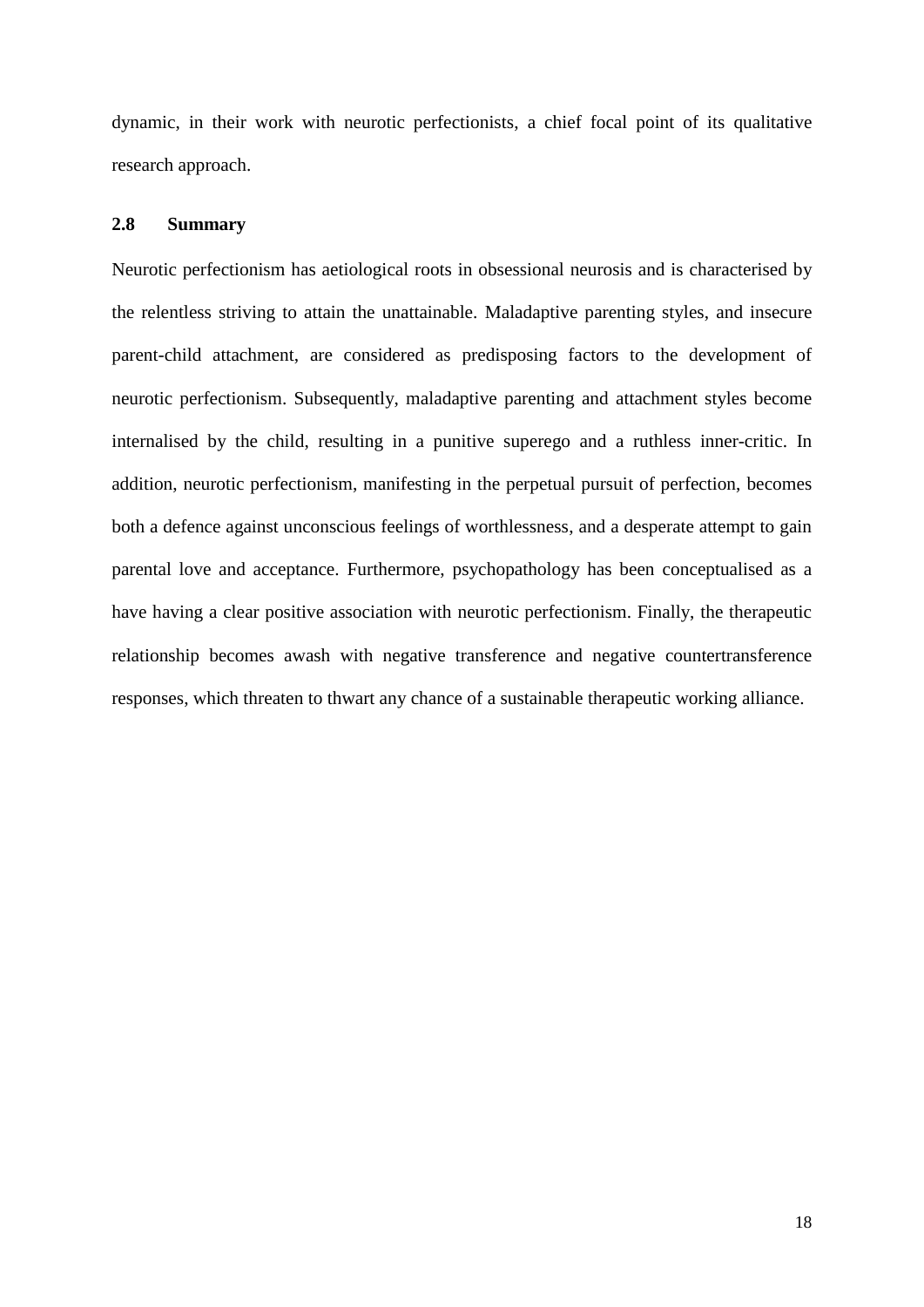dynamic, in their work with neurotic perfectionists, a chief focal point of its qualitative research approach.

#### <span id="page-22-0"></span>**2.8 Summary**

Neurotic perfectionism has aetiological roots in obsessional neurosis and is characterised by the relentless striving to attain the unattainable. Maladaptive parenting styles, and insecure parent-child attachment, are considered as predisposing factors to the development of neurotic perfectionism. Subsequently, maladaptive parenting and attachment styles become internalised by the child, resulting in a punitive superego and a ruthless inner-critic. In addition, neurotic perfectionism, manifesting in the perpetual pursuit of perfection, becomes both a defence against unconscious feelings of worthlessness, and a desperate attempt to gain parental love and acceptance. Furthermore, psychopathology has been conceptualised as a have having a clear positive association with neurotic perfectionism. Finally, the therapeutic relationship becomes awash with negative transference and negative countertransference responses, which threaten to thwart any chance of a sustainable therapeutic working alliance.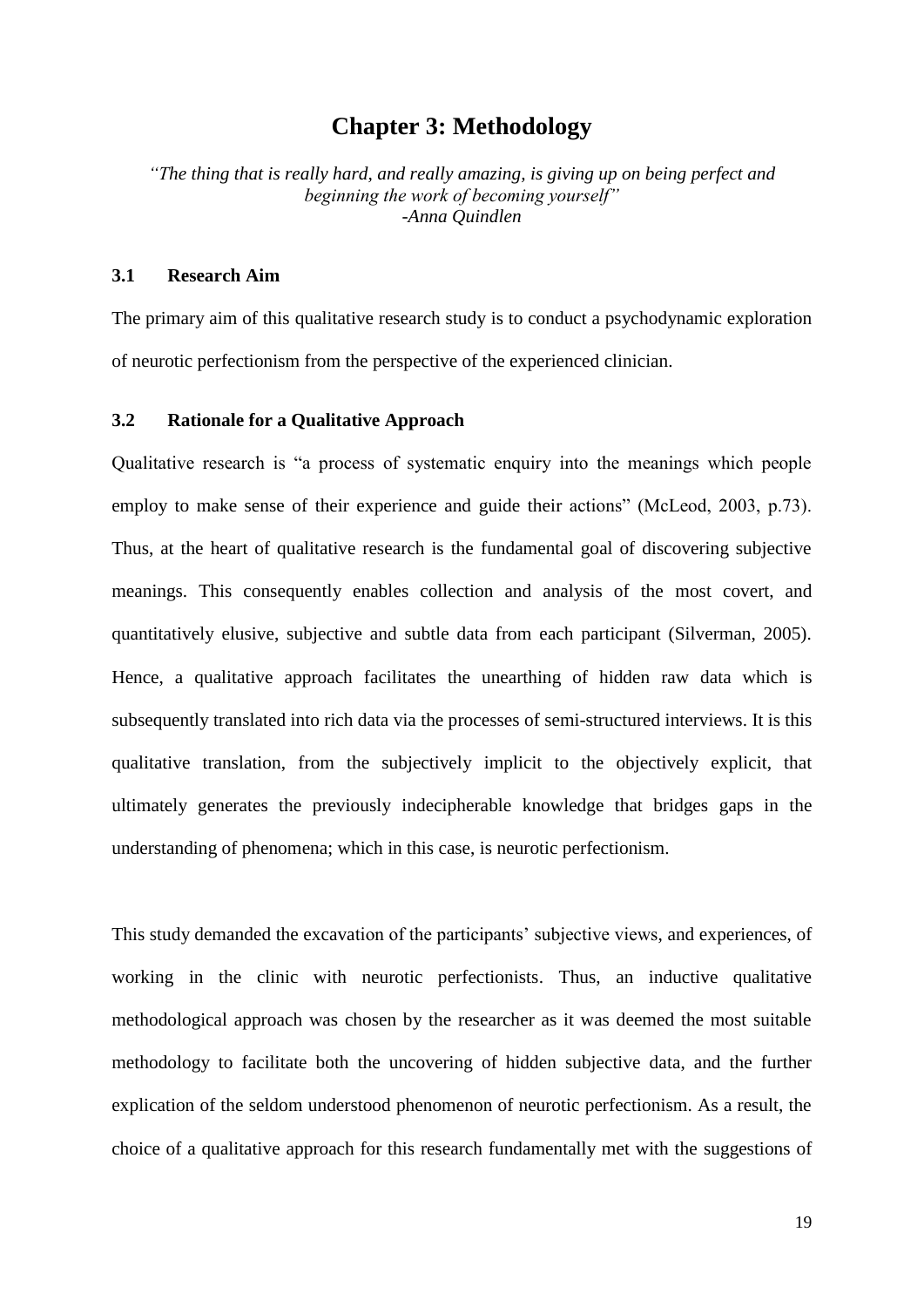# **Chapter 3: Methodology**

<span id="page-23-0"></span>*"The thing that is really hard, and really amazing, is giving up on being perfect and beginning the work of becoming yourself" -Anna Quindlen*

#### <span id="page-23-1"></span>**3.1 Research Aim**

The primary aim of this qualitative research study is to conduct a psychodynamic exploration of neurotic perfectionism from the perspective of the experienced clinician.

#### <span id="page-23-2"></span>**3.2 Rationale for a Qualitative Approach**

Qualitative research is "a process of systematic enquiry into the meanings which people employ to make sense of their experience and guide their actions" (McLeod, 2003, p.73). Thus, at the heart of qualitative research is the fundamental goal of discovering subjective meanings. This consequently enables collection and analysis of the most covert, and quantitatively elusive, subjective and subtle data from each participant (Silverman, 2005). Hence, a qualitative approach facilitates the unearthing of hidden raw data which is subsequently translated into rich data via the processes of semi-structured interviews. It is this qualitative translation, from the subjectively implicit to the objectively explicit, that ultimately generates the previously indecipherable knowledge that bridges gaps in the understanding of phenomena; which in this case, is neurotic perfectionism.

This study demanded the excavation of the participants' subjective views, and experiences, of working in the clinic with neurotic perfectionists. Thus, an inductive qualitative methodological approach was chosen by the researcher as it was deemed the most suitable methodology to facilitate both the uncovering of hidden subjective data, and the further explication of the seldom understood phenomenon of neurotic perfectionism. As a result, the choice of a qualitative approach for this research fundamentally met with the suggestions of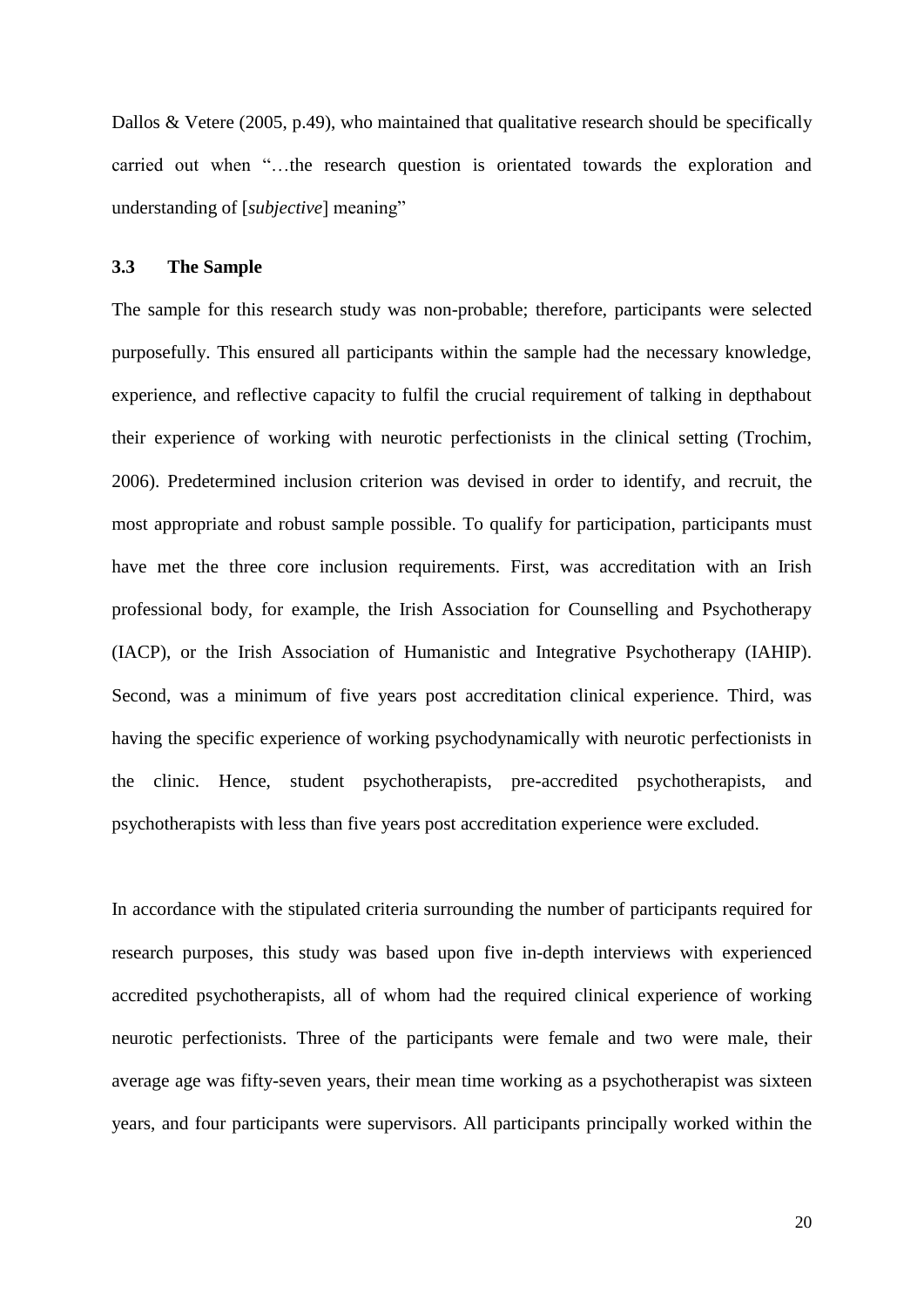Dallos & Vetere (2005, p.49), who maintained that qualitative research should be specifically carried out when "…the research question is orientated towards the exploration and understanding of [*subjective*] meaning"

#### <span id="page-24-0"></span>**3.3 The Sample**

The sample for this research study was non-probable; therefore, participants were selected purposefully. This ensured all participants within the sample had the necessary knowledge, experience, and reflective capacity to fulfil the crucial requirement of talking in depthabout their experience of working with neurotic perfectionists in the clinical setting (Trochim, 2006). Predetermined inclusion criterion was devised in order to identify, and recruit, the most appropriate and robust sample possible. To qualify for participation, participants must have met the three core inclusion requirements. First, was accreditation with an Irish professional body, for example, the Irish Association for Counselling and Psychotherapy (IACP), or the Irish Association of Humanistic and Integrative Psychotherapy (IAHIP). Second, was a minimum of five years post accreditation clinical experience. Third, was having the specific experience of working psychodynamically with neurotic perfectionists in the clinic. Hence, student psychotherapists, pre-accredited psychotherapists, and psychotherapists with less than five years post accreditation experience were excluded.

In accordance with the stipulated criteria surrounding the number of participants required for research purposes, this study was based upon five in-depth interviews with experienced accredited psychotherapists, all of whom had the required clinical experience of working neurotic perfectionists. Three of the participants were female and two were male, their average age was fifty-seven years, their mean time working as a psychotherapist was sixteen years, and four participants were supervisors. All participants principally worked within the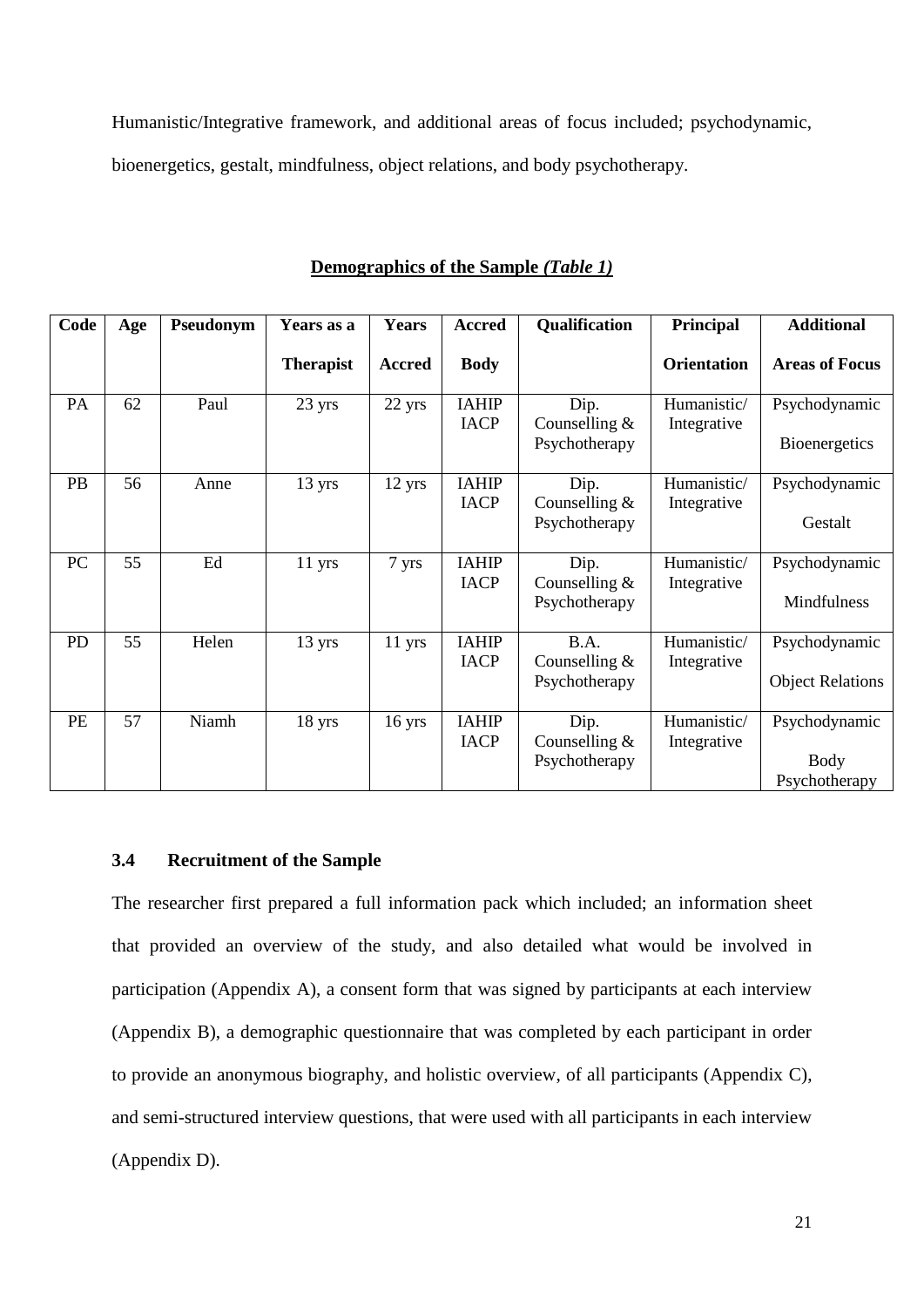Humanistic/Integrative framework, and additional areas of focus included; psychodynamic,

bioenergetics, gestalt, mindfulness, object relations, and body psychotherapy.

| Code      | Age | Pseudonym | Years as a       | <b>Years</b>     | <b>Accred</b>               | Qualification                            | Principal                  | <b>Additional</b>                             |
|-----------|-----|-----------|------------------|------------------|-----------------------------|------------------------------------------|----------------------------|-----------------------------------------------|
|           |     |           | <b>Therapist</b> | <b>Accred</b>    | <b>Body</b>                 |                                          | <b>Orientation</b>         | <b>Areas of Focus</b>                         |
| PA        | 62  | Paul      | 23 yrs           | 22 yrs           | <b>IAHIP</b><br><b>IACP</b> | Dip.<br>Counselling $&$<br>Psychotherapy | Humanistic/<br>Integrative | Psychodynamic<br>Bioenergetics                |
| <b>PB</b> | 56  | Anne      | 13 yrs           | $12 \text{ yrs}$ | <b>IAHIP</b><br><b>IACP</b> | Dip.<br>Counselling $&$<br>Psychotherapy | Humanistic/<br>Integrative | Psychodynamic<br>Gestalt                      |
| PC        | 55  | Ed        | $11$ yrs         | 7 yrs            | <b>IAHIP</b><br><b>IACP</b> | Dip.<br>Counselling $&$<br>Psychotherapy | Humanistic/<br>Integrative | Psychodynamic<br>Mindfulness                  |
| <b>PD</b> | 55  | Helen     | $13 \text{ yrs}$ | $11$ yrs         | <b>IAHIP</b><br><b>IACP</b> | B.A.<br>Counselling $&$<br>Psychotherapy | Humanistic/<br>Integrative | Psychodynamic<br><b>Object Relations</b>      |
| <b>PE</b> | 57  | Niamh     | $18 \text{ yrs}$ | $16$ yrs         | <b>IAHIP</b><br><b>IACP</b> | Dip.<br>Counselling $&$<br>Psychotherapy | Humanistic/<br>Integrative | Psychodynamic<br><b>Body</b><br>Psychotherapy |

| Demographics of the Sample (Table 1) |
|--------------------------------------|
|--------------------------------------|

#### <span id="page-25-0"></span>**3.4 Recruitment of the Sample**

The researcher first prepared a full information pack which included; an information sheet that provided an overview of the study, and also detailed what would be involved in participation (Appendix A), a consent form that was signed by participants at each interview (Appendix B), a demographic questionnaire that was completed by each participant in order to provide an anonymous biography, and holistic overview, of all participants (Appendix C), and semi-structured interview questions, that were used with all participants in each interview (Appendix D).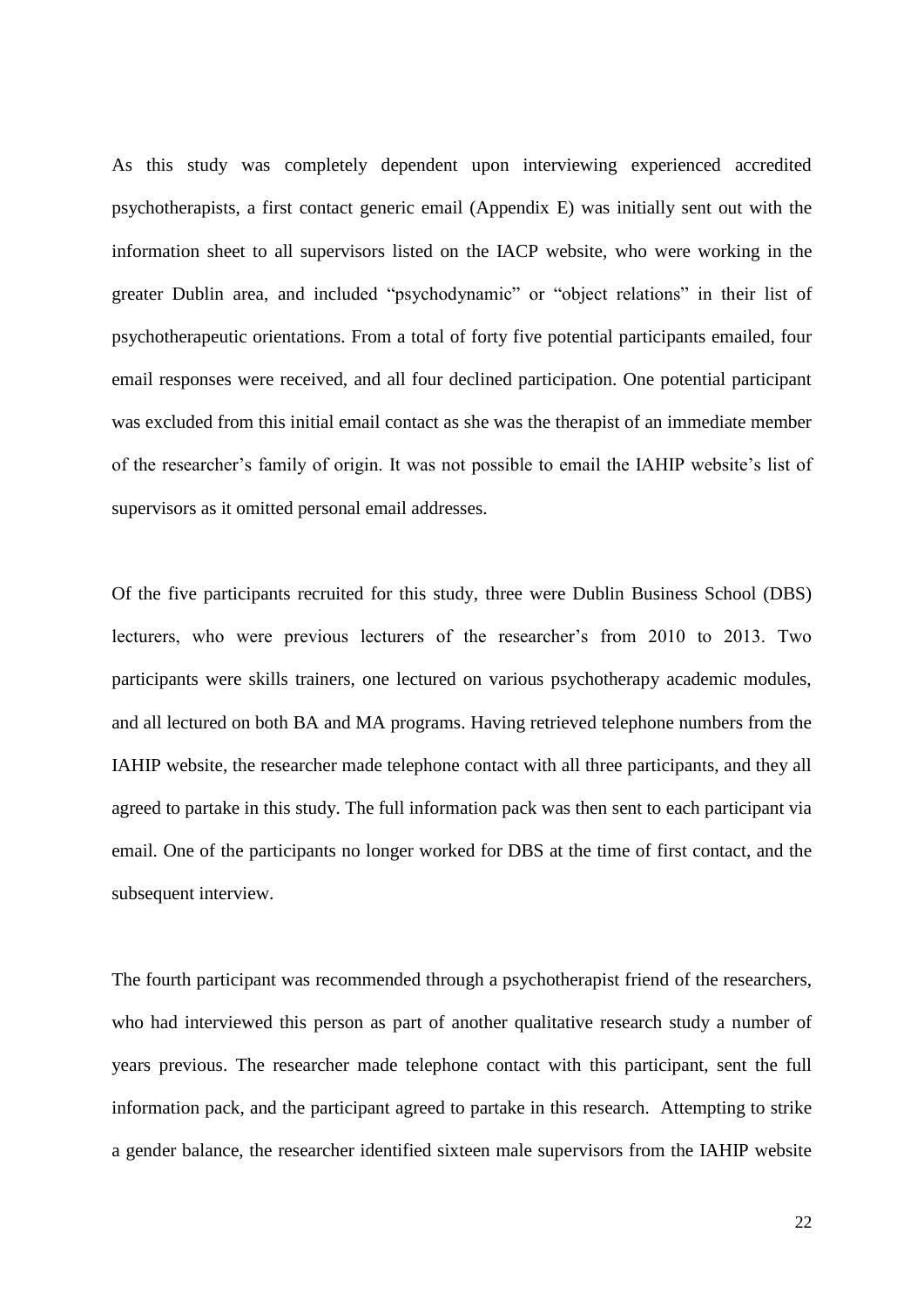As this study was completely dependent upon interviewing experienced accredited psychotherapists, a first contact generic email (Appendix E) was initially sent out with the information sheet to all supervisors listed on the IACP website, who were working in the greater Dublin area, and included "psychodynamic" or "object relations" in their list of psychotherapeutic orientations. From a total of forty five potential participants emailed, four email responses were received, and all four declined participation. One potential participant was excluded from this initial email contact as she was the therapist of an immediate member of the researcher"s family of origin. It was not possible to email the IAHIP website"s list of supervisors as it omitted personal email addresses.

Of the five participants recruited for this study, three were Dublin Business School (DBS) lecturers, who were previous lecturers of the researcher's from 2010 to 2013. Two participants were skills trainers, one lectured on various psychotherapy academic modules, and all lectured on both BA and MA programs. Having retrieved telephone numbers from the IAHIP website, the researcher made telephone contact with all three participants, and they all agreed to partake in this study. The full information pack was then sent to each participant via email. One of the participants no longer worked for DBS at the time of first contact, and the subsequent interview.

The fourth participant was recommended through a psychotherapist friend of the researchers, who had interviewed this person as part of another qualitative research study a number of years previous. The researcher made telephone contact with this participant, sent the full information pack, and the participant agreed to partake in this research. Attempting to strike a gender balance, the researcher identified sixteen male supervisors from the IAHIP website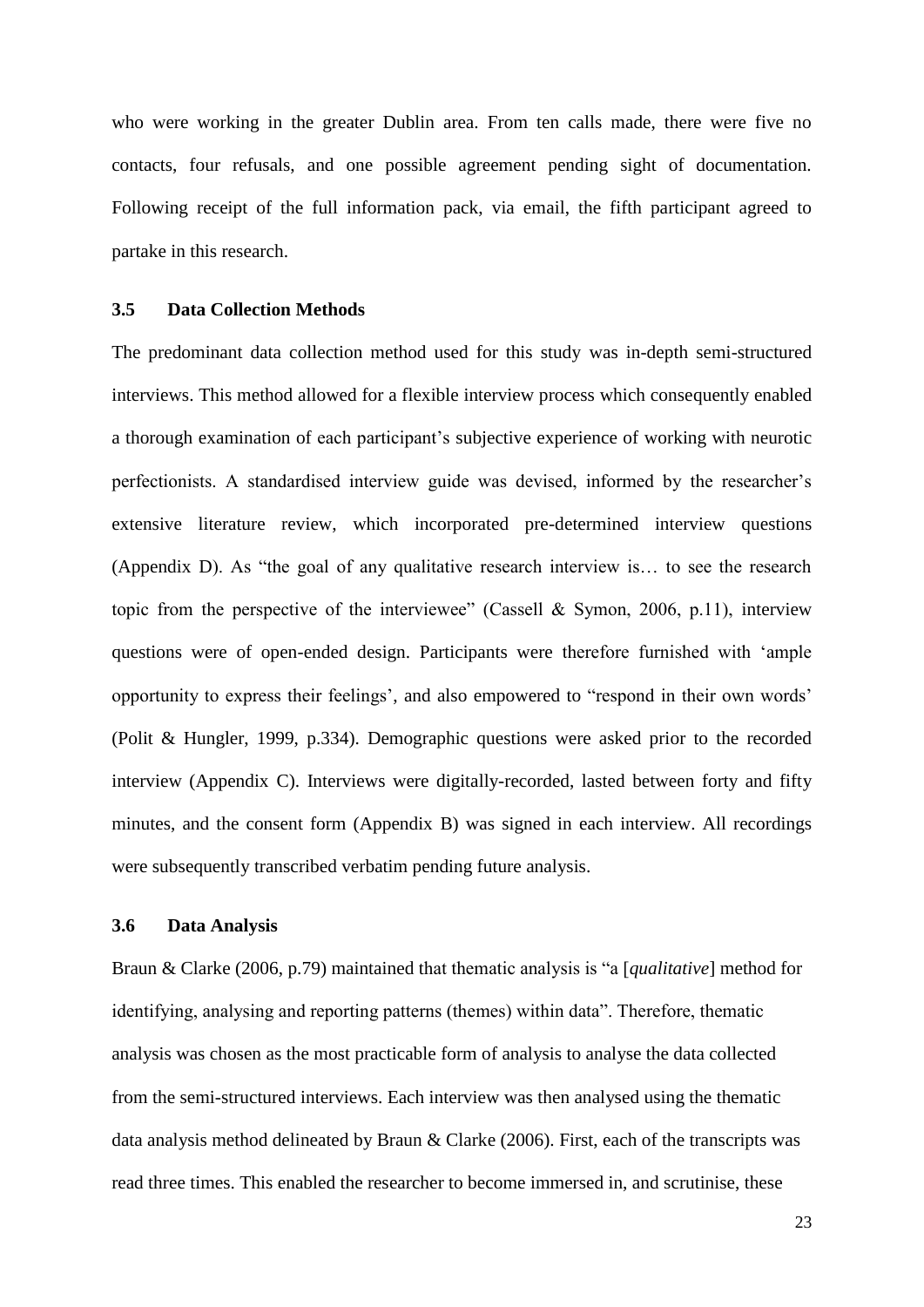who were working in the greater Dublin area. From ten calls made, there were five no contacts, four refusals, and one possible agreement pending sight of documentation. Following receipt of the full information pack, via email, the fifth participant agreed to partake in this research.

#### <span id="page-27-0"></span>**3.5 Data Collection Methods**

The predominant data collection method used for this study was in-depth semi-structured interviews. This method allowed for a flexible interview process which consequently enabled a thorough examination of each participant's subjective experience of working with neurotic perfectionists. A standardised interview guide was devised, informed by the researcher's extensive literature review, which incorporated pre-determined interview questions (Appendix D). As "the goal of any qualitative research interview is… to see the research topic from the perspective of the interviewee" (Cassell & Symon, 2006, p.11), interview questions were of open-ended design. Participants were therefore furnished with "ample opportunity to express their feelings", and also empowered to "respond in their own words" (Polit & Hungler, 1999, p.334). Demographic questions were asked prior to the recorded interview (Appendix C). Interviews were digitally-recorded, lasted between forty and fifty minutes, and the consent form (Appendix B) was signed in each interview. All recordings were subsequently transcribed verbatim pending future analysis.

#### <span id="page-27-1"></span>**3.6 Data Analysis**

Braun & Clarke (2006, p.79) maintained that thematic analysis is "a [*qualitative*] method for identifying, analysing and reporting patterns (themes) within data". Therefore, thematic analysis was chosen as the most practicable form of analysis to analyse the data collected from the semi-structured interviews. Each interview was then analysed using the thematic data analysis method delineated by Braun & Clarke (2006). First, each of the transcripts was read three times. This enabled the researcher to become immersed in, and scrutinise, these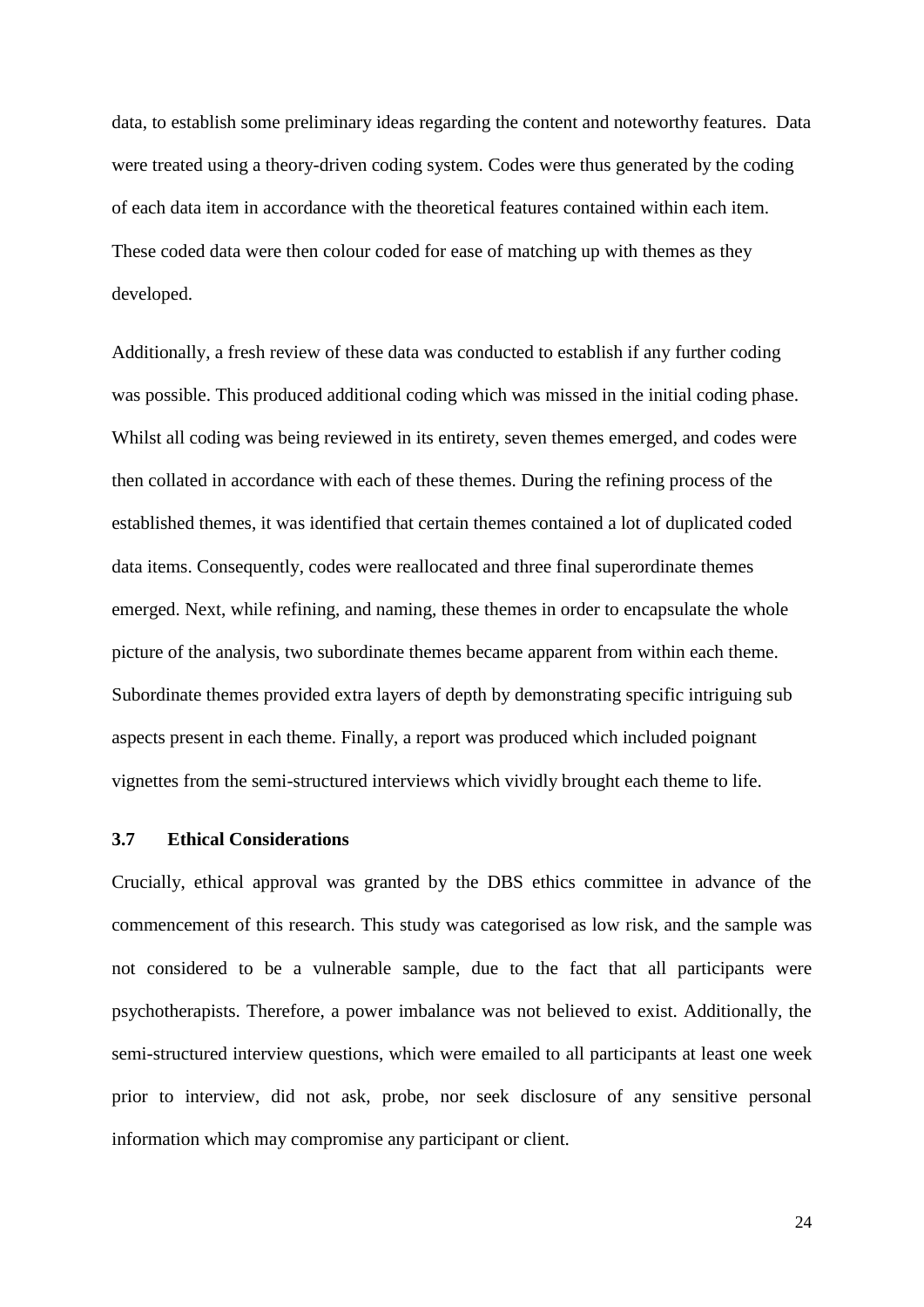data, to establish some preliminary ideas regarding the content and noteworthy features. Data were treated using a theory-driven coding system. Codes were thus generated by the coding of each data item in accordance with the theoretical features contained within each item. These coded data were then colour coded for ease of matching up with themes as they developed.

Additionally, a fresh review of these data was conducted to establish if any further coding was possible. This produced additional coding which was missed in the initial coding phase. Whilst all coding was being reviewed in its entirety, seven themes emerged, and codes were then collated in accordance with each of these themes. During the refining process of the established themes, it was identified that certain themes contained a lot of duplicated coded data items. Consequently, codes were reallocated and three final superordinate themes emerged. Next, while refining, and naming, these themes in order to encapsulate the whole picture of the analysis, two subordinate themes became apparent from within each theme. Subordinate themes provided extra layers of depth by demonstrating specific intriguing sub aspects present in each theme. Finally, a report was produced which included poignant vignettes from the semi-structured interviews which vividly brought each theme to life.

#### <span id="page-28-0"></span>**3.7 Ethical Considerations**

Crucially, ethical approval was granted by the DBS ethics committee in advance of the commencement of this research. This study was categorised as low risk, and the sample was not considered to be a vulnerable sample, due to the fact that all participants were psychotherapists. Therefore, a power imbalance was not believed to exist. Additionally, the semi-structured interview questions, which were emailed to all participants at least one week prior to interview, did not ask, probe, nor seek disclosure of any sensitive personal information which may compromise any participant or client.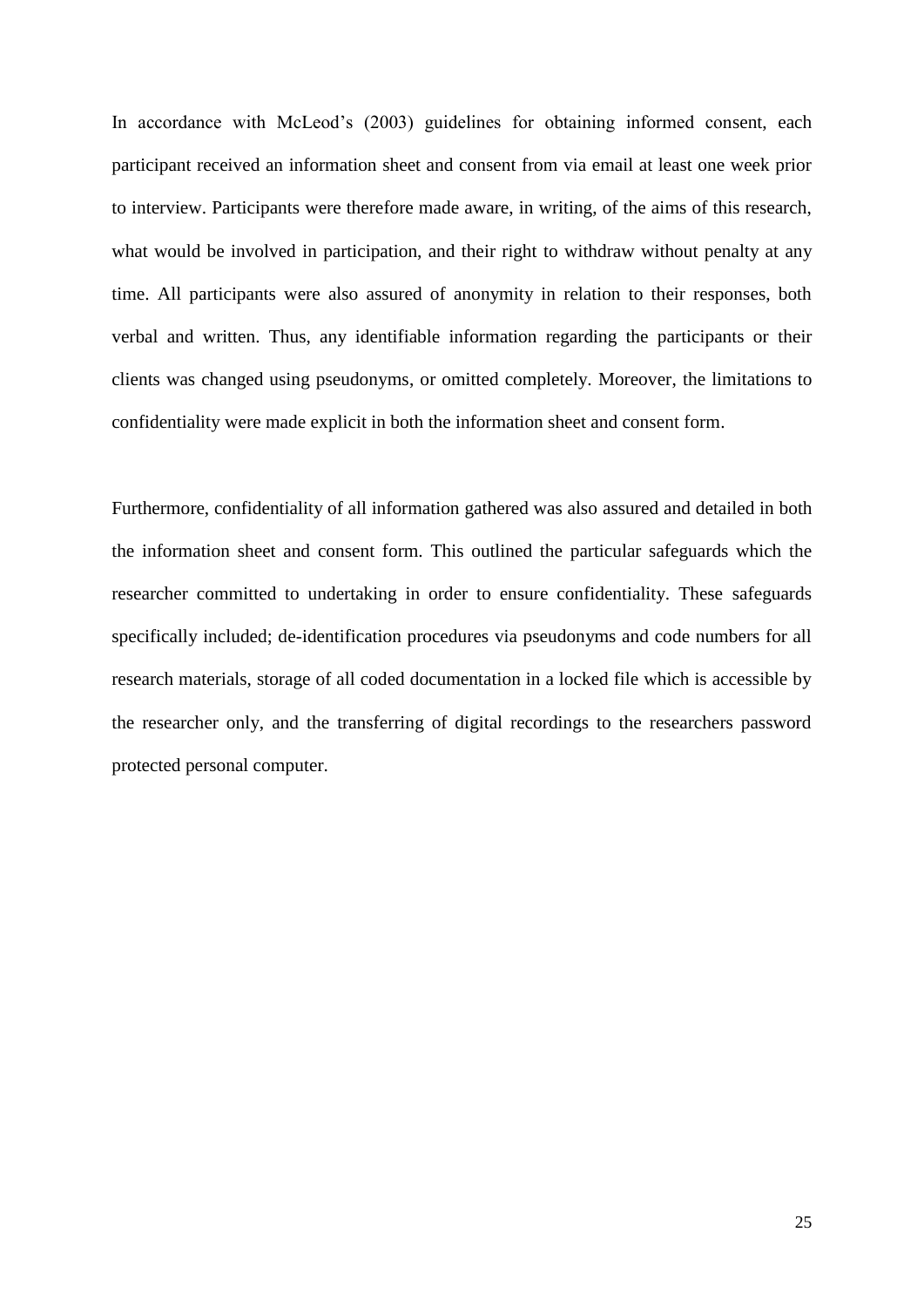In accordance with McLeod's (2003) guidelines for obtaining informed consent, each participant received an information sheet and consent from via email at least one week prior to interview. Participants were therefore made aware, in writing, of the aims of this research, what would be involved in participation, and their right to withdraw without penalty at any time. All participants were also assured of anonymity in relation to their responses, both verbal and written. Thus, any identifiable information regarding the participants or their clients was changed using pseudonyms, or omitted completely. Moreover, the limitations to confidentiality were made explicit in both the information sheet and consent form.

Furthermore, confidentiality of all information gathered was also assured and detailed in both the information sheet and consent form. This outlined the particular safeguards which the researcher committed to undertaking in order to ensure confidentiality. These safeguards specifically included; de-identification procedures via pseudonyms and code numbers for all research materials, storage of all coded documentation in a locked file which is accessible by the researcher only, and the transferring of digital recordings to the researchers password protected personal computer.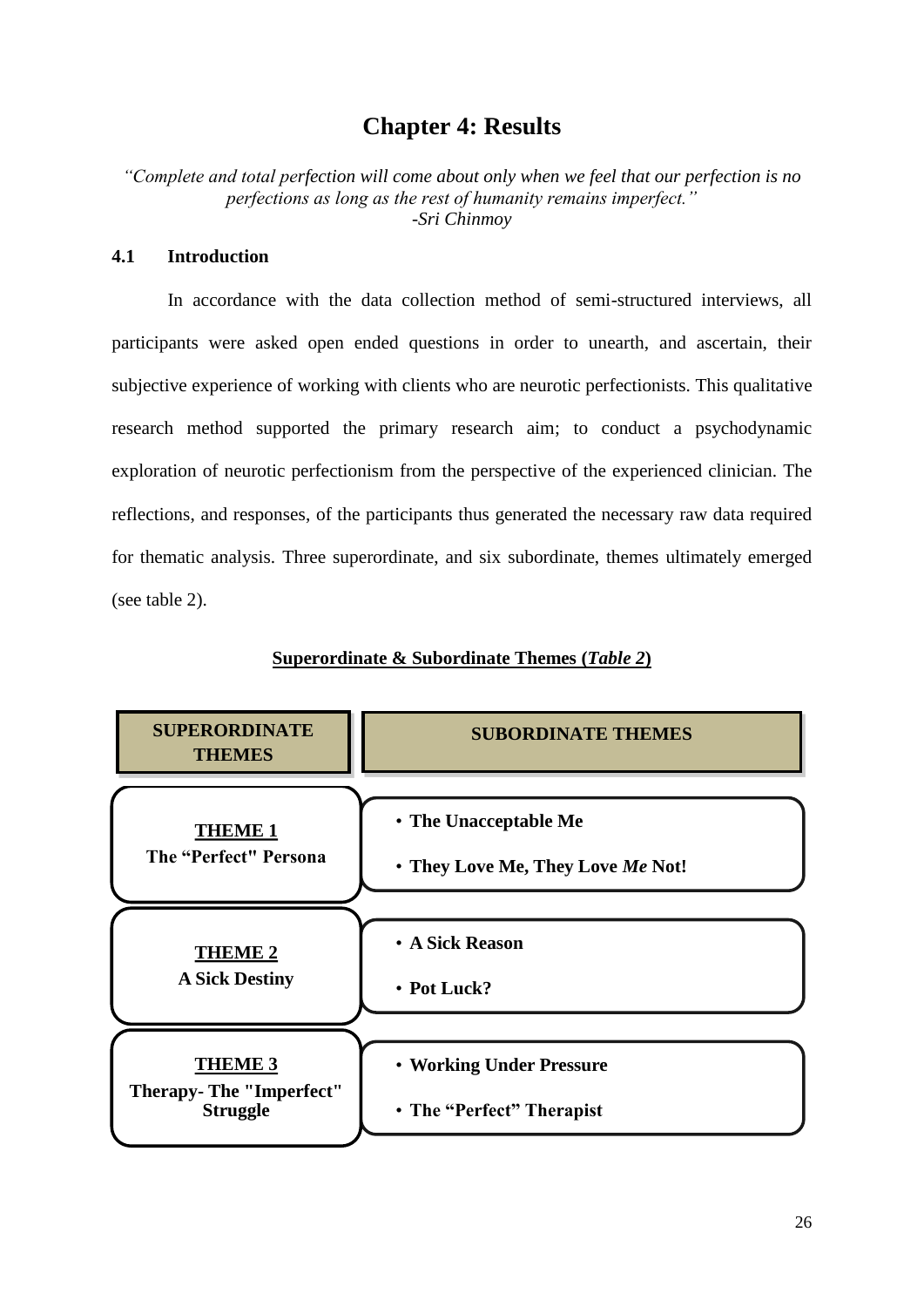# **Chapter 4: Results**

<span id="page-30-0"></span>*"Complete and total perfection will come about only when we feel that our perfection is no perfections as long as the rest of humanity remains imperfect."* -*[Sri Chinmoy](http://www.brainyquote.com/quotes/authors/s/sri_chinmoy.html)*

#### <span id="page-30-1"></span>**4.1 Introduction**

 In accordance with the data collection method of semi-structured interviews, all participants were asked open ended questions in order to unearth, and ascertain, their subjective experience of working with clients who are neurotic perfectionists. This qualitative research method supported the primary research aim; to conduct a psychodynamic exploration of neurotic perfectionism from the perspective of the experienced clinician. The reflections, and responses, of the participants thus generated the necessary raw data required for thematic analysis. Three superordinate, and six subordinate, themes ultimately emerged (see table 2).



#### **Superordinate & Subordinate Themes (***Table 2***)**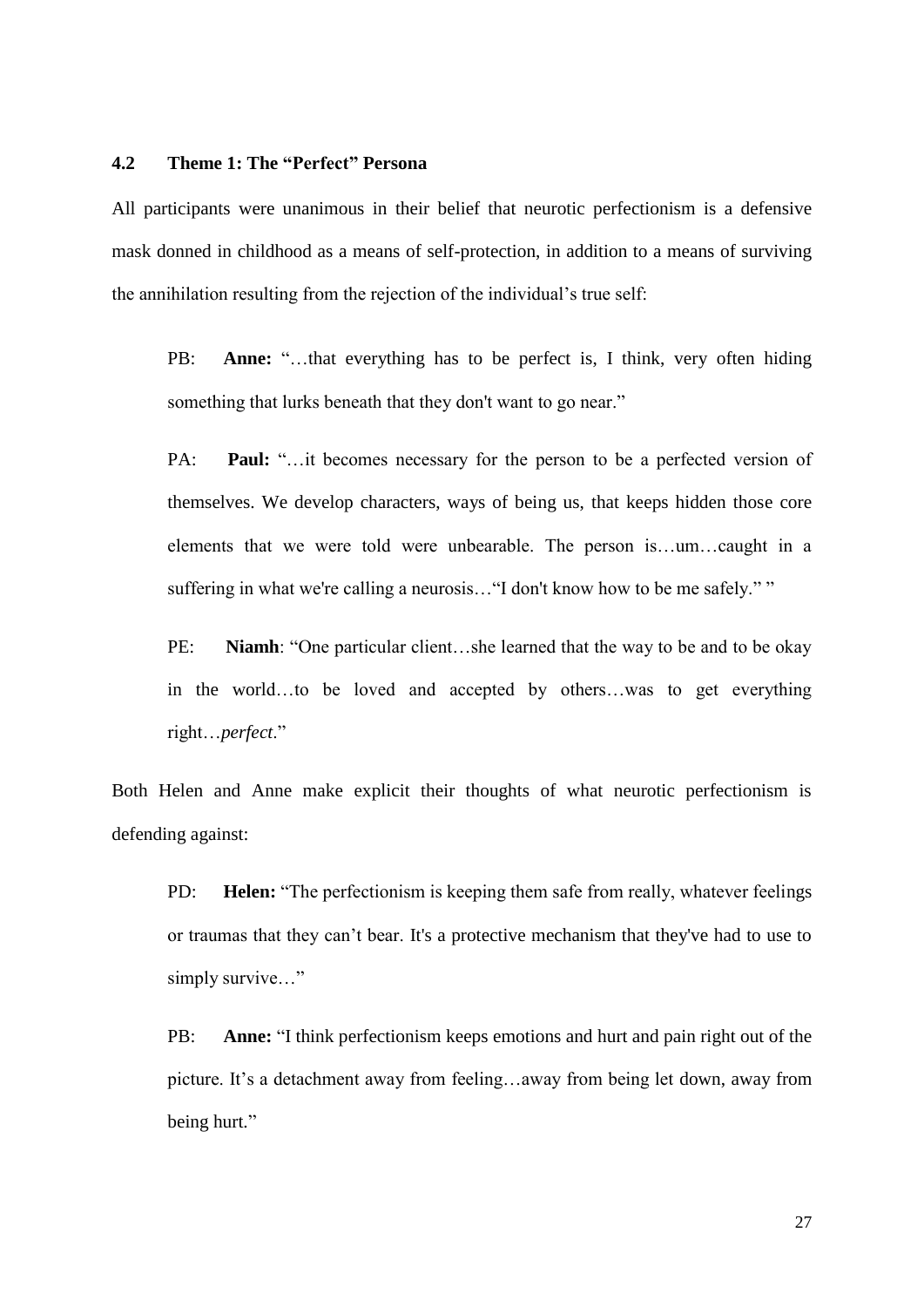#### <span id="page-31-0"></span>**4.2 Theme 1: The "Perfect" Persona**

All participants were unanimous in their belief that neurotic perfectionism is a defensive mask donned in childhood as a means of self-protection, in addition to a means of surviving the annihilation resulting from the rejection of the individual"s true self:

PB: **Anne:** "…that everything has to be perfect is, I think, very often hiding something that lurks beneath that they don't want to go near."

PA: **Paul:** "...it becomes necessary for the person to be a perfected version of themselves. We develop characters, ways of being us, that keeps hidden those core elements that we were told were unbearable. The person is…um…caught in a suffering in what we're calling a neurosis…"I don't know how to be me safely." "

PE: **Niamh**: "One particular client…she learned that the way to be and to be okay in the world…to be loved and accepted by others…was to get everything right…*perfect*."

Both Helen and Anne make explicit their thoughts of what neurotic perfectionism is defending against:

PD: **Helen:** "The perfectionism is keeping them safe from really, whatever feelings or traumas that they can"t bear. It's a protective mechanism that they've had to use to simply survive..."

PB: **Anne:** "I think perfectionism keeps emotions and hurt and pain right out of the picture. It's a detachment away from feeling...away from being let down, away from being hurt."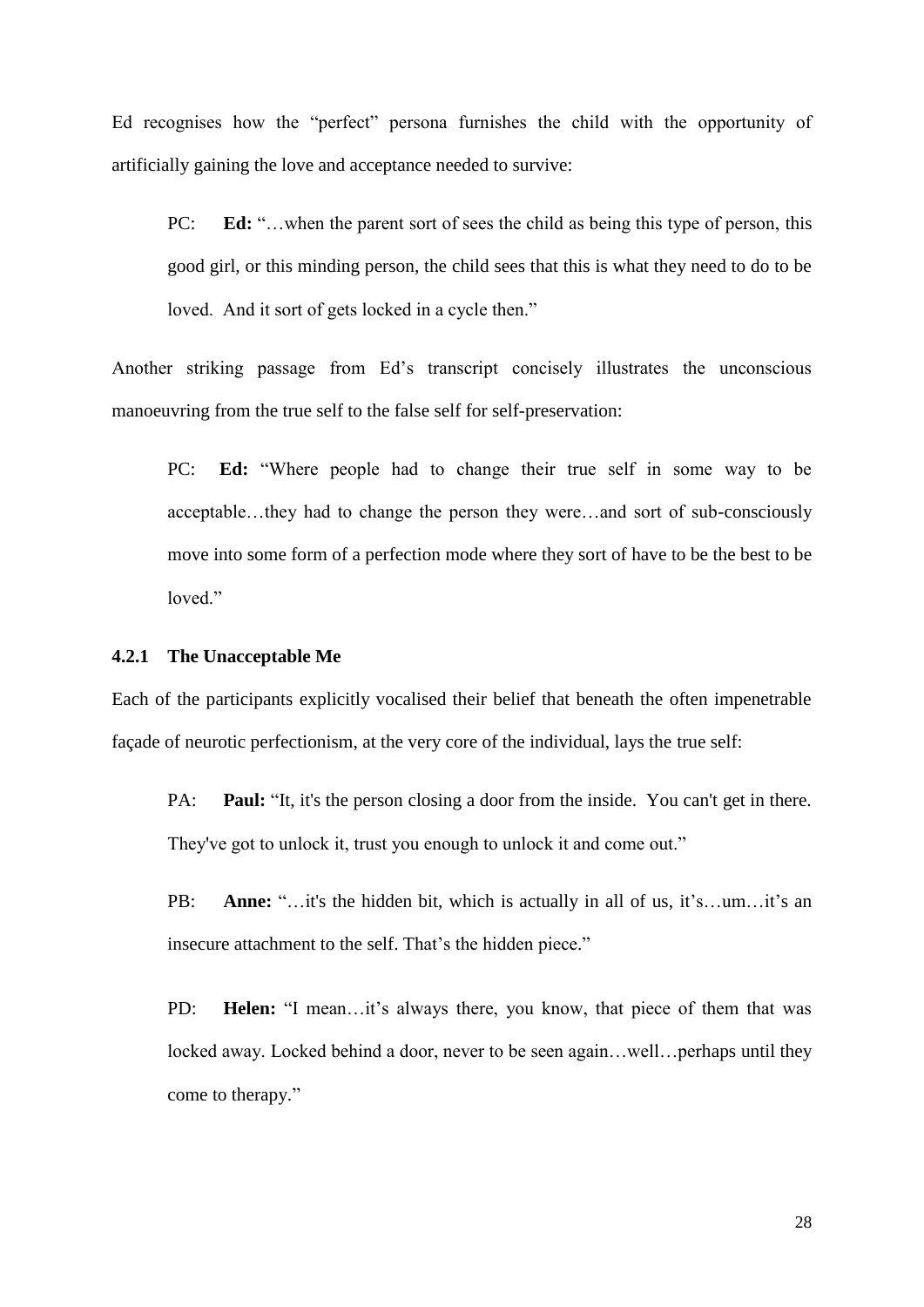Ed recognises how the "perfect" persona furnishes the child with the opportunity of artificially gaining the love and acceptance needed to survive:

PC: **Ed:** "…when the parent sort of sees the child as being this type of person, this good girl, or this minding person, the child sees that this is what they need to do to be loved. And it sort of gets locked in a cycle then."

Another striking passage from Ed's transcript concisely illustrates the unconscious manoeuvring from the true self to the false self for self-preservation:

PC: **Ed:** "Where people had to change their true self in some way to be acceptable…they had to change the person they were…and sort of sub-consciously move into some form of a perfection mode where they sort of have to be the best to be loved."

#### <span id="page-32-0"></span>**4.2.1 The Unacceptable Me**

Each of the participants explicitly vocalised their belief that beneath the often impenetrable façade of neurotic perfectionism, at the very core of the individual, lays the true self:

PA: **Paul:** "It, it's the person closing a door from the inside. You can't get in there. They've got to unlock it, trust you enough to unlock it and come out."

PB: **Anne:** "…it's the hidden bit, which is actually in all of us, it's…um…it's an insecure attachment to the self. That's the hidden piece."

PD: **Helen:** "I mean...it's always there, you know, that piece of them that was locked away. Locked behind a door, never to be seen again...well...perhaps until they come to therapy."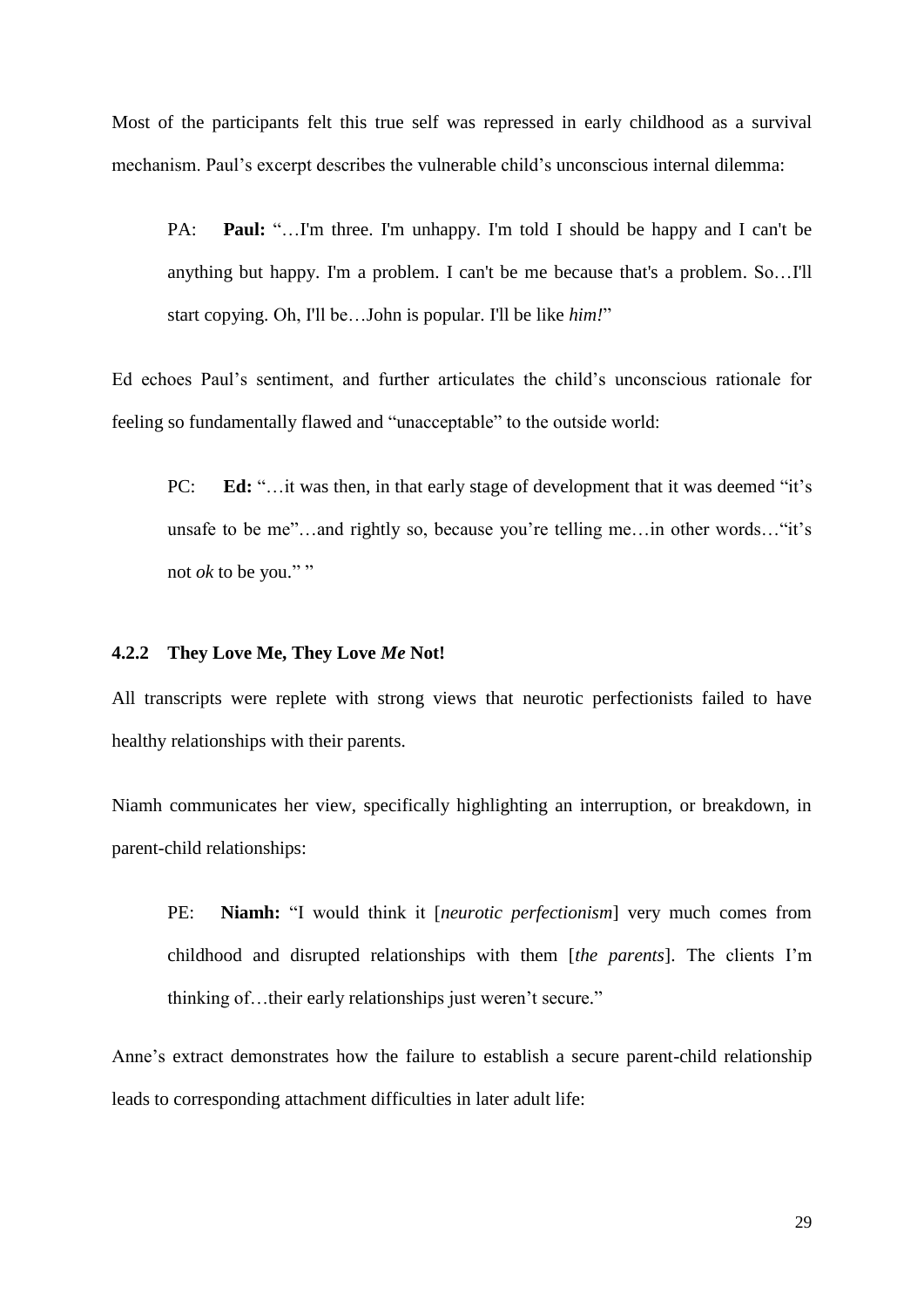Most of the participants felt this true self was repressed in early childhood as a survival mechanism. Paul"s excerpt describes the vulnerable child"s unconscious internal dilemma:

PA: **Paul:** "…I'm three. I'm unhappy. I'm told I should be happy and I can't be anything but happy. I'm a problem. I can't be me because that's a problem. So…I'll start copying. Oh, I'll be…John is popular. I'll be like *him!*"

Ed echoes Paul"s sentiment, and further articulates the child"s unconscious rationale for feeling so fundamentally flawed and "unacceptable" to the outside world:

PC: **Ed:** "…it was then, in that early stage of development that it was deemed "it's unsafe to be me"...and rightly so, because you're telling me...in other words... "it's not  $ok$  to be you.""

#### <span id="page-33-0"></span>**4.2.2 They Love Me, They Love** *Me* **Not!**

All transcripts were replete with strong views that neurotic perfectionists failed to have healthy relationships with their parents.

Niamh communicates her view, specifically highlighting an interruption, or breakdown, in parent-child relationships:

PE: **Niamh:** "I would think it [*neurotic perfectionism*] very much comes from childhood and disrupted relationships with them [*the parents*]. The clients I"m thinking of…their early relationships just weren"t secure."

Anne"s extract demonstrates how the failure to establish a secure parent-child relationship leads to corresponding attachment difficulties in later adult life: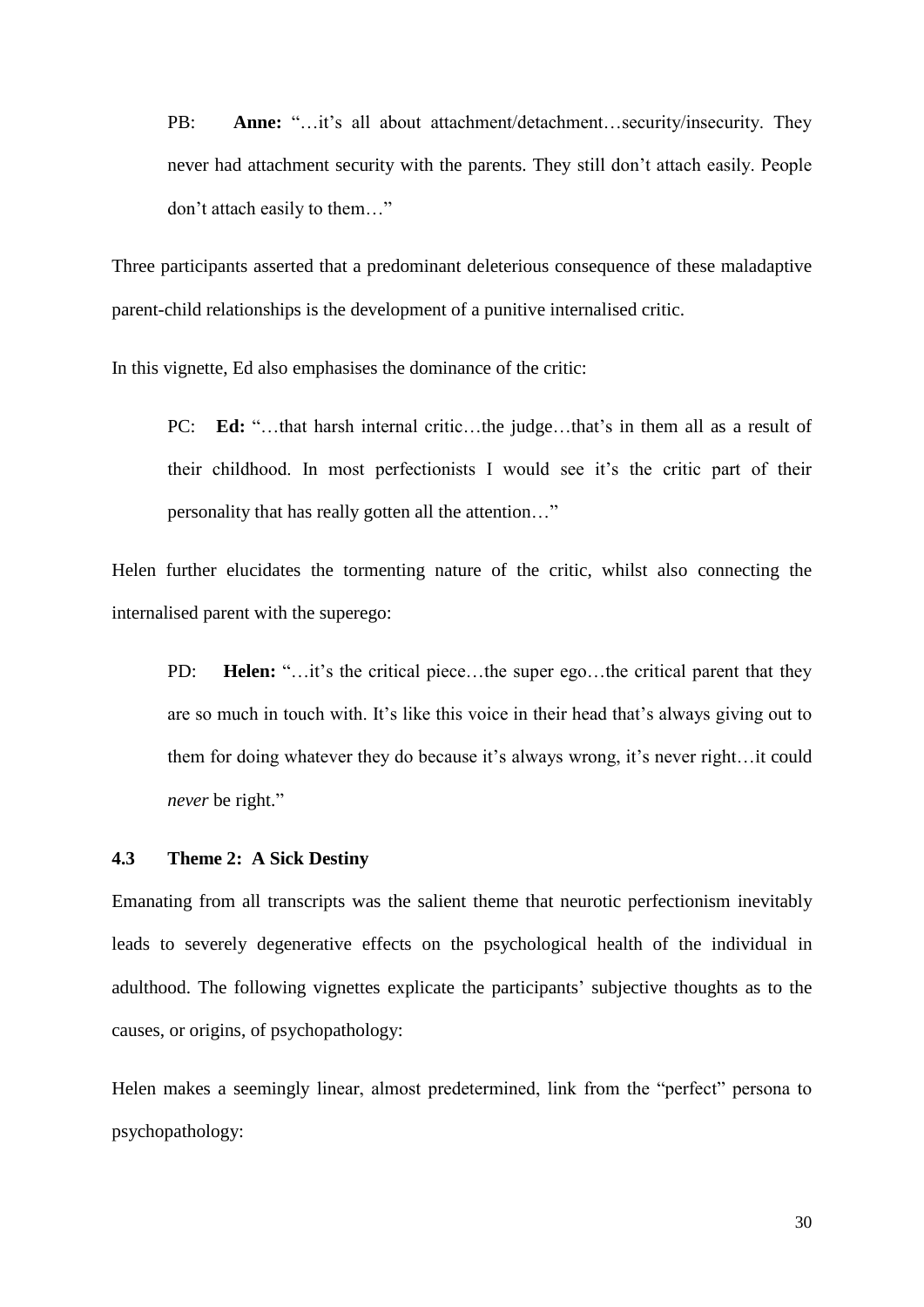PB: **Anne:** "…it's all about attachment/detachment…security/insecurity. They never had attachment security with the parents. They still don"t attach easily. People don"t attach easily to them…"

Three participants asserted that a predominant deleterious consequence of these maladaptive parent-child relationships is the development of a punitive internalised critic.

In this vignette, Ed also emphasises the dominance of the critic:

PC: **Ed:** "...that harsh internal critic...the judge...that's in them all as a result of their childhood. In most perfectionists I would see it"s the critic part of their personality that has really gotten all the attention…"

Helen further elucidates the tormenting nature of the critic, whilst also connecting the internalised parent with the superego:

PD: **Helen:** "…it's the critical piece…the super ego…the critical parent that they are so much in touch with. It's like this voice in their head that's always giving out to them for doing whatever they do because it"s always wrong, it"s never right…it could *never* be right."

#### <span id="page-34-0"></span>**4.3 Theme 2: A Sick Destiny**

Emanating from all transcripts was the salient theme that neurotic perfectionism inevitably leads to severely degenerative effects on the psychological health of the individual in adulthood. The following vignettes explicate the participants' subjective thoughts as to the causes, or origins, of psychopathology:

Helen makes a seemingly linear, almost predetermined, link from the "perfect" persona to psychopathology: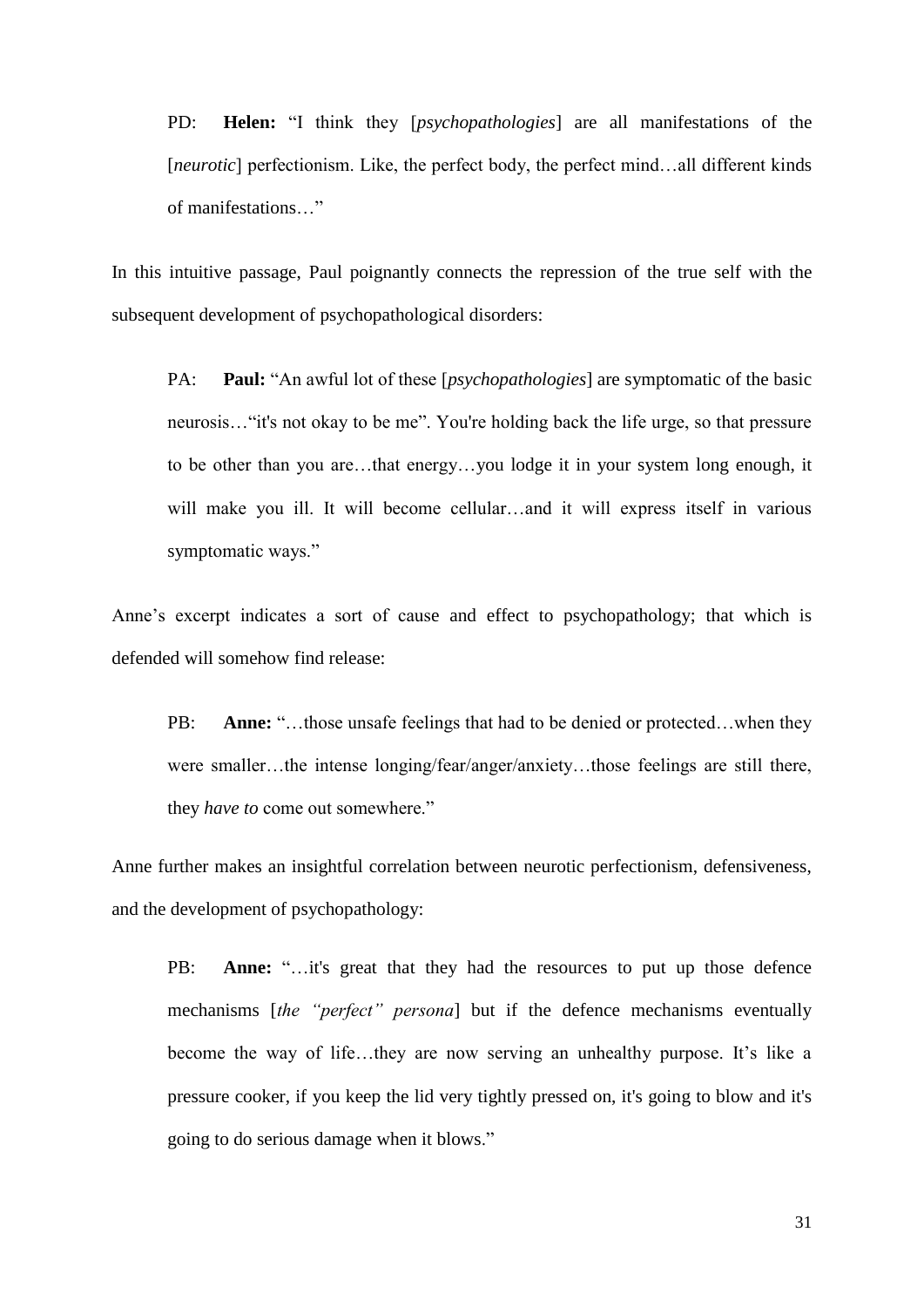PD: **Helen:** "I think they [*psychopathologies*] are all manifestations of the [*neurotic*] perfectionism. Like, the perfect body, the perfect mind…all different kinds of manifestations…"

In this intuitive passage, Paul poignantly connects the repression of the true self with the subsequent development of psychopathological disorders:

PA: **Paul:** "An awful lot of these [*psychopathologies*] are symptomatic of the basic neurosis…"it's not okay to be me". You're holding back the life urge, so that pressure to be other than you are…that energy…you lodge it in your system long enough, it will make you ill. It will become cellular...and it will express itself in various symptomatic ways."

Anne"s excerpt indicates a sort of cause and effect to psychopathology; that which is defended will somehow find release:

PB: **Anne:** "…those unsafe feelings that had to be denied or protected…when they were smaller…the intense longing/fear/anger/anxiety…those feelings are still there, they *have to* come out somewhere."

Anne further makes an insightful correlation between neurotic perfectionism, defensiveness, and the development of psychopathology:

PB: **Anne:** "...it's great that they had the resources to put up those defence mechanisms [*the "perfect" persona*] but if the defence mechanisms eventually become the way of life...they are now serving an unhealthy purpose. It's like a pressure cooker, if you keep the lid very tightly pressed on, it's going to blow and it's going to do serious damage when it blows."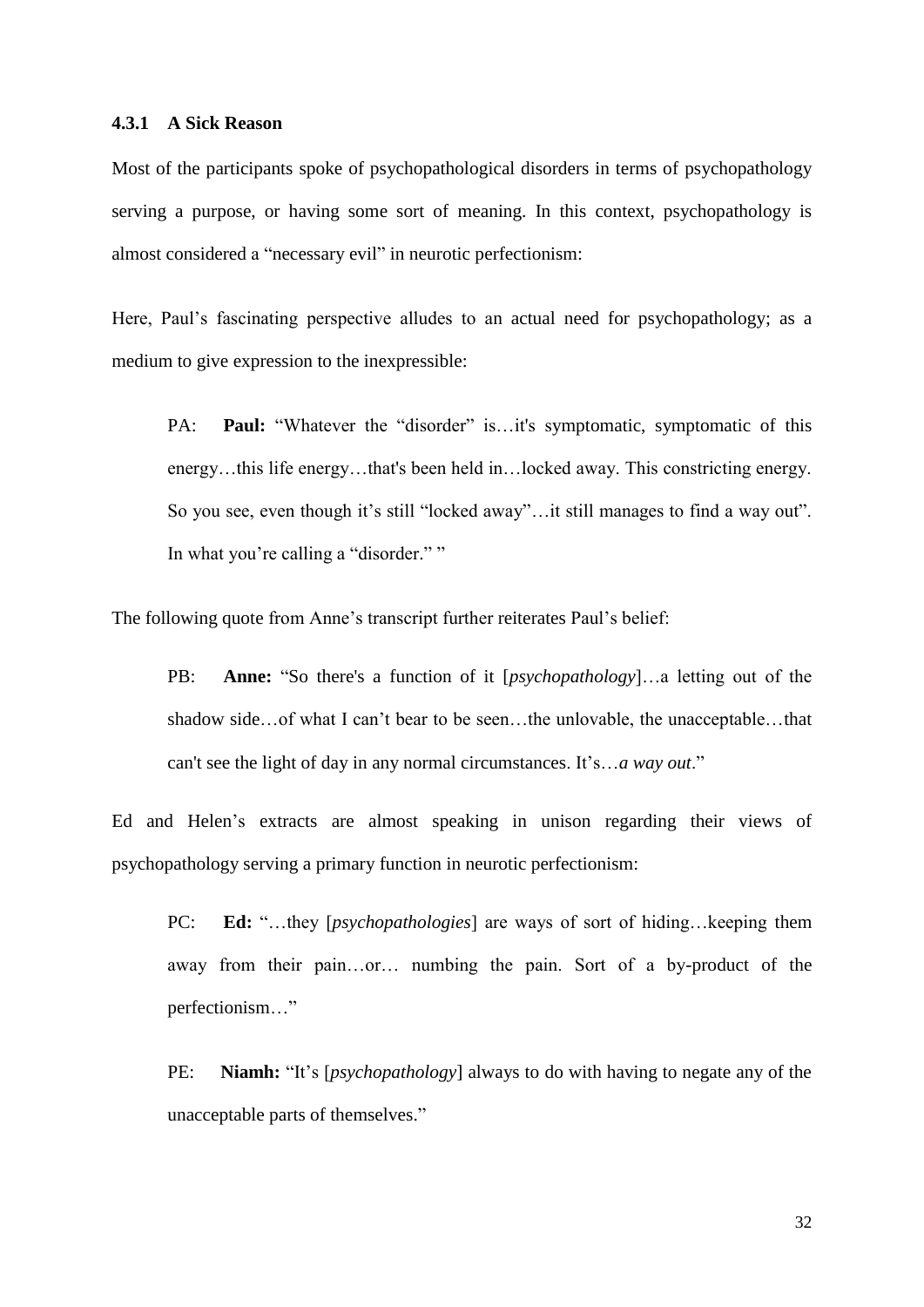#### **4.3.1 A Sick Reason**

Most of the participants spoke of psychopathological disorders in terms of psychopathology serving a purpose, or having some sort of meaning. In this context, psychopathology is almost considered a "necessary evil" in neurotic perfectionism:

Here, Paul's fascinating perspective alludes to an actual need for psychopathology; as a medium to give expression to the inexpressible:

PA: **Paul:** "Whatever the "disorder" is...it's symptomatic, symptomatic of this energy…this life energy…that's been held in…locked away. This constricting energy. So you see, even though it's still "locked away"... it still manages to find a way out". In what you're calling a "disorder.""

The following quote from Anne's transcript further reiterates Paul's belief:

PB: **Anne:** "So there's a function of it [*psychopathology*]…a letting out of the shadow side...of what I can't bear to be seen...the unlovable, the unacceptable...that can't see the light of day in any normal circumstances. It"s…*a way out*."

Ed and Helen"s extracts are almost speaking in unison regarding their views of psychopathology serving a primary function in neurotic perfectionism:

PC: **Ed:** "…they [*psychopathologies*] are ways of sort of hiding…keeping them away from their pain…or… numbing the pain. Sort of a by-product of the perfectionism…"

PE: Niamh: "It's [*psychopathology*] always to do with having to negate any of the unacceptable parts of themselves."

32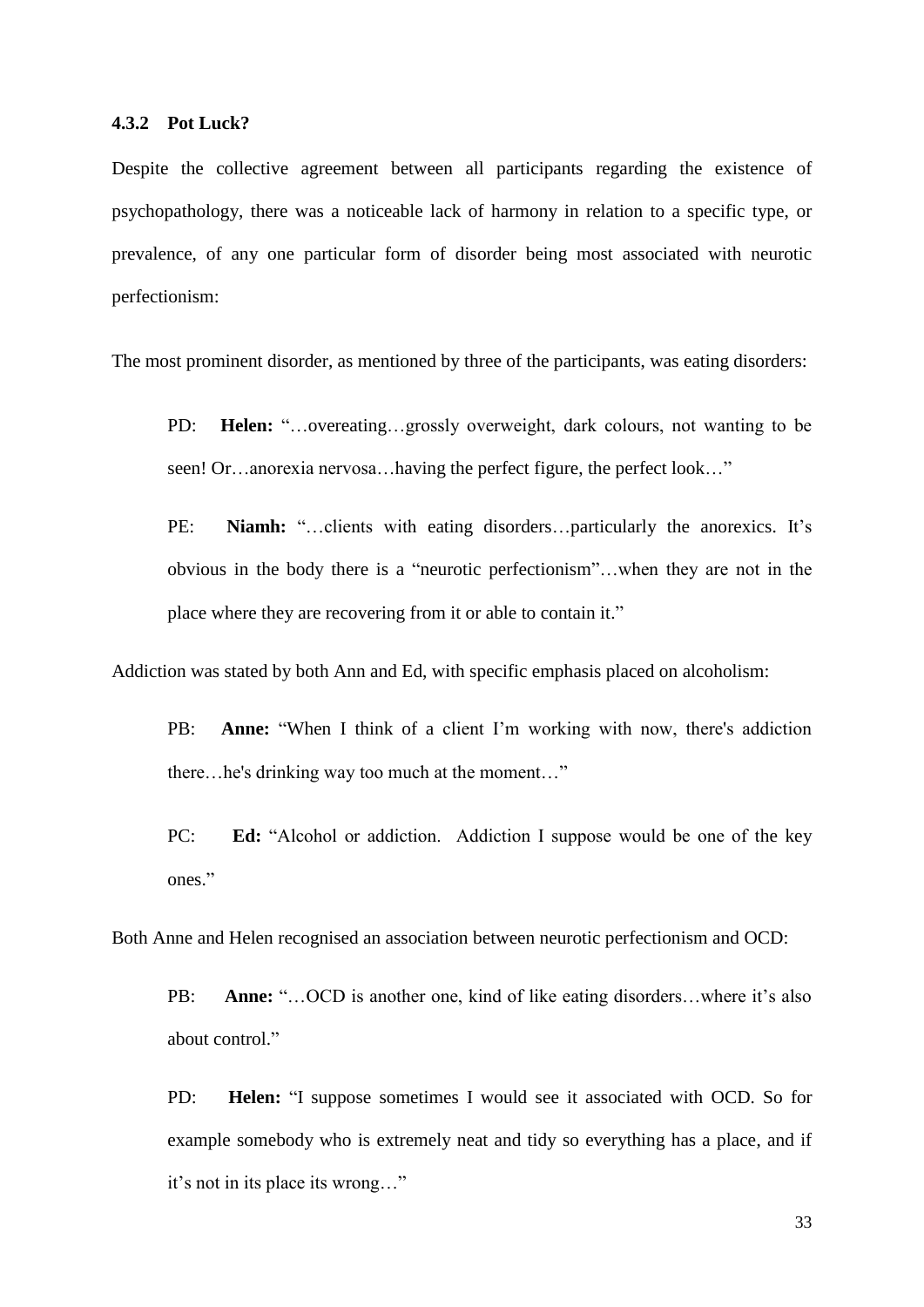Despite the collective agreement between all participants regarding the existence of psychopathology, there was a noticeable lack of harmony in relation to a specific type, or prevalence, of any one particular form of disorder being most associated with neurotic perfectionism:

The most prominent disorder, as mentioned by three of the participants, was eating disorders:

- PD: **Helen:** "…overeating…grossly overweight, dark colours, not wanting to be seen! Or…anorexia nervosa…having the perfect figure, the perfect look…"
- PE: **Niamh:** "...clients with eating disorders...particularly the anorexics. It's obvious in the body there is a "neurotic perfectionism"…when they are not in the place where they are recovering from it or able to contain it."

Addiction was stated by both Ann and Ed, with specific emphasis placed on alcoholism:

- PB: **Anne:** "When I think of a client I'm working with now, there's addiction there…he's drinking way too much at the moment…"
- PC: **Ed:** "Alcohol or addiction. Addiction I suppose would be one of the key ones."

Both Anne and Helen recognised an association between neurotic perfectionism and OCD:

PB: Anne: "...OCD is another one, kind of like eating disorders...where it's also about control."

PD: **Helen:** "I suppose sometimes I would see it associated with OCD. So for example somebody who is extremely neat and tidy so everything has a place, and if it"s not in its place its wrong…"

33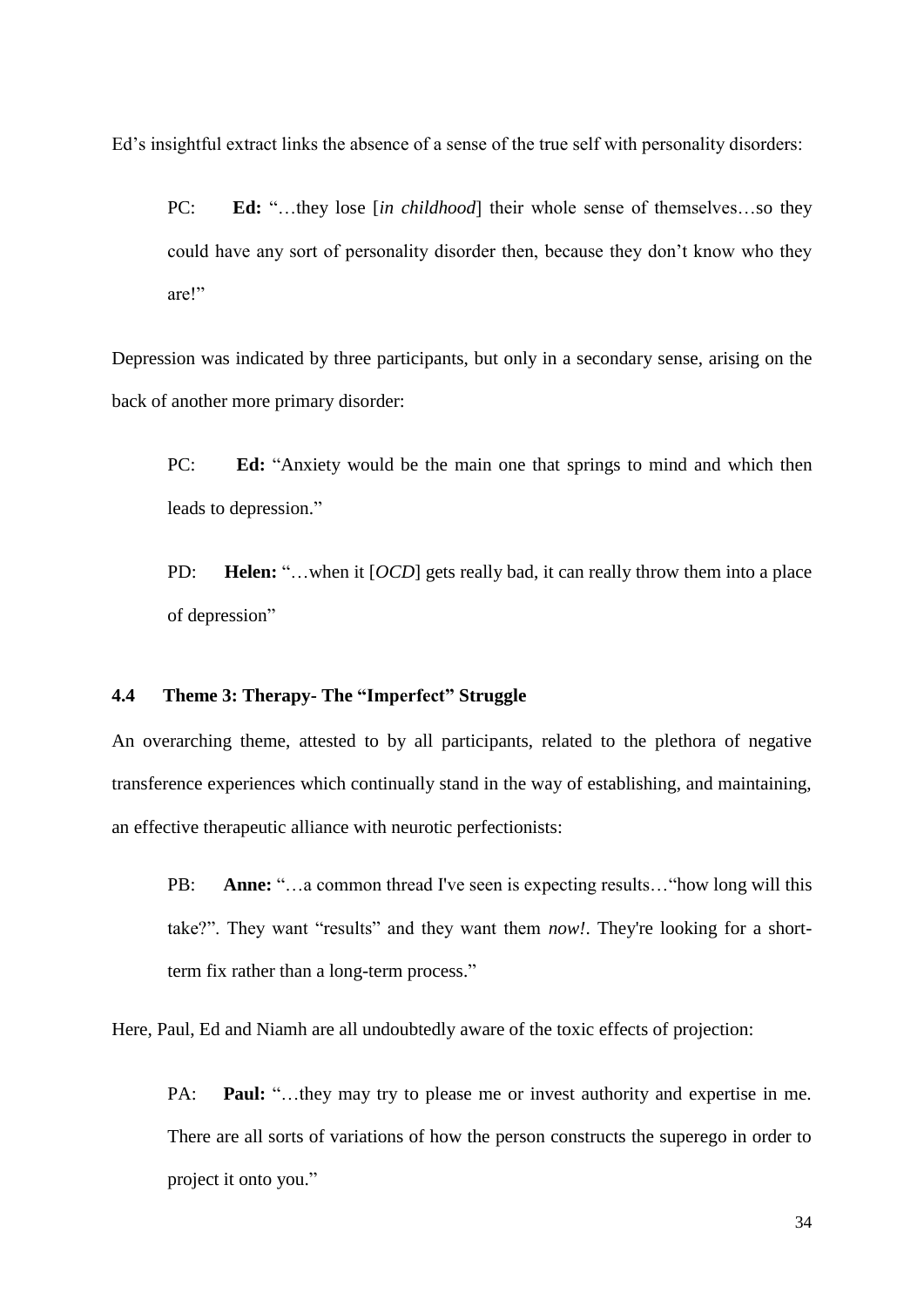Ed"s insightful extract links the absence of a sense of the true self with personality disorders:

PC: **Ed:** "…they lose [*in childhood*] their whole sense of themselves…so they could have any sort of personality disorder then, because they don"t know who they are!"

Depression was indicated by three participants, but only in a secondary sense, arising on the back of another more primary disorder:

PC: **Ed:** "Anxiety would be the main one that springs to mind and which then leads to depression."

PD: **Helen:** "…when it [*OCD*] gets really bad, it can really throw them into a place of depression"

## **4.4 Theme 3: Therapy- The "Imperfect" Struggle**

An overarching theme, attested to by all participants, related to the plethora of negative transference experiences which continually stand in the way of establishing, and maintaining, an effective therapeutic alliance with neurotic perfectionists:

PB: **Anne:** "…a common thread I've seen is expecting results…"how long will this take?". They want "results" and they want them *now!*. They're looking for a shortterm fix rather than a long-term process."

Here, Paul, Ed and Niamh are all undoubtedly aware of the toxic effects of projection:

PA: **Paul:** "...they may try to please me or invest authority and expertise in me. There are all sorts of variations of how the person constructs the superego in order to project it onto you."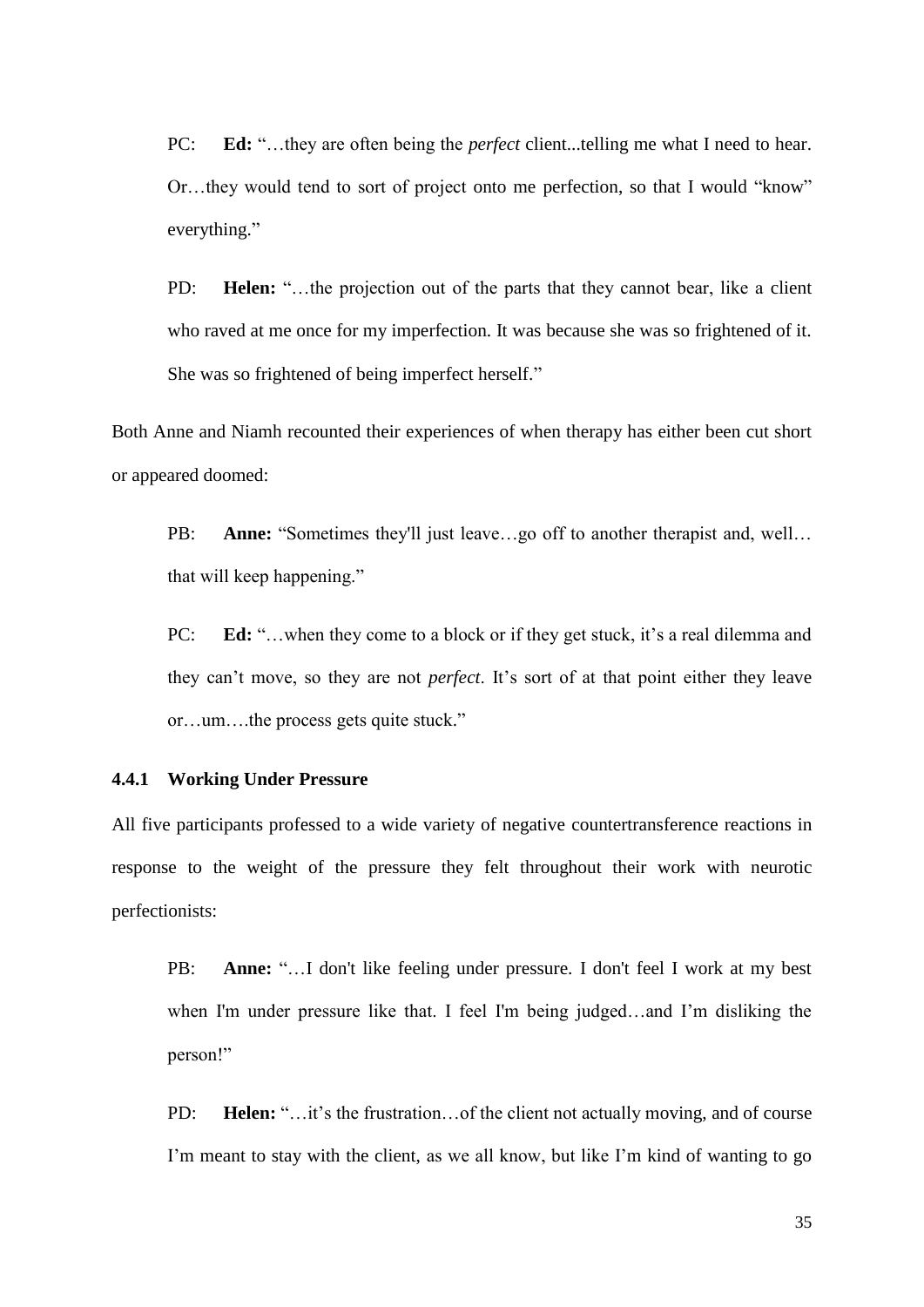PC: **Ed:** "...they are often being the *perfect* client...telling me what I need to hear. Or…they would tend to sort of project onto me perfection, so that I would "know" everything."

PD: **Helen:** "...the projection out of the parts that they cannot bear, like a client who raved at me once for my imperfection. It was because she was so frightened of it. She was so frightened of being imperfect herself."

Both Anne and Niamh recounted their experiences of when therapy has either been cut short or appeared doomed:

PB: Anne: "Sometimes they'll just leave...go off to another therapist and, well... that will keep happening."

PC: **Ed:** "...when they come to a block or if they get stuck, it's a real dilemma and they can't move, so they are not *perfect*. It's sort of at that point either they leave or…um….the process gets quite stuck."

#### **4.4.1 Working Under Pressure**

All five participants professed to a wide variety of negative countertransference reactions in response to the weight of the pressure they felt throughout their work with neurotic perfectionists:

PB: **Anne:** "...I don't like feeling under pressure. I don't feel I work at my best when I'm under pressure like that. I feel I'm being judged…and I"m disliking the person!"

PD: **Helen:** "…it's the frustration... of the client not actually moving, and of course I'm meant to stay with the client, as we all know, but like I'm kind of wanting to go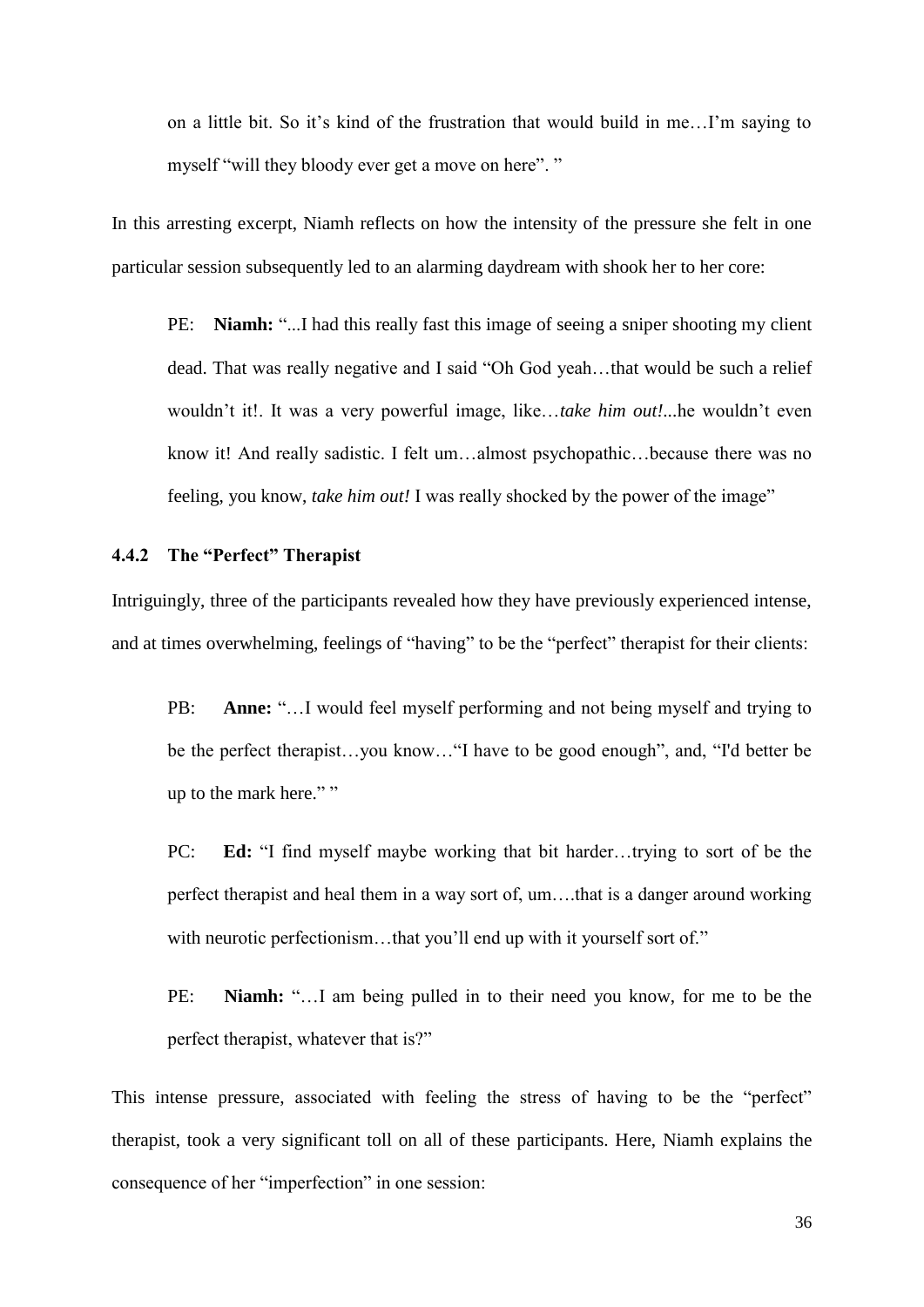on a little bit. So it"s kind of the frustration that would build in me…I"m saying to myself "will they bloody ever get a move on here". "

In this arresting excerpt, Niamh reflects on how the intensity of the pressure she felt in one particular session subsequently led to an alarming daydream with shook her to her core:

PE: Niamh: "...I had this really fast this image of seeing a sniper shooting my client dead. That was really negative and I said "Oh God yeah…that would be such a relief wouldn"t it!. It was a very powerful image, like…*take him out!...*he wouldn"t even know it! And really sadistic. I felt um…almost psychopathic…because there was no feeling, you know, *take him out!* I was really shocked by the power of the image"

#### **4.4.2 The "Perfect" Therapist**

Intriguingly, three of the participants revealed how they have previously experienced intense, and at times overwhelming, feelings of "having" to be the "perfect" therapist for their clients:

PB: **Anne:** "…I would feel myself performing and not being myself and trying to be the perfect therapist…you know…"I have to be good enough", and, "I'd better be up to the mark here." "

PC: **Ed:** "I find myself maybe working that bit harder…trying to sort of be the perfect therapist and heal them in a way sort of, um….that is a danger around working with neurotic perfectionism...that you'll end up with it yourself sort of."

PE: **Niamh:** "…I am being pulled in to their need you know, for me to be the perfect therapist, whatever that is?"

This intense pressure, associated with feeling the stress of having to be the "perfect" therapist, took a very significant toll on all of these participants. Here, Niamh explains the consequence of her "imperfection" in one session: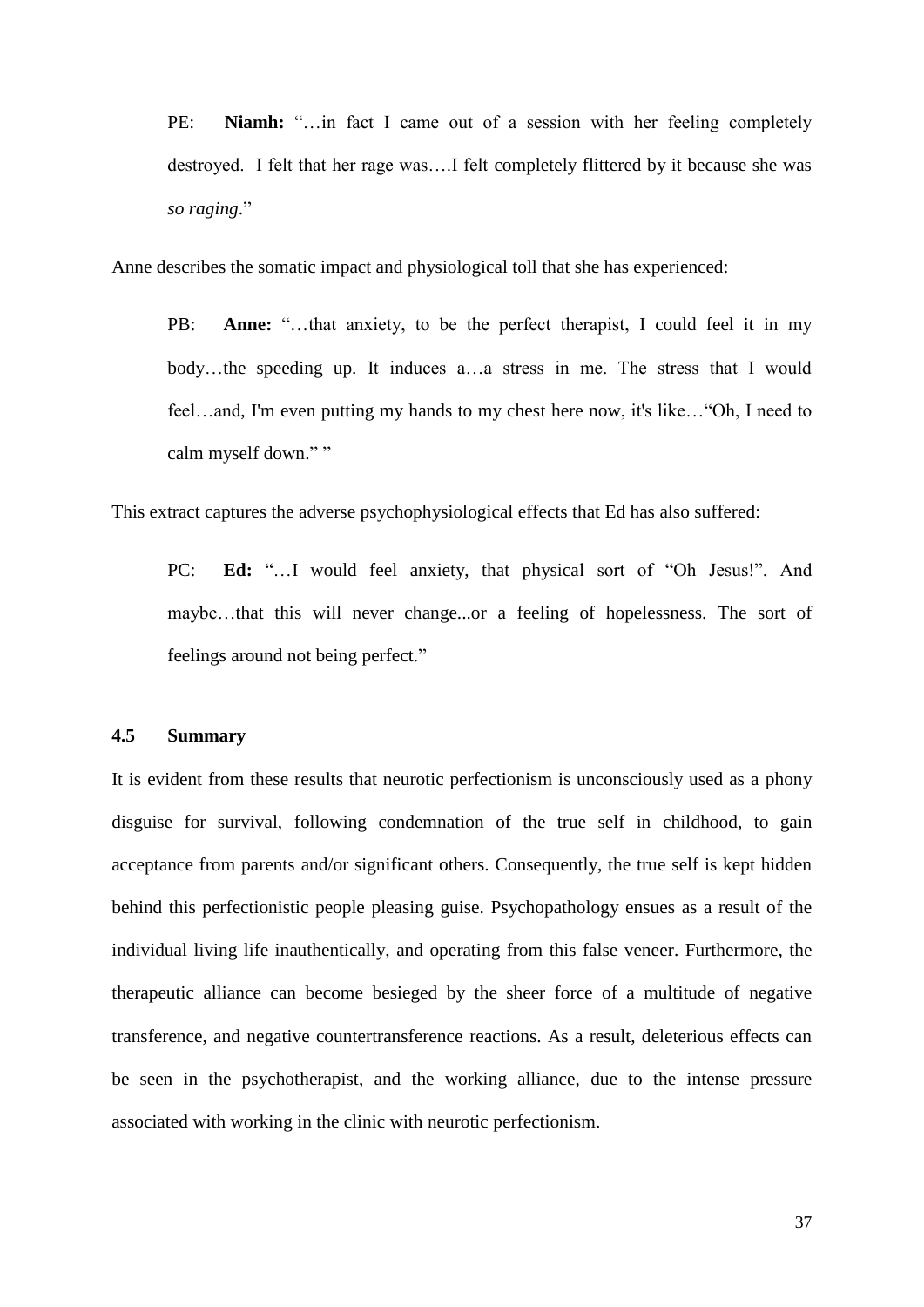PE: **Niamh:** "…in fact I came out of a session with her feeling completely destroyed. I felt that her rage was….I felt completely flittered by it because she was *so raging*."

Anne describes the somatic impact and physiological toll that she has experienced:

PB: **Anne:** "...that anxiety, to be the perfect therapist, I could feel it in my body…the speeding up. It induces a…a stress in me. The stress that I would feel…and, I'm even putting my hands to my chest here now, it's like…"Oh, I need to calm myself down." "

This extract captures the adverse psychophysiological effects that Ed has also suffered:

PC: **Ed:** "…I would feel anxiety, that physical sort of "Oh Jesus!". And maybe…that this will never change...or a feeling of hopelessness. The sort of feelings around not being perfect."

#### **4.5 Summary**

It is evident from these results that neurotic perfectionism is unconsciously used as a phony disguise for survival, following condemnation of the true self in childhood, to gain acceptance from parents and/or significant others. Consequently, the true self is kept hidden behind this perfectionistic people pleasing guise. Psychopathology ensues as a result of the individual living life inauthentically, and operating from this false veneer. Furthermore, the therapeutic alliance can become besieged by the sheer force of a multitude of negative transference, and negative countertransference reactions. As a result, deleterious effects can be seen in the psychotherapist, and the working alliance, due to the intense pressure associated with working in the clinic with neurotic perfectionism.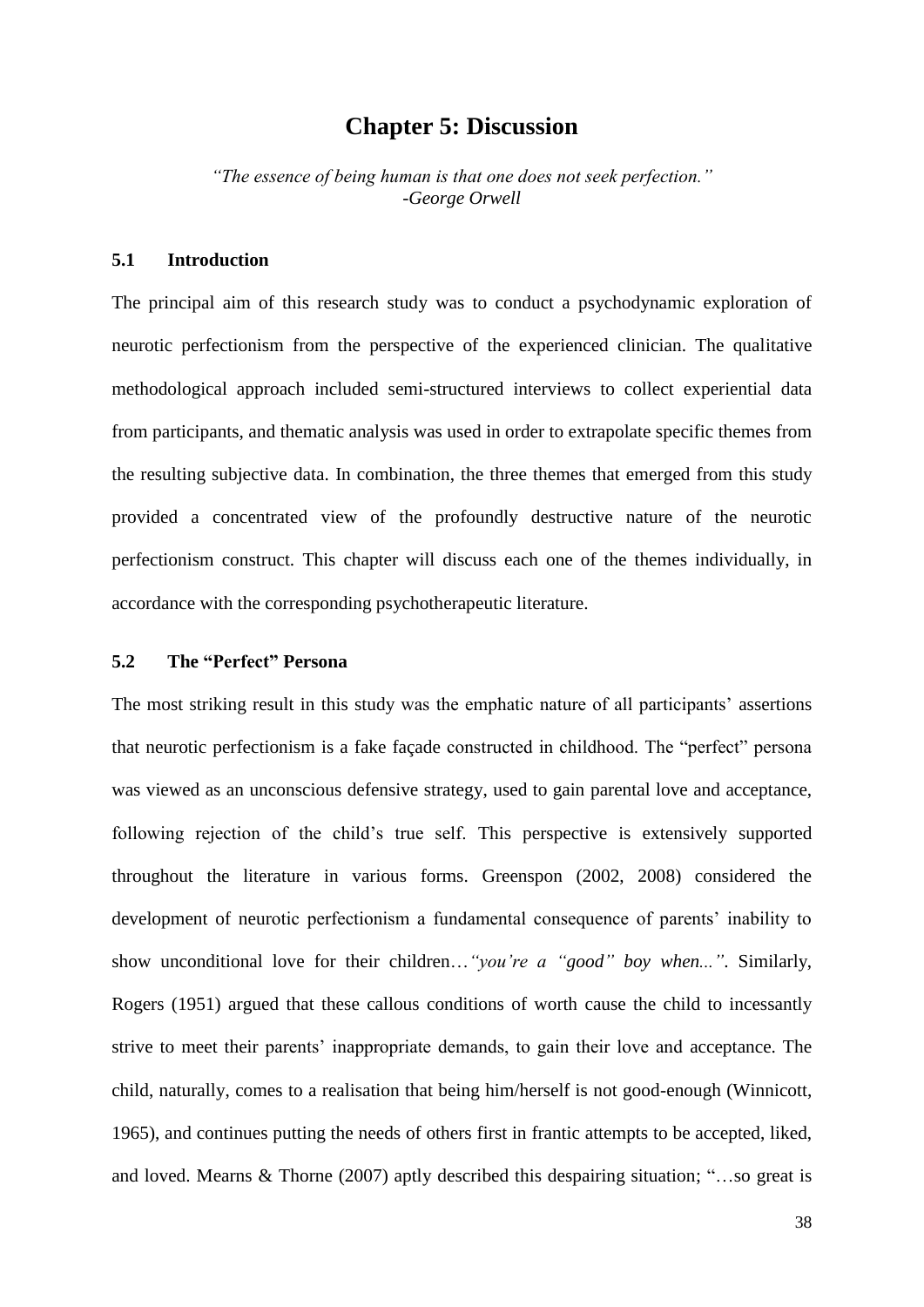# **Chapter 5: Discussion**

*"The essence of being human is that one does not seek perfection."* -*[George Orwell](http://www.finestquotes.com/author_quotes-author-George%20Orwell-page-0.htm)*

#### **5.1 Introduction**

The principal aim of this research study was to conduct a psychodynamic exploration of neurotic perfectionism from the perspective of the experienced clinician. The qualitative methodological approach included semi-structured interviews to collect experiential data from participants, and thematic analysis was used in order to extrapolate specific themes from the resulting subjective data. In combination, the three themes that emerged from this study provided a concentrated view of the profoundly destructive nature of the neurotic perfectionism construct. This chapter will discuss each one of the themes individually, in accordance with the corresponding psychotherapeutic literature.

#### **5.2 The "Perfect" Persona**

The most striking result in this study was the emphatic nature of all participants' assertions that neurotic perfectionism is a fake façade constructed in childhood. The "perfect" persona was viewed as an unconscious defensive strategy, used to gain parental love and acceptance, following rejection of the child"s true self. This perspective is extensively supported throughout the literature in various forms. Greenspon (2002, 2008) considered the development of neurotic perfectionism a fundamental consequence of parents" inability to show unconditional love for their children…*"you're a "good" boy when..."*. Similarly, Rogers (1951) argued that these callous conditions of worth cause the child to incessantly strive to meet their parents' inappropriate demands, to gain their love and acceptance. The child, naturally, comes to a realisation that being him/herself is not good-enough (Winnicott, 1965), and continues putting the needs of others first in frantic attempts to be accepted, liked, and loved. Mearns & Thorne (2007) aptly described this despairing situation; "…so great is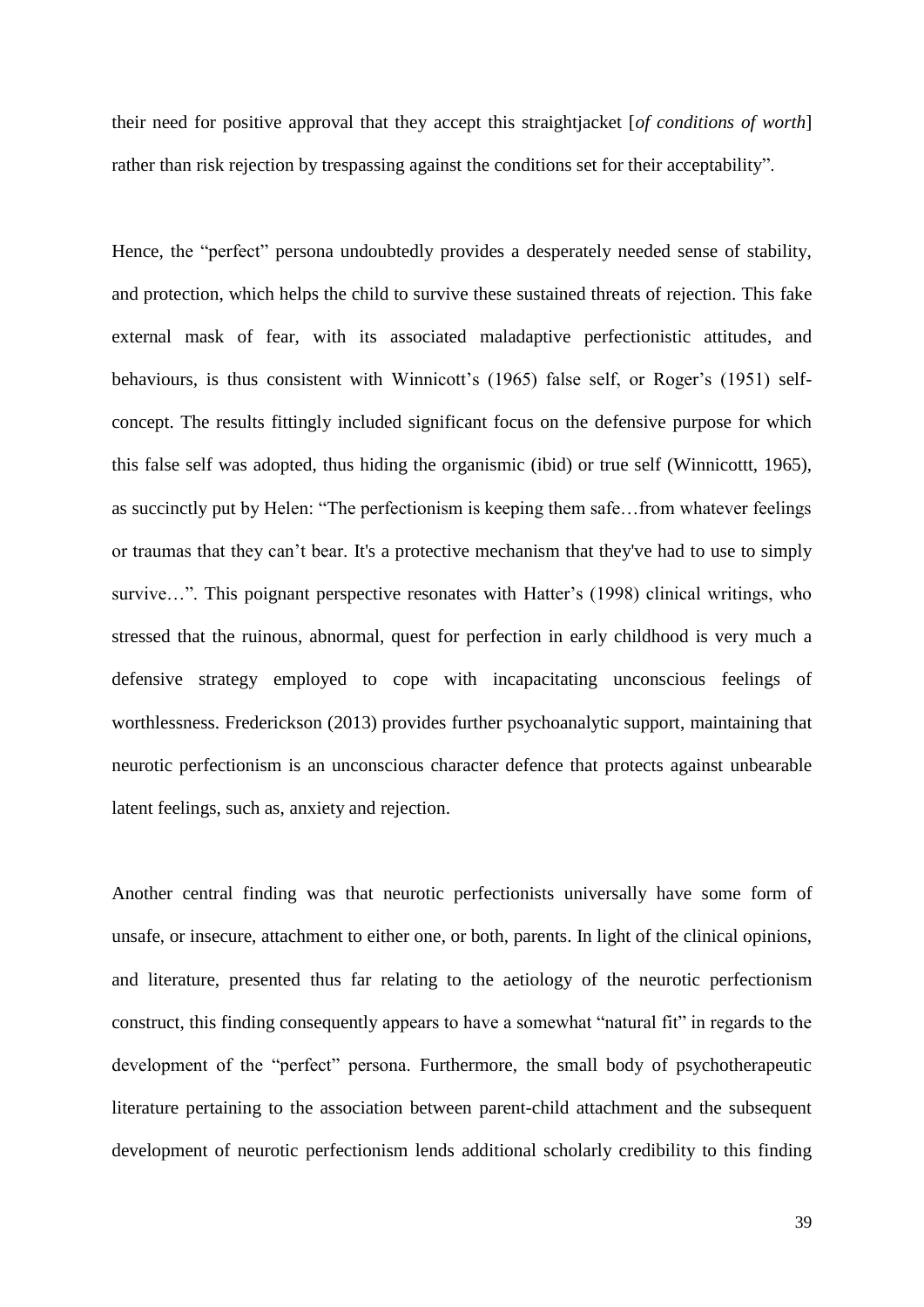their need for positive approval that they accept this straightjacket [*of conditions of worth*] rather than risk rejection by trespassing against the conditions set for their acceptability".

Hence, the "perfect" persona undoubtedly provides a desperately needed sense of stability, and protection, which helps the child to survive these sustained threats of rejection. This fake external mask of fear, with its associated maladaptive perfectionistic attitudes, and behaviours, is thus consistent with Winnicott's (1965) false self, or Roger's (1951) selfconcept. The results fittingly included significant focus on the defensive purpose for which this false self was adopted, thus hiding the organismic (ibid) or true self (Winnicottt, 1965), as succinctly put by Helen: "The perfectionism is keeping them safe…from whatever feelings or traumas that they can"t bear. It's a protective mechanism that they've had to use to simply survive...". This poignant perspective resonates with Hatter's (1998) clinical writings, who stressed that the ruinous, abnormal, quest for perfection in early childhood is very much a defensive strategy employed to cope with incapacitating unconscious feelings of worthlessness. Frederickson (2013) provides further psychoanalytic support, maintaining that neurotic perfectionism is an unconscious character defence that protects against unbearable latent feelings, such as, anxiety and rejection.

Another central finding was that neurotic perfectionists universally have some form of unsafe, or insecure, attachment to either one, or both, parents. In light of the clinical opinions, and literature, presented thus far relating to the aetiology of the neurotic perfectionism construct, this finding consequently appears to have a somewhat "natural fit" in regards to the development of the "perfect" persona. Furthermore, the small body of psychotherapeutic literature pertaining to the association between parent-child attachment and the subsequent development of neurotic perfectionism lends additional scholarly credibility to this finding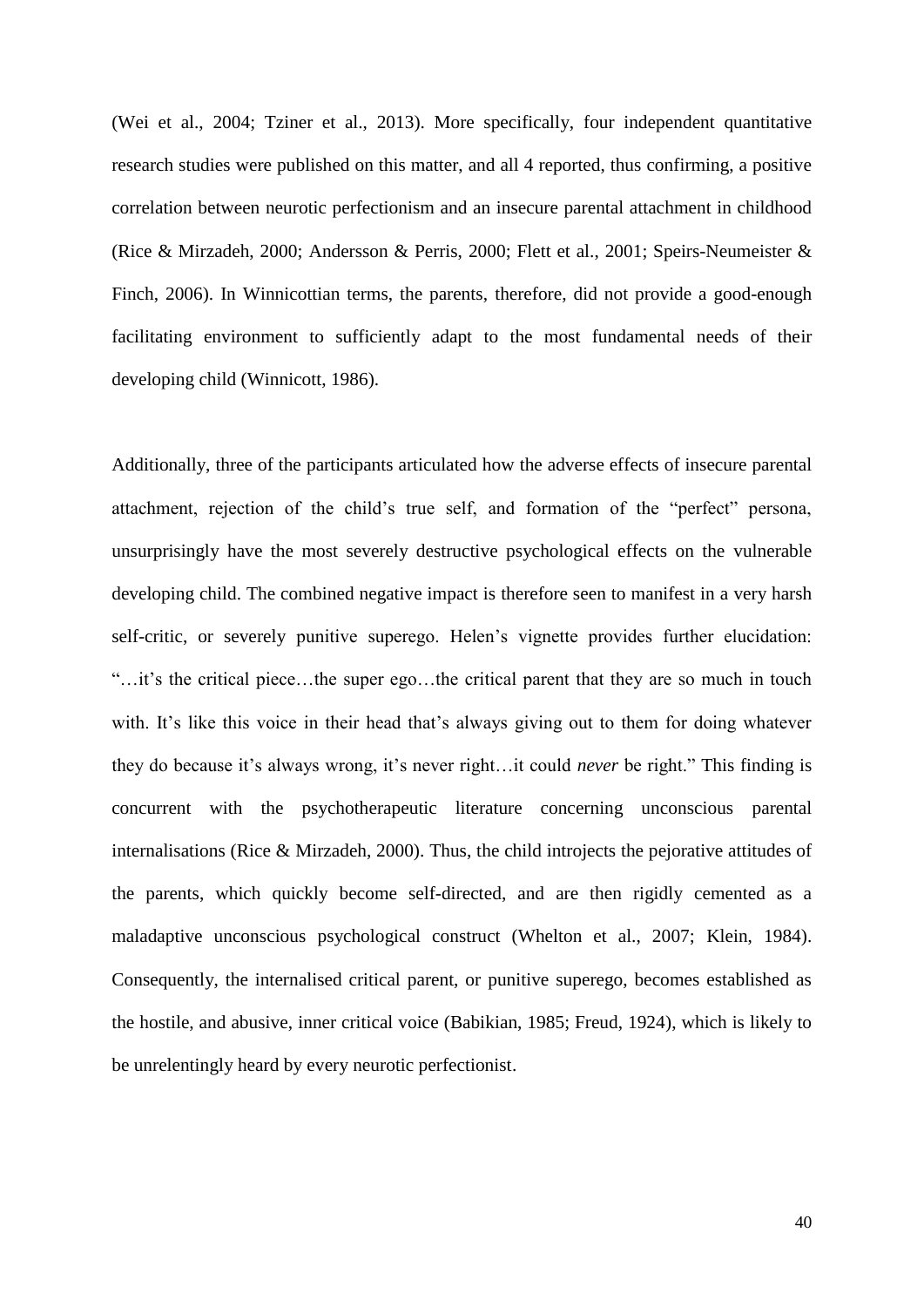(Wei et al., 2004; Tziner et al., 2013). More specifically, four independent quantitative research studies were published on this matter, and all 4 reported, thus confirming, a positive correlation between neurotic perfectionism and an insecure parental attachment in childhood (Rice & Mirzadeh, 2000; Andersson & Perris, 2000; Flett et al., 2001; Speirs-Neumeister & Finch, 2006). In Winnicottian terms, the parents, therefore, did not provide a good-enough facilitating environment to sufficiently adapt to the most fundamental needs of their developing child (Winnicott, 1986).

Additionally, three of the participants articulated how the adverse effects of insecure parental attachment, rejection of the child"s true self, and formation of the "perfect" persona, unsurprisingly have the most severely destructive psychological effects on the vulnerable developing child. The combined negative impact is therefore seen to manifest in a very harsh self-critic, or severely punitive superego. Helen's vignette provides further elucidation: "…it"s the critical piece…the super ego…the critical parent that they are so much in touch with. It's like this voice in their head that's always giving out to them for doing whatever they do because it's always wrong, it's never right...it could *never* be right." This finding is concurrent with the psychotherapeutic literature concerning unconscious parental internalisations (Rice & Mirzadeh, 2000). Thus, the child introjects the pejorative attitudes of the parents, which quickly become self-directed, and are then rigidly cemented as a maladaptive unconscious psychological construct (Whelton et al., 2007; Klein, 1984). Consequently, the internalised critical parent, or punitive superego, becomes established as the hostile, and abusive, inner critical voice (Babikian, 1985; Freud, 1924), which is likely to be unrelentingly heard by every neurotic perfectionist.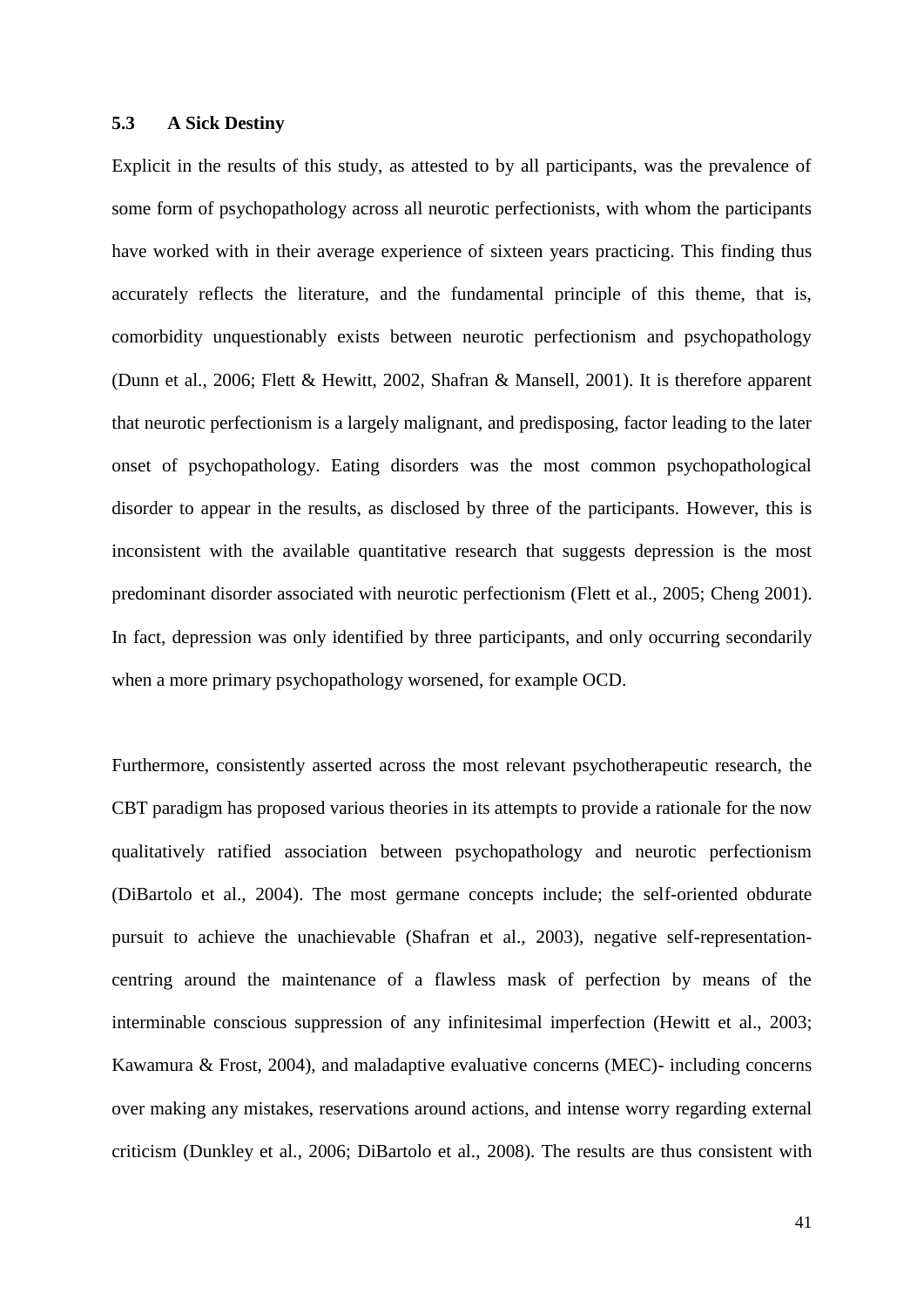#### **5.3 A Sick Destiny**

Explicit in the results of this study, as attested to by all participants, was the prevalence of some form of psychopathology across all neurotic perfectionists, with whom the participants have worked with in their average experience of sixteen years practicing. This finding thus accurately reflects the literature, and the fundamental principle of this theme, that is, comorbidity unquestionably exists between neurotic perfectionism and psychopathology (Dunn et al., 2006; Flett & Hewitt, 2002, Shafran & Mansell, 2001). It is therefore apparent that neurotic perfectionism is a largely malignant, and predisposing, factor leading to the later onset of psychopathology. Eating disorders was the most common psychopathological disorder to appear in the results, as disclosed by three of the participants. However, this is inconsistent with the available quantitative research that suggests depression is the most predominant disorder associated with neurotic perfectionism (Flett et al., 2005; Cheng 2001). In fact, depression was only identified by three participants, and only occurring secondarily when a more primary psychopathology worsened, for example OCD.

Furthermore, consistently asserted across the most relevant psychotherapeutic research, the CBT paradigm has proposed various theories in its attempts to provide a rationale for the now qualitatively ratified association between psychopathology and neurotic perfectionism (DiBartolo et al., 2004). The most germane concepts include; the self-oriented obdurate pursuit to achieve the unachievable (Shafran et al., 2003), negative self-representationcentring around the maintenance of a flawless mask of perfection by means of the interminable conscious suppression of any infinitesimal imperfection (Hewitt et al., 2003; Kawamura & Frost, 2004), and maladaptive evaluative concerns (MEC)- including concerns over making any mistakes, reservations around actions, and intense worry regarding external criticism (Dunkley et al., 2006; DiBartolo et al., 2008). The results are thus consistent with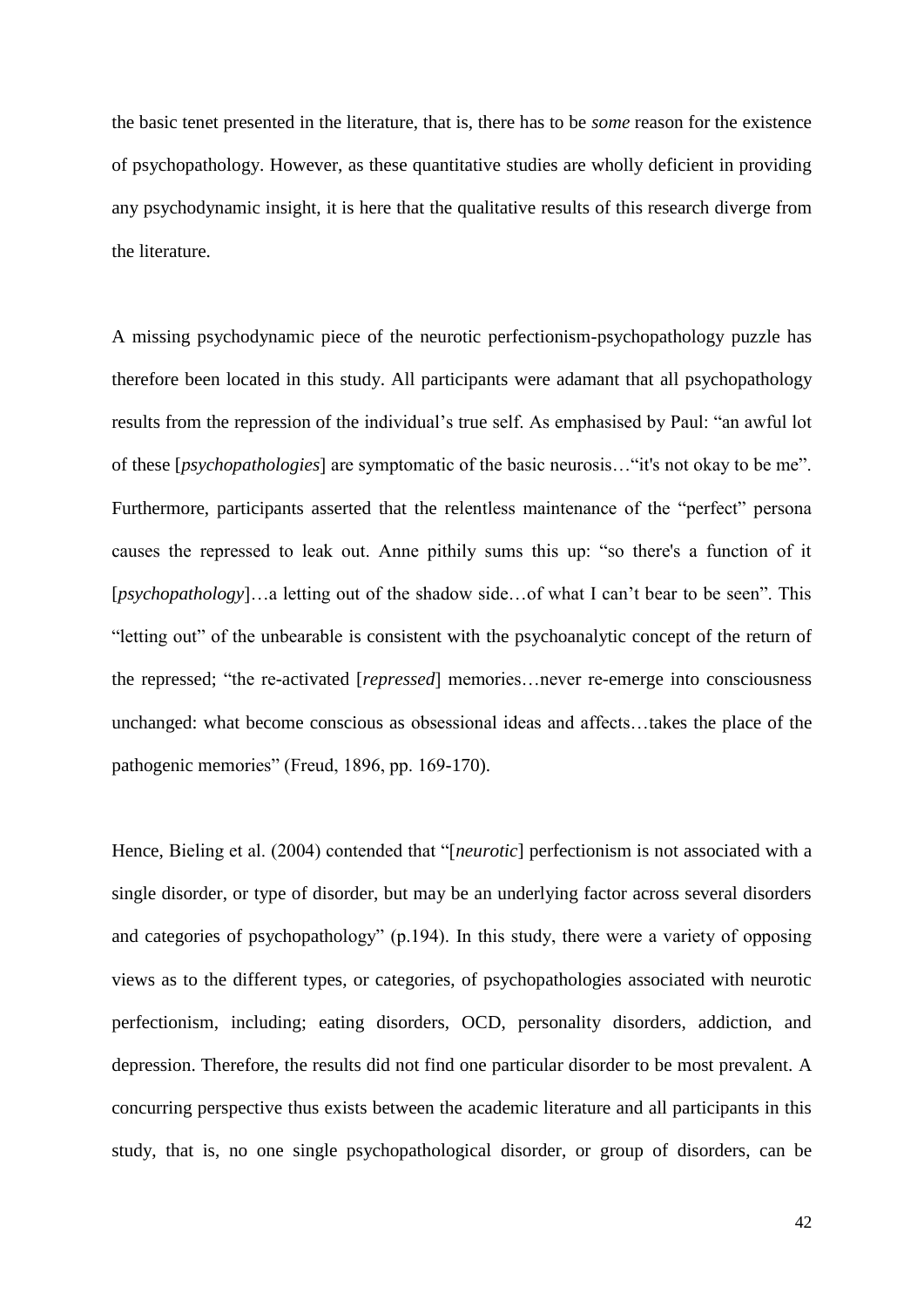the basic tenet presented in the literature, that is, there has to be *some* reason for the existence of psychopathology. However, as these quantitative studies are wholly deficient in providing any psychodynamic insight, it is here that the qualitative results of this research diverge from the literature.

A missing psychodynamic piece of the neurotic perfectionism-psychopathology puzzle has therefore been located in this study. All participants were adamant that all psychopathology results from the repression of the individual's true self. As emphasised by Paul: "an awful lot of these [*psychopathologies*] are symptomatic of the basic neurosis…"it's not okay to be me". Furthermore, participants asserted that the relentless maintenance of the "perfect" persona causes the repressed to leak out. Anne pithily sums this up: "so there's a function of it [*psychopathology*]…a letting out of the shadow side…of what I can't bear to be seen". This "letting out" of the unbearable is consistent with the psychoanalytic concept of the return of the repressed; "the re-activated [*repressed*] memories…never re-emerge into consciousness unchanged: what become conscious as obsessional ideas and affects…takes the place of the pathogenic memories" (Freud, 1896, pp. 169-170).

Hence, Bieling et al. (2004) contended that "[*neurotic*] perfectionism is not associated with a single disorder, or type of disorder, but may be an underlying factor across several disorders and categories of psychopathology" (p.194). In this study, there were a variety of opposing views as to the different types, or categories, of psychopathologies associated with neurotic perfectionism, including; eating disorders, OCD, personality disorders, addiction, and depression. Therefore, the results did not find one particular disorder to be most prevalent. A concurring perspective thus exists between the academic literature and all participants in this study, that is, no one single psychopathological disorder, or group of disorders, can be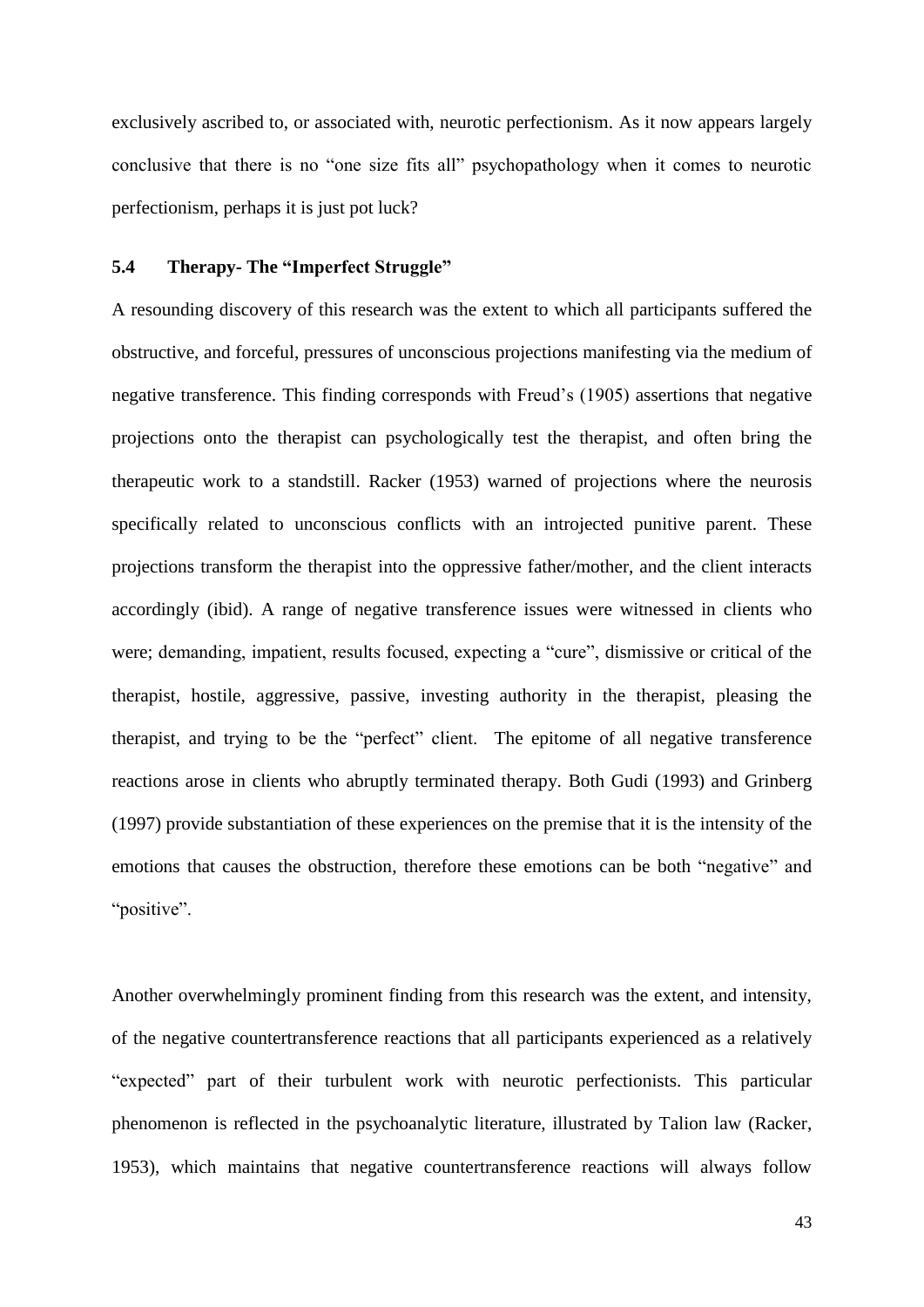exclusively ascribed to, or associated with, neurotic perfectionism. As it now appears largely conclusive that there is no "one size fits all" psychopathology when it comes to neurotic perfectionism, perhaps it is just pot luck?

#### **5.4 Therapy- The "Imperfect Struggle"**

A resounding discovery of this research was the extent to which all participants suffered the obstructive, and forceful, pressures of unconscious projections manifesting via the medium of negative transference. This finding corresponds with Freud"s (1905) assertions that negative projections onto the therapist can psychologically test the therapist, and often bring the therapeutic work to a standstill. Racker (1953) warned of projections where the neurosis specifically related to unconscious conflicts with an introjected punitive parent. These projections transform the therapist into the oppressive father/mother, and the client interacts accordingly (ibid). A range of negative transference issues were witnessed in clients who were; demanding, impatient, results focused, expecting a "cure", dismissive or critical of the therapist, hostile, aggressive, passive, investing authority in the therapist, pleasing the therapist, and trying to be the "perfect" client. The epitome of all negative transference reactions arose in clients who abruptly terminated therapy. Both Gudi (1993) and Grinberg (1997) provide substantiation of these experiences on the premise that it is the intensity of the emotions that causes the obstruction, therefore these emotions can be both "negative" and "positive".

Another overwhelmingly prominent finding from this research was the extent, and intensity, of the negative countertransference reactions that all participants experienced as a relatively "expected" part of their turbulent work with neurotic perfectionists. This particular phenomenon is reflected in the psychoanalytic literature, illustrated by Talion law (Racker, 1953), which maintains that negative countertransference reactions will always follow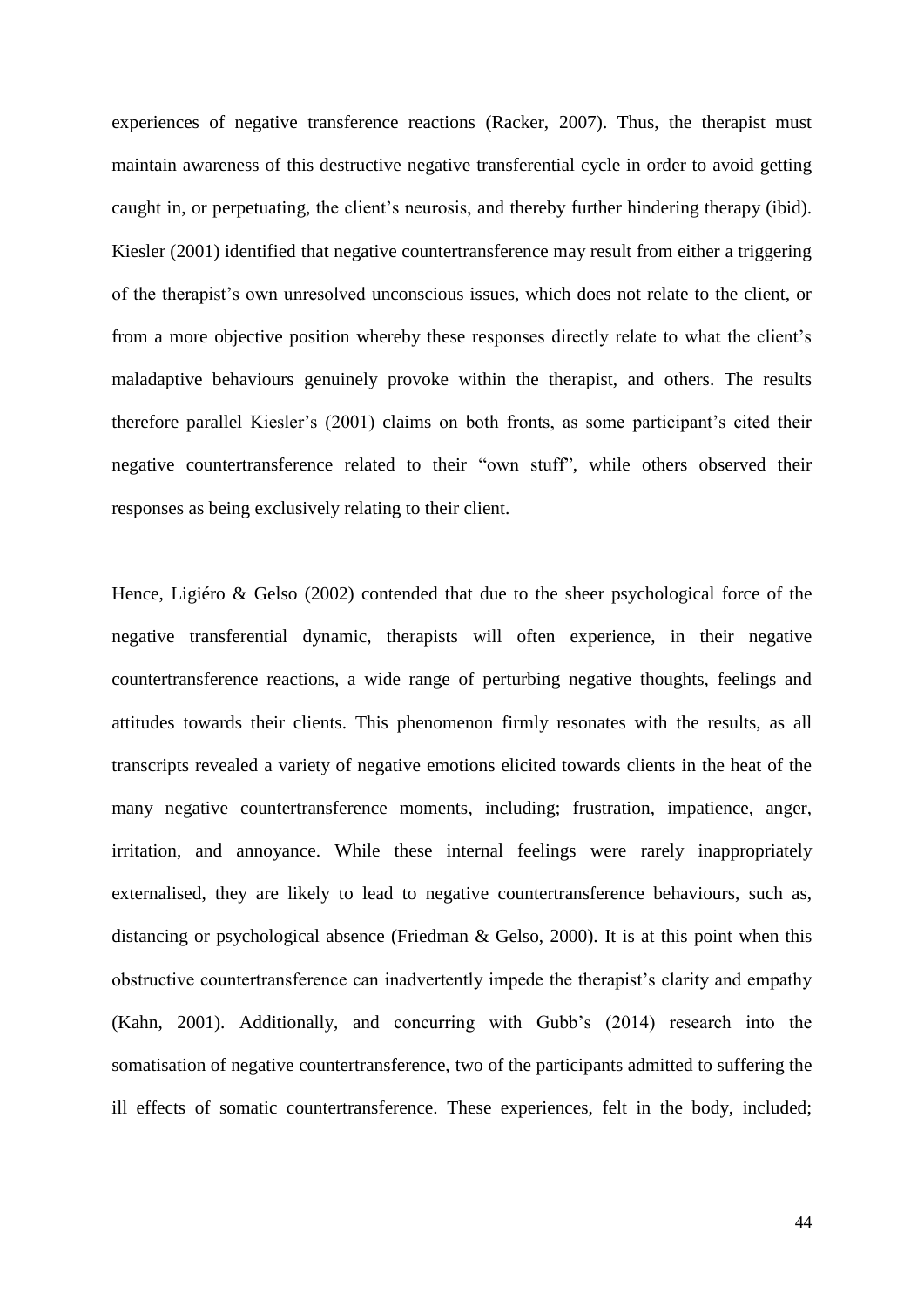experiences of negative transference reactions (Racker, 2007). Thus, the therapist must maintain awareness of this destructive negative transferential cycle in order to avoid getting caught in, or perpetuating, the client"s neurosis, and thereby further hindering therapy (ibid). Kiesler (2001) identified that negative countertransference may result from either a triggering of the therapist"s own unresolved unconscious issues, which does not relate to the client, or from a more objective position whereby these responses directly relate to what the client"s maladaptive behaviours genuinely provoke within the therapist, and others. The results therefore parallel Kiesler"s (2001) claims on both fronts, as some participant"s cited their negative countertransference related to their "own stuff", while others observed their responses as being exclusively relating to their client.

Hence, Ligiéro & Gelso (2002) contended that due to the sheer psychological force of the negative transferential dynamic, therapists will often experience, in their negative countertransference reactions, a wide range of perturbing negative thoughts, feelings and attitudes towards their clients. This phenomenon firmly resonates with the results, as all transcripts revealed a variety of negative emotions elicited towards clients in the heat of the many negative countertransference moments, including; frustration, impatience, anger, irritation, and annoyance. While these internal feelings were rarely inappropriately externalised, they are likely to lead to negative countertransference behaviours, such as, distancing or psychological absence (Friedman & Gelso, 2000). It is at this point when this obstructive countertransference can inadvertently impede the therapist's clarity and empathy (Kahn, 2001). Additionally, and concurring with Gubb"s (2014) research into the somatisation of negative countertransference, two of the participants admitted to suffering the ill effects of somatic countertransference. These experiences, felt in the body, included;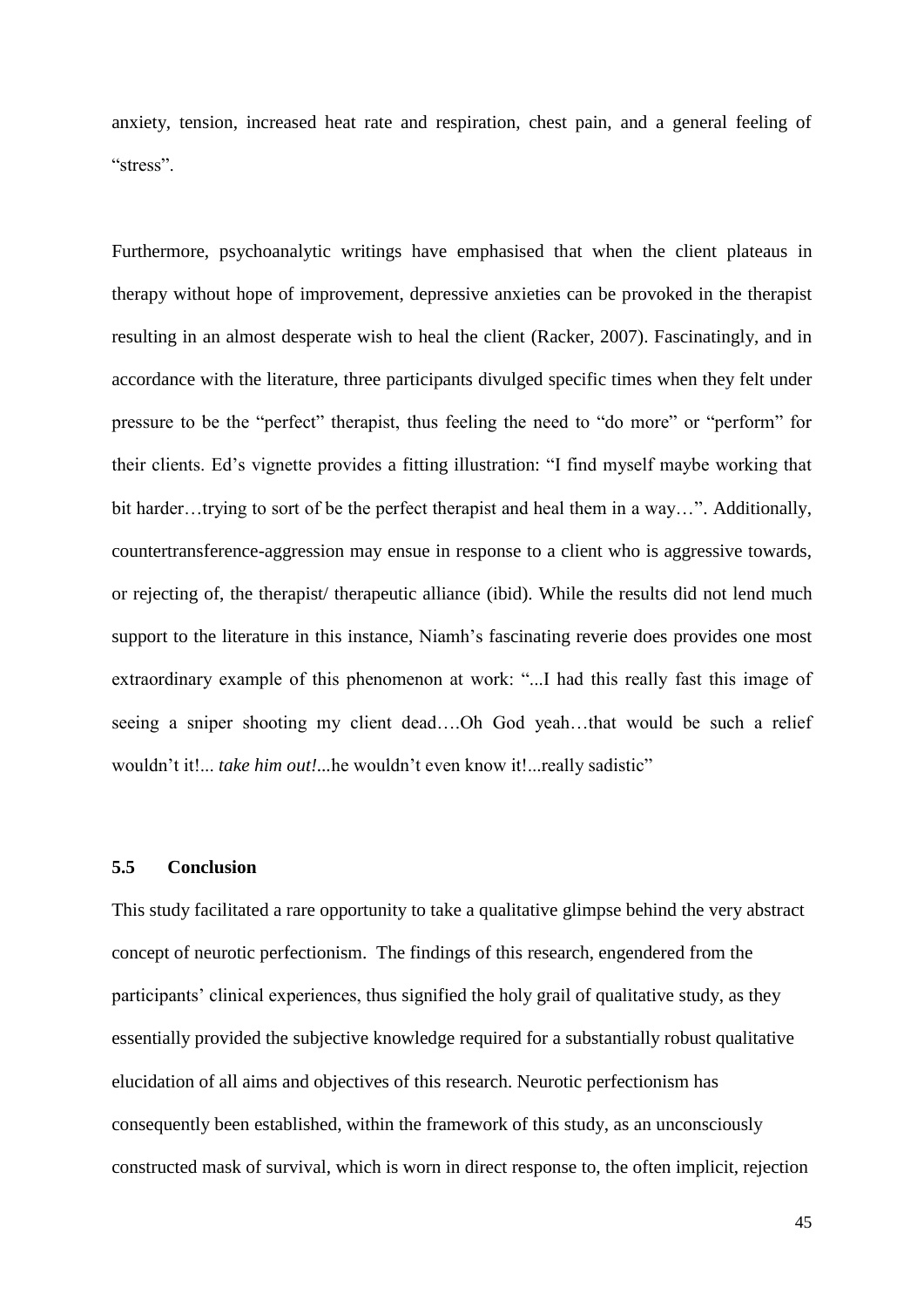anxiety, tension, increased heat rate and respiration, chest pain, and a general feeling of "stress".

Furthermore, psychoanalytic writings have emphasised that when the client plateaus in therapy without hope of improvement, depressive anxieties can be provoked in the therapist resulting in an almost desperate wish to heal the client (Racker, 2007). Fascinatingly, and in accordance with the literature, three participants divulged specific times when they felt under pressure to be the "perfect" therapist, thus feeling the need to "do more" or "perform" for their clients. Ed"s vignette provides a fitting illustration: "I find myself maybe working that bit harder…trying to sort of be the perfect therapist and heal them in a way…". Additionally, countertransference-aggression may ensue in response to a client who is aggressive towards, or rejecting of, the therapist/ therapeutic alliance (ibid). While the results did not lend much support to the literature in this instance, Niamh's fascinating reverie does provides one most extraordinary example of this phenomenon at work: "...I had this really fast this image of seeing a sniper shooting my client dead….Oh God yeah…that would be such a relief wouldn't it!... *take him out!*...he wouldn't even know it!...*really sadistic*"

#### **5.5 Conclusion**

This study facilitated a rare opportunity to take a qualitative glimpse behind the very abstract concept of neurotic perfectionism. The findings of this research, engendered from the participants' clinical experiences, thus signified the holy grail of qualitative study, as they essentially provided the subjective knowledge required for a substantially robust qualitative elucidation of all aims and objectives of this research. Neurotic perfectionism has consequently been established, within the framework of this study, as an unconsciously constructed mask of survival, which is worn in direct response to, the often implicit, rejection

45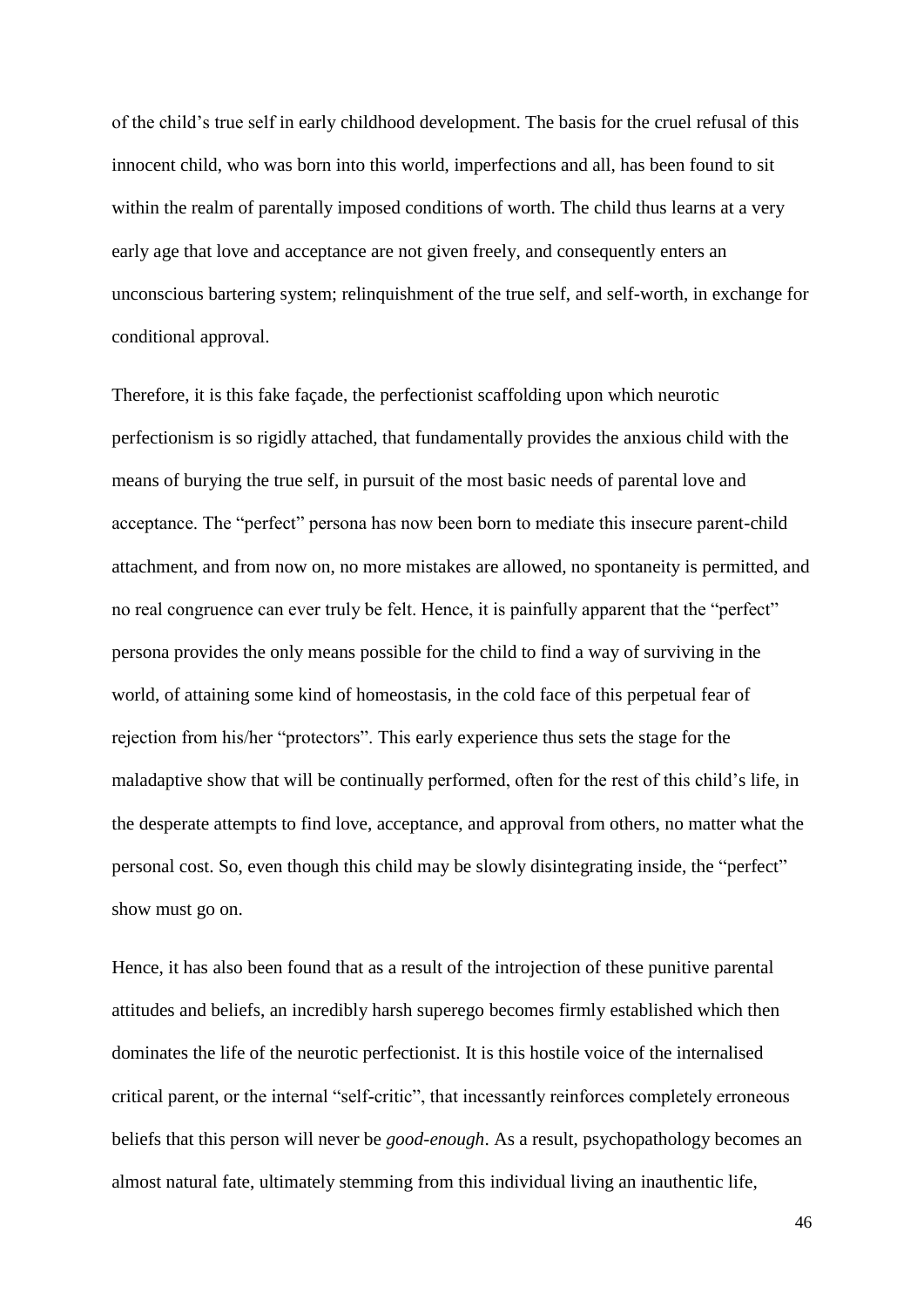of the child"s true self in early childhood development. The basis for the cruel refusal of this innocent child, who was born into this world, imperfections and all, has been found to sit within the realm of parentally imposed conditions of worth. The child thus learns at a very early age that love and acceptance are not given freely, and consequently enters an unconscious bartering system; relinquishment of the true self, and self-worth, in exchange for conditional approval.

Therefore, it is this fake façade, the perfectionist scaffolding upon which neurotic perfectionism is so rigidly attached, that fundamentally provides the anxious child with the means of burying the true self, in pursuit of the most basic needs of parental love and acceptance. The "perfect" persona has now been born to mediate this insecure parent-child attachment, and from now on, no more mistakes are allowed, no spontaneity is permitted, and no real congruence can ever truly be felt. Hence, it is painfully apparent that the "perfect" persona provides the only means possible for the child to find a way of surviving in the world, of attaining some kind of homeostasis, in the cold face of this perpetual fear of rejection from his/her "protectors". This early experience thus sets the stage for the maladaptive show that will be continually performed, often for the rest of this child"s life, in the desperate attempts to find love, acceptance, and approval from others, no matter what the personal cost. So, even though this child may be slowly disintegrating inside, the "perfect" show must go on.

Hence, it has also been found that as a result of the introjection of these punitive parental attitudes and beliefs, an incredibly harsh superego becomes firmly established which then dominates the life of the neurotic perfectionist. It is this hostile voice of the internalised critical parent, or the internal "self-critic", that incessantly reinforces completely erroneous beliefs that this person will never be *good-enough*. As a result, psychopathology becomes an almost natural fate, ultimately stemming from this individual living an inauthentic life,

46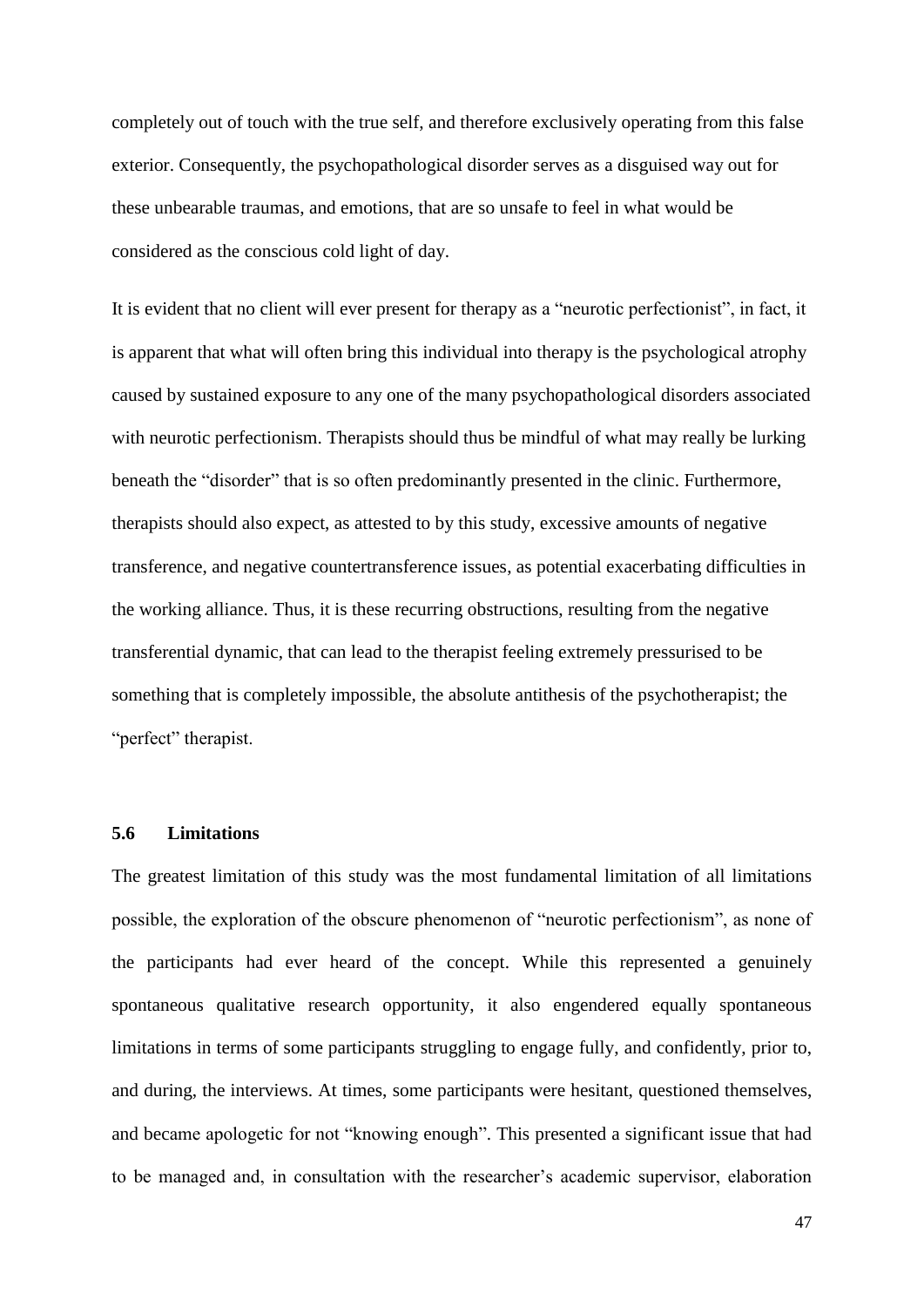completely out of touch with the true self, and therefore exclusively operating from this false exterior. Consequently, the psychopathological disorder serves as a disguised way out for these unbearable traumas, and emotions, that are so unsafe to feel in what would be considered as the conscious cold light of day.

It is evident that no client will ever present for therapy as a "neurotic perfectionist", in fact, it is apparent that what will often bring this individual into therapy is the psychological atrophy caused by sustained exposure to any one of the many psychopathological disorders associated with neurotic perfectionism. Therapists should thus be mindful of what may really be lurking beneath the "disorder" that is so often predominantly presented in the clinic. Furthermore, therapists should also expect, as attested to by this study, excessive amounts of negative transference, and negative countertransference issues, as potential exacerbating difficulties in the working alliance. Thus, it is these recurring obstructions, resulting from the negative transferential dynamic, that can lead to the therapist feeling extremely pressurised to be something that is completely impossible, the absolute antithesis of the psychotherapist; the "perfect" therapist.

#### **5.6 Limitations**

The greatest limitation of this study was the most fundamental limitation of all limitations possible, the exploration of the obscure phenomenon of "neurotic perfectionism", as none of the participants had ever heard of the concept. While this represented a genuinely spontaneous qualitative research opportunity, it also engendered equally spontaneous limitations in terms of some participants struggling to engage fully, and confidently, prior to, and during, the interviews. At times, some participants were hesitant, questioned themselves, and became apologetic for not "knowing enough". This presented a significant issue that had to be managed and, in consultation with the researcher"s academic supervisor, elaboration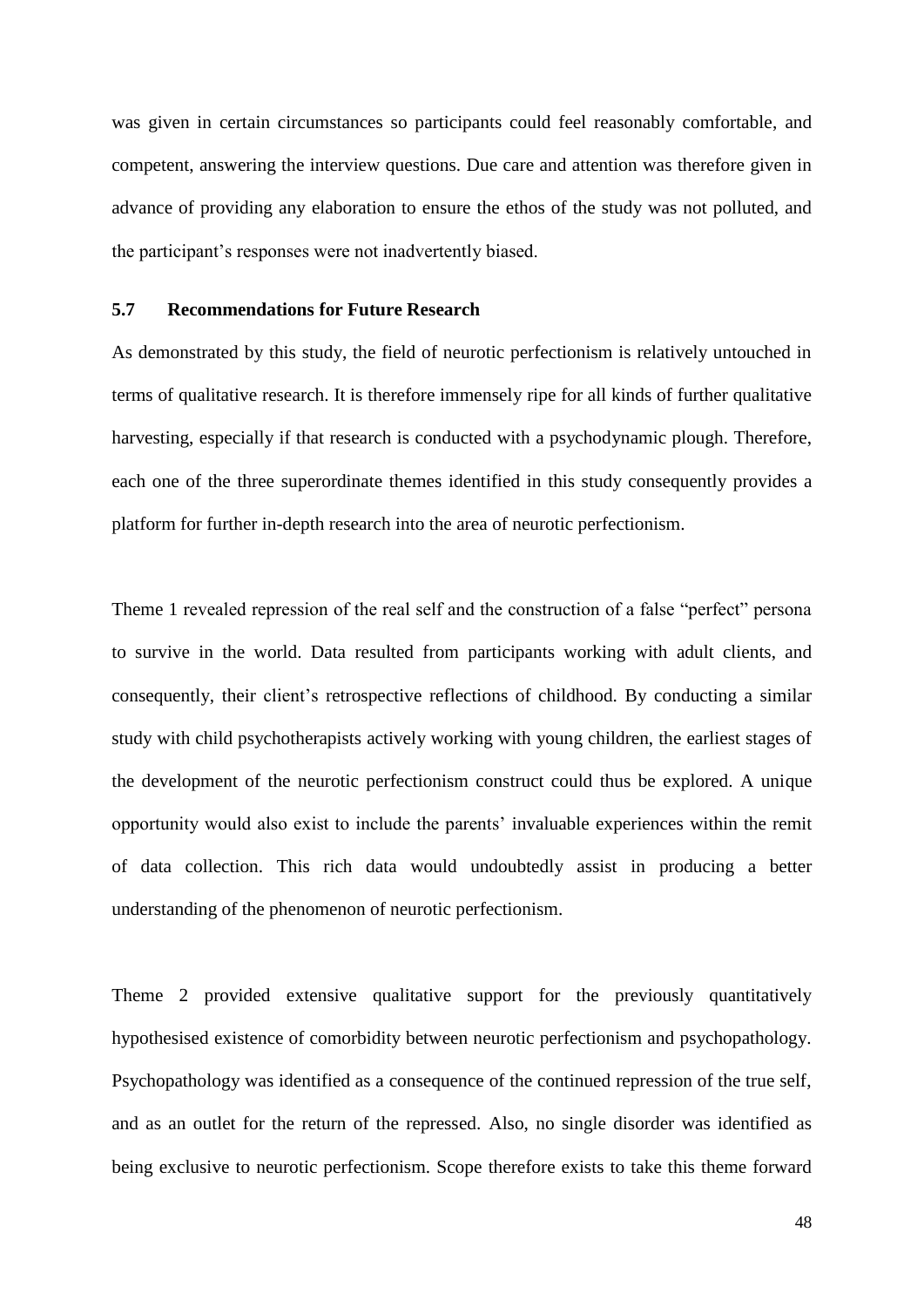was given in certain circumstances so participants could feel reasonably comfortable, and competent, answering the interview questions. Due care and attention was therefore given in advance of providing any elaboration to ensure the ethos of the study was not polluted, and the participant"s responses were not inadvertently biased.

#### **5.7 Recommendations for Future Research**

As demonstrated by this study, the field of neurotic perfectionism is relatively untouched in terms of qualitative research. It is therefore immensely ripe for all kinds of further qualitative harvesting, especially if that research is conducted with a psychodynamic plough. Therefore, each one of the three superordinate themes identified in this study consequently provides a platform for further in-depth research into the area of neurotic perfectionism.

Theme 1 revealed repression of the real self and the construction of a false "perfect" persona to survive in the world. Data resulted from participants working with adult clients, and consequently, their client"s retrospective reflections of childhood. By conducting a similar study with child psychotherapists actively working with young children, the earliest stages of the development of the neurotic perfectionism construct could thus be explored. A unique opportunity would also exist to include the parents" invaluable experiences within the remit of data collection. This rich data would undoubtedly assist in producing a better understanding of the phenomenon of neurotic perfectionism.

Theme 2 provided extensive qualitative support for the previously quantitatively hypothesised existence of comorbidity between neurotic perfectionism and psychopathology. Psychopathology was identified as a consequence of the continued repression of the true self, and as an outlet for the return of the repressed. Also, no single disorder was identified as being exclusive to neurotic perfectionism. Scope therefore exists to take this theme forward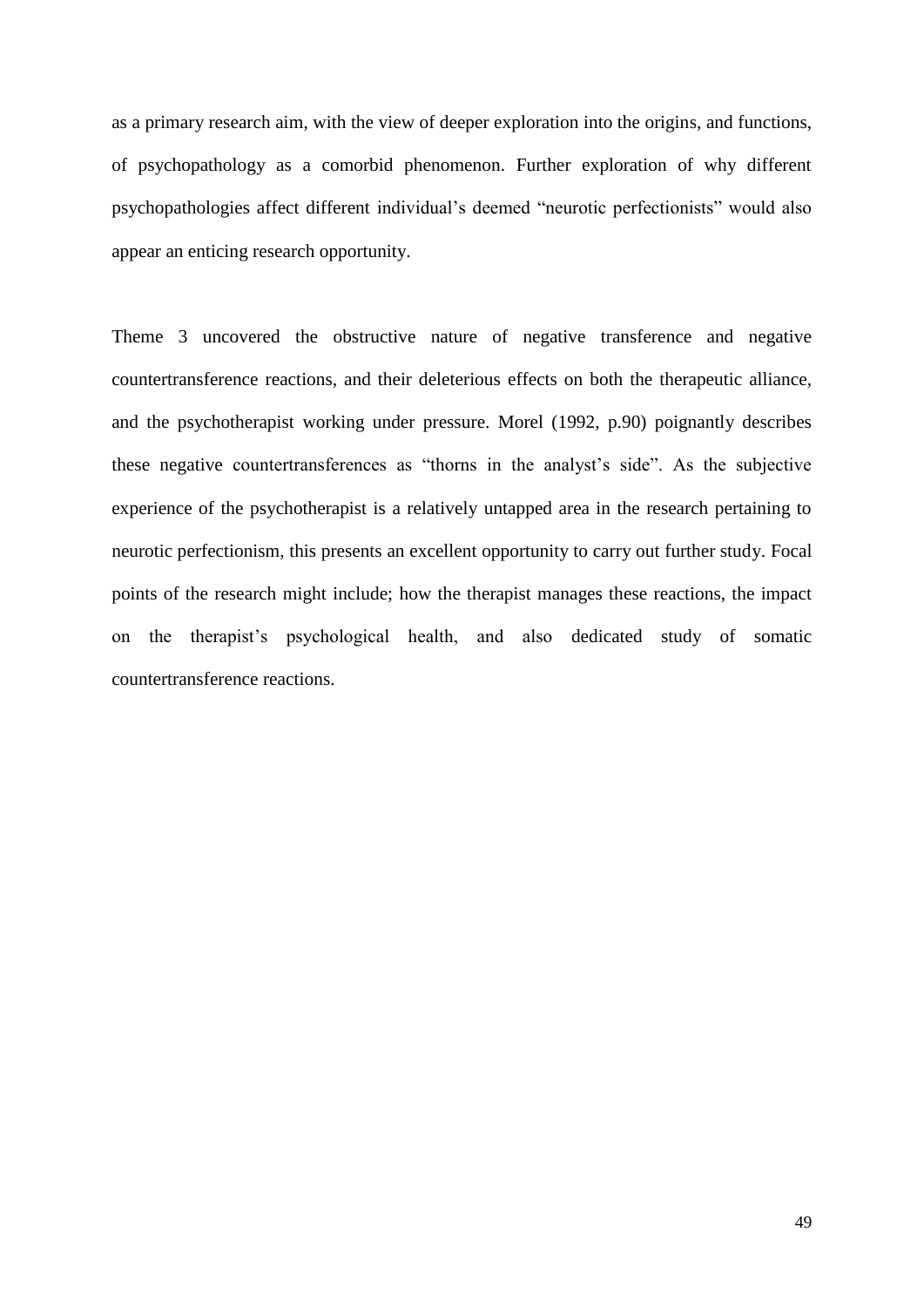as a primary research aim, with the view of deeper exploration into the origins, and functions, of psychopathology as a comorbid phenomenon. Further exploration of why different psychopathologies affect different individual"s deemed "neurotic perfectionists" would also appear an enticing research opportunity.

Theme 3 uncovered the obstructive nature of negative transference and negative countertransference reactions, and their deleterious effects on both the therapeutic alliance, and the psychotherapist working under pressure. Morel (1992, p.90) poignantly describes these negative countertransferences as "thorns in the analyst's side". As the subjective experience of the psychotherapist is a relatively untapped area in the research pertaining to neurotic perfectionism, this presents an excellent opportunity to carry out further study. Focal points of the research might include; how the therapist manages these reactions, the impact on the therapist"s psychological health, and also dedicated study of somatic countertransference reactions.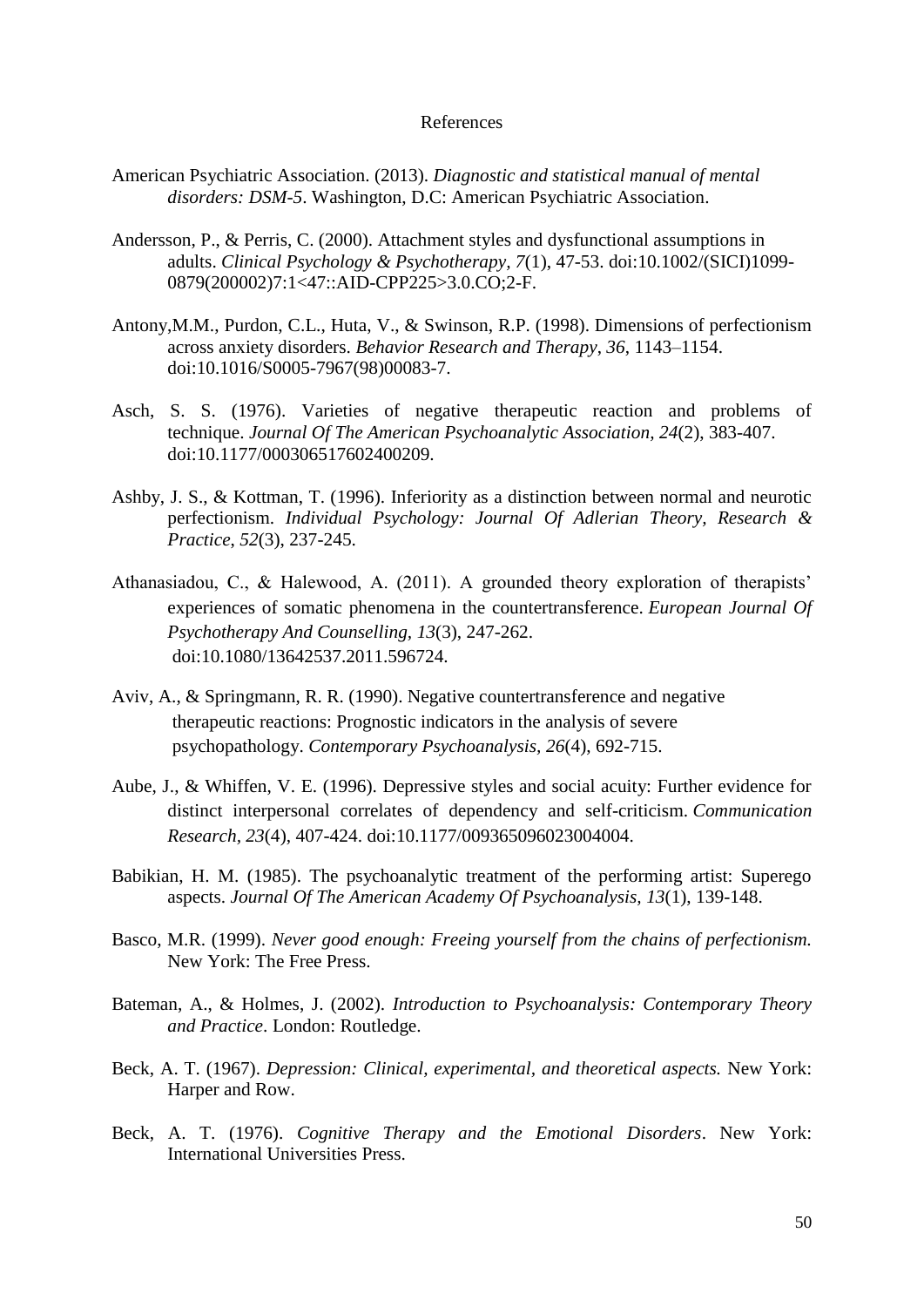#### References

- American Psychiatric Association. (2013). *Diagnostic and statistical manual of mental disorders: DSM-5*. Washington, D.C: American Psychiatric Association.
- Andersson, P., & Perris, C. (2000). Attachment styles and dysfunctional assumptions in adults. *Clinical Psychology & Psychotherapy, 7*(1), 47-53. doi:10.1002/(SICI)1099- 0879(200002)7:1<47::AID-CPP225>3.0.CO;2-F.
- Antony,M.M., Purdon, C.L., Huta, V., & Swinson, R.P. (1998). Dimensions of perfectionism across anxiety disorders. *Behavior Research and Therapy*, *36*, 1143–1154. doi:10.1016/S0005-7967(98)00083-7.
- Asch, S. S. (1976). Varieties of negative therapeutic reaction and problems of technique. *Journal Of The American Psychoanalytic Association, 24*(2), 383-407. doi:10.1177/000306517602400209.
- Ashby, J. S., & Kottman, T. (1996). Inferiority as a distinction between normal and neurotic perfectionism. *Individual Psychology: Journal Of Adlerian Theory, Research & Practice*, *52*(3), 237-245.
- Athanasiadou, C., & Halewood, A. (2011). A grounded theory exploration of therapists" experiences of somatic phenomena in the countertransference. *European Journal Of Psychotherapy And Counselling, 13*(3), 247-262. doi:10.1080/13642537.2011.596724.
- Aviv, A., & Springmann, R. R. (1990). Negative countertransference and negative therapeutic reactions: Prognostic indicators in the analysis of severe psychopathology. *Contemporary Psychoanalysis, 26*(4), 692-715.
- Aube, J., & Whiffen, V. E. (1996). Depressive styles and social acuity: Further evidence for distinct interpersonal correlates of dependency and self-criticism. *Communication Research, 23*(4), 407-424. doi:10.1177/009365096023004004.
- Babikian, H. M. (1985). The psychoanalytic treatment of the performing artist: Superego aspects. *Journal Of The American Academy Of Psychoanalysis, 13*(1), 139-148.
- Basco, M.R. (1999). *Never good enough: Freeing yourself from the chains of perfectionism.*  New York: The Free Press.
- Bateman, A., & Holmes, J. (2002). *Introduction to Psychoanalysis: Contemporary Theory and Practice*. London: Routledge.
- Beck, A. T. (1967). *Depression: Clinical, experimental, and theoretical aspects.* New York: Harper and Row.
- Beck, A. T. (1976). *Cognitive Therapy and the Emotional Disorders*. New York: International Universities Press.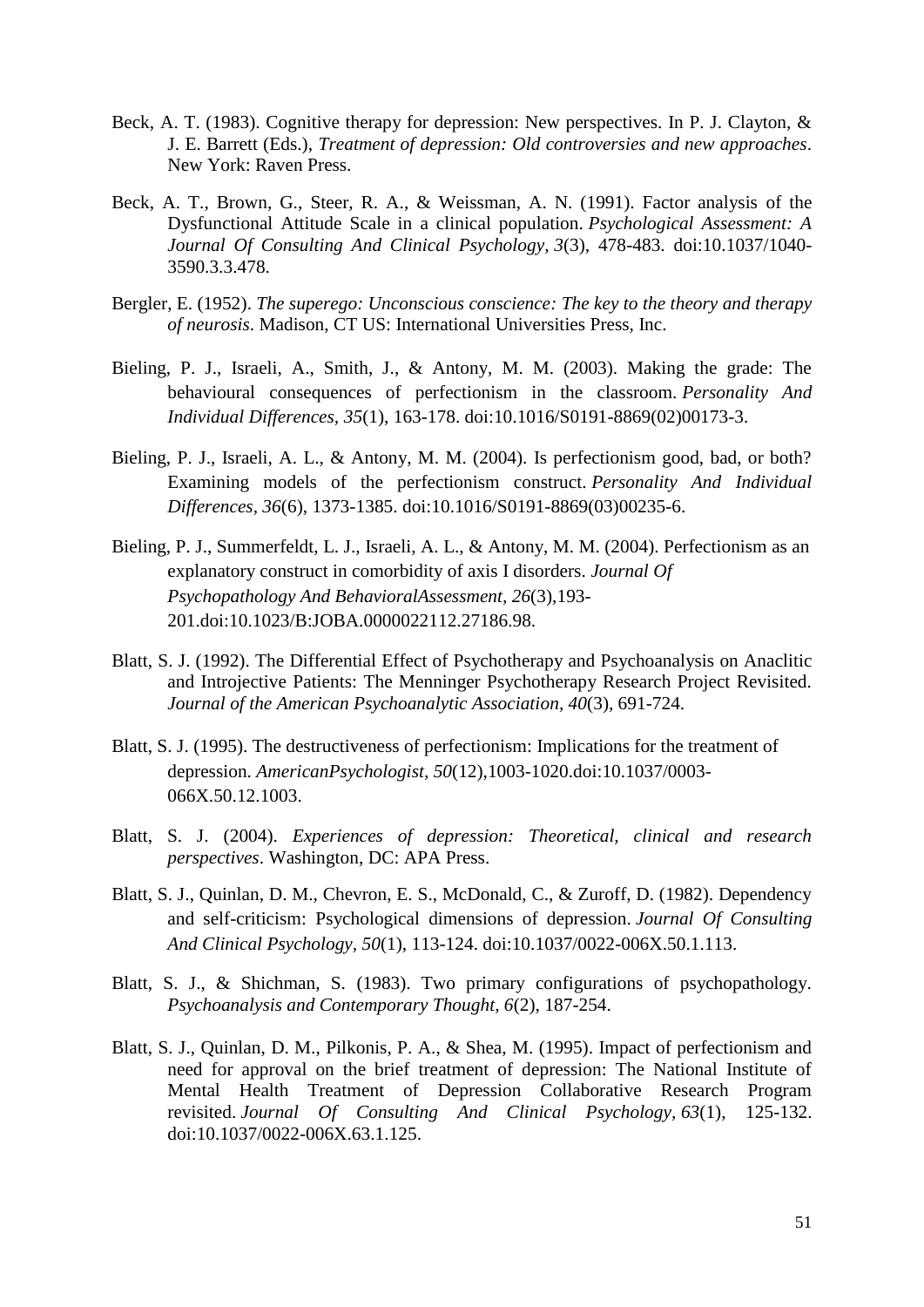- Beck, A. T. (1983). Cognitive therapy for depression: New perspectives. In P. J. Clayton, & J. E. Barrett (Eds.), *Treatment of depression: Old controversies and new approaches*. New York: Raven Press.
- Beck, A. T., Brown, G., Steer, R. A., & Weissman, A. N. (1991). Factor analysis of the Dysfunctional Attitude Scale in a clinical population. *Psychological Assessment: A Journal Of Consulting And Clinical Psychology, 3*(3), 478-483. doi:10.1037/1040- 3590.3.3.478.
- Bergler, E. (1952). *The superego: Unconscious conscience: The key to the theory and therapy of neurosis*. Madison, CT US: International Universities Press, Inc.
- Bieling, P. J., Israeli, A., Smith, J., & Antony, M. M. (2003). Making the grade: The behavioural consequences of perfectionism in the classroom. *Personality And Individual Differences, 35*(1), 163-178. doi:10.1016/S0191-8869(02)00173-3.
- Bieling, P. J., Israeli, A. L., & Antony, M. M. (2004). Is perfectionism good, bad, or both? Examining models of the perfectionism construct. *Personality And Individual Differences, 36*(6), 1373-1385. doi:10.1016/S0191-8869(03)00235-6.
- Bieling, P. J., Summerfeldt, L. J., Israeli, A. L., & Antony, M. M. (2004). Perfectionism as an explanatory construct in comorbidity of axis I disorders. *Journal Of Psychopathology And BehavioralAssessment, 26*(3),193- 201.doi:10.1023/B:JOBA.0000022112.27186.98.
- Blatt, S. J. (1992). The Differential Effect of Psychotherapy and Psychoanalysis on Anaclitic and Introjective Patients: The Menninger Psychotherapy Research Project Revisited. *Journal of the American Psychoanalytic Association, 40*(3)*,* 691-724.
- Blatt, S. J. (1995). The destructiveness of perfectionism: Implications for the treatment of depression. *AmericanPsychologist, 50*(12),1003-1020.doi:10.1037/0003- 066X.50.12.1003.
- Blatt, S. J. (2004). *Experiences of depression: Theoretical, clinical and research perspectives*. Washington, DC: APA Press.
- Blatt, S. J., Quinlan, D. M., Chevron, E. S., McDonald, C., & Zuroff, D. (1982). Dependency and self-criticism: Psychological dimensions of depression. *Journal Of Consulting And Clinical Psychology, 50*(1), 113-124. doi:10.1037/0022-006X.50.1.113.
- Blatt, S. J., & Shichman, S. (1983). Two primary configurations of psychopathology. *Psychoanalysis and Contemporary Thought, 6*(2)*,* 187-254.
- Blatt, S. J., Quinlan, D. M., Pilkonis, P. A., & Shea, M. (1995). Impact of perfectionism and need for approval on the brief treatment of depression: The National Institute of Mental Health Treatment of Depression Collaborative Research Program revisited. *Journal Of Consulting And Clinical Psychology, 63*(1), 125-132. doi:10.1037/0022-006X.63.1.125.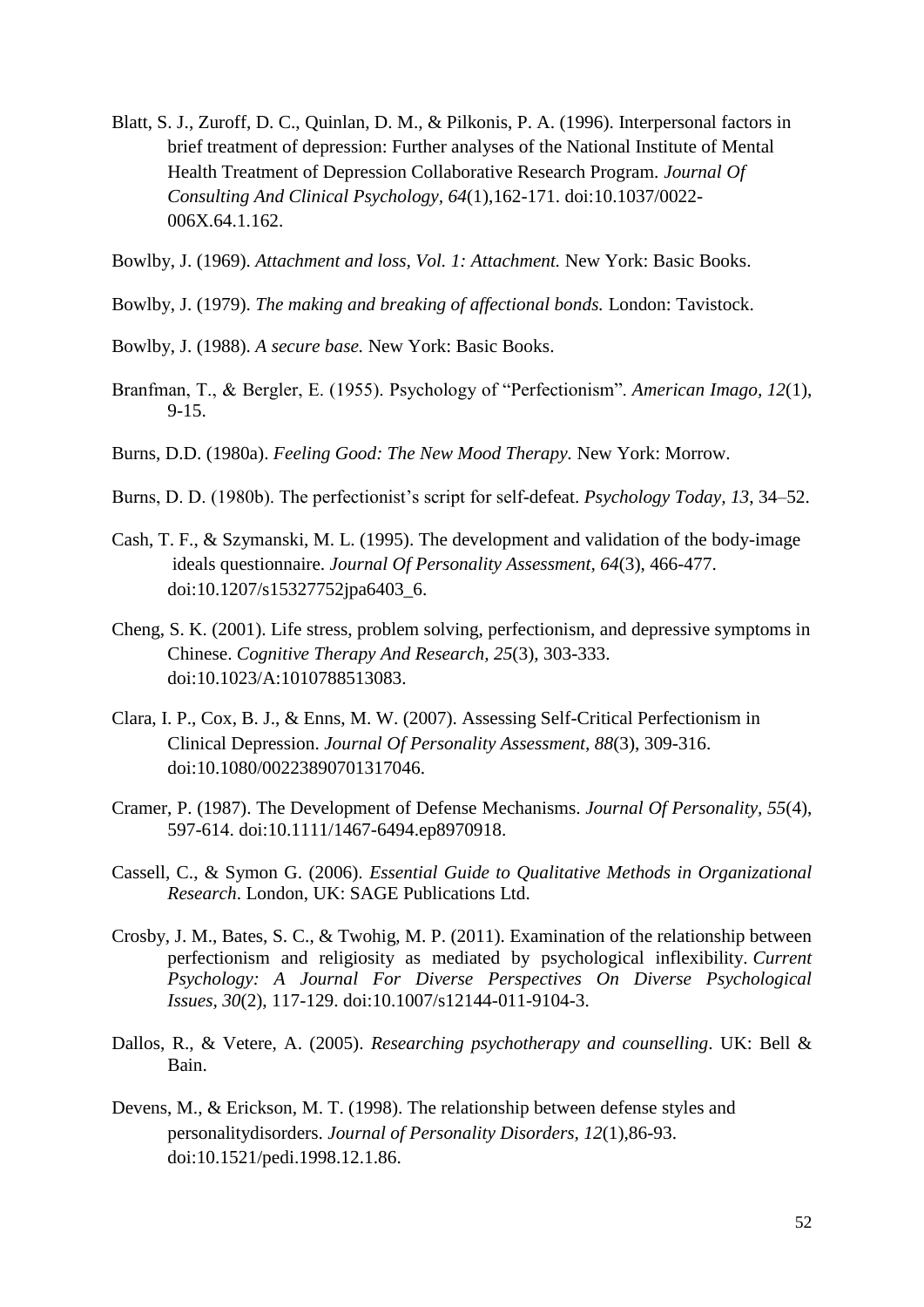- Blatt, S. J., Zuroff, D. C., Quinlan, D. M., & Pilkonis, P. A. (1996). Interpersonal factors in brief treatment of depression: Further analyses of the National Institute of Mental Health Treatment of Depression Collaborative Research Program. *Journal Of Consulting And Clinical Psychology, 64*(1),162-171. doi:10.1037/0022- 006X.64.1.162.
- Bowlby, J. (1969). *Attachment and loss, Vol. 1: Attachment.* New York: Basic Books.
- Bowlby, J. (1979). *The making and breaking of affectional bonds.* London: Tavistock.
- Bowlby, J. (1988). *A secure base.* New York: Basic Books.
- Branfman, T., & Bergler, E. (1955). Psychology of "Perfectionism". *American Imago, 12*(1), 9-15.
- Burns, D.D. (1980a). *Feeling Good: The New Mood Therapy.* New York: Morrow.
- Burns, D. D. (1980b). The perfectionist's script for self-defeat. *Psychology Today, 13*, 34–52.
- Cash, T. F., & Szymanski, M. L. (1995). The development and validation of the body-image ideals questionnaire. *Journal Of Personality Assessment, 64*(3), 466-477. doi:10.1207/s15327752jpa6403\_6.
- Cheng, S. K. (2001). Life stress, problem solving, perfectionism, and depressive symptoms in Chinese. *Cognitive Therapy And Research, 25*(3), 303-333. doi:10.1023/A:1010788513083.
- Clara, I. P., Cox, B. J., & Enns, M. W. (2007). Assessing Self-Critical Perfectionism in Clinical Depression. *Journal Of Personality Assessment, 88*(3), 309-316. doi:10.1080/00223890701317046.
- Cramer, P. (1987). The Development of Defense Mechanisms. *Journal Of Personality, 55*(4), 597-614. doi:10.1111/1467-6494.ep8970918.
- Cassell, C., & Symon G. (2006). *Essential Guide to Qualitative Methods in Organizational Research*. London, UK: SAGE Publications Ltd.
- Crosby, J. M., Bates, S. C., & Twohig, M. P. (2011). Examination of the relationship between perfectionism and religiosity as mediated by psychological inflexibility. *Current Psychology: A Journal For Diverse Perspectives On Diverse Psychological Issues, 30*(2), 117-129. doi:10.1007/s12144-011-9104-3.
- Dallos, R., & Vetere, A. (2005). *Researching psychotherapy and counselling*. UK: Bell & Bain.
- Devens, M., & Erickson, M. T. (1998). The relationship between defense styles and personalitydisorders. *Journal of Personality Disorders, 12*(1),86-93. doi:10.1521/pedi.1998.12.1.86.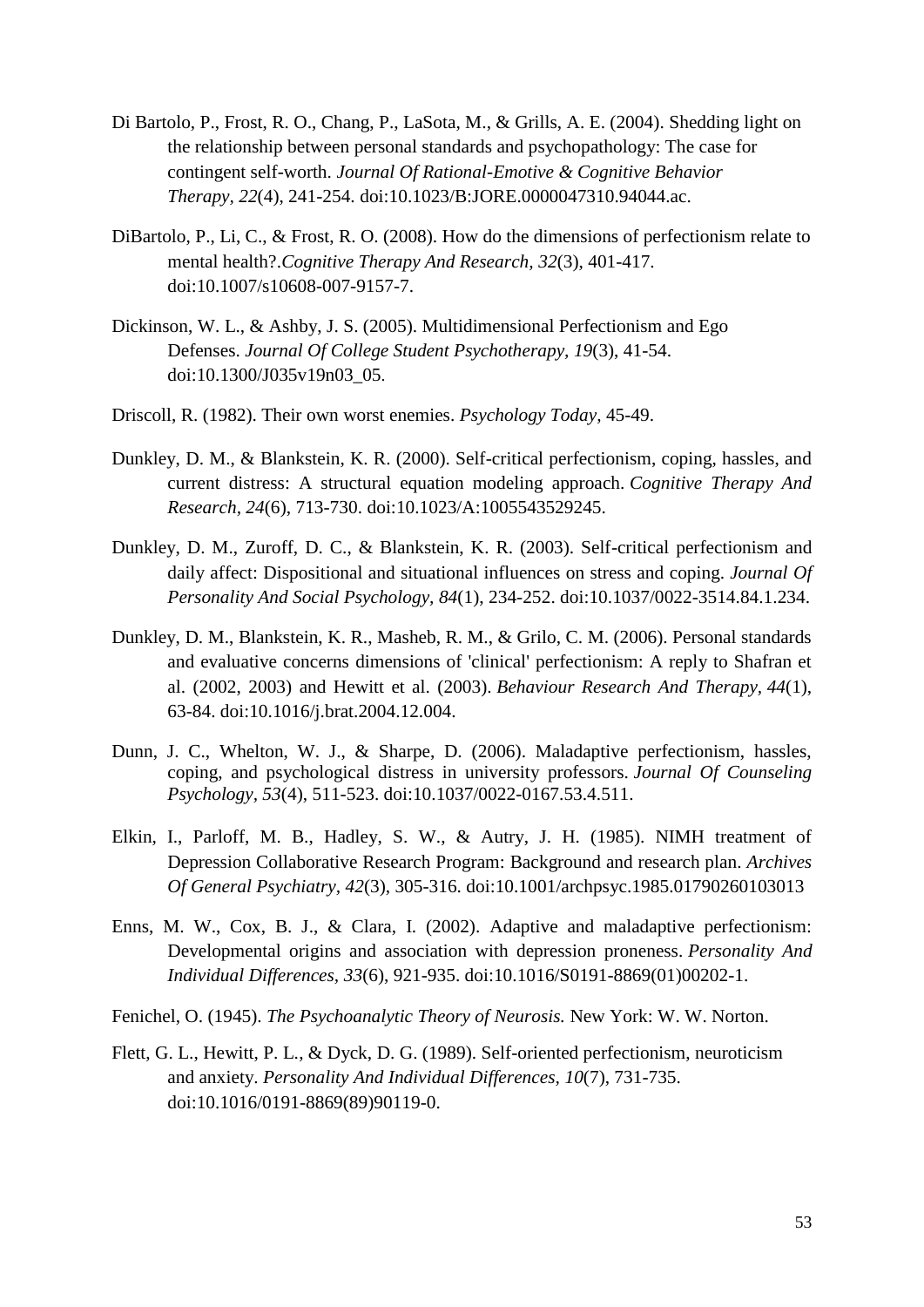- Di Bartolo, P., Frost, R. O., Chang, P., LaSota, M., & Grills, A. E. (2004). Shedding light on the relationship between personal standards and psychopathology: The case for contingent self-worth. *Journal Of Rational-Emotive & Cognitive Behavior Therapy, 22*(4), 241-254. doi:10.1023/B:JORE.0000047310.94044.ac.
- DiBartolo, P., Li, C., & Frost, R. O. (2008). How do the dimensions of perfectionism relate to mental health?.*Cognitive Therapy And Research, 32*(3), 401-417. doi:10.1007/s10608-007-9157-7.
- Dickinson, W. L., & Ashby, J. S. (2005). Multidimensional Perfectionism and Ego Defenses. *Journal Of College Student Psychotherapy, 19*(3), 41-54. doi:10.1300/J035v19n03\_05.
- Driscoll, R. (1982). Their own worst enemies. *Psychology Today,* 45-49.
- Dunkley, D. M., & Blankstein, K. R. (2000). Self-critical perfectionism, coping, hassles, and current distress: A structural equation modeling approach. *Cognitive Therapy And Research, 24*(6), 713-730. doi:10.1023/A:1005543529245.
- Dunkley, D. M., Zuroff, D. C., & Blankstein, K. R. (2003). Self-critical perfectionism and daily affect: Dispositional and situational influences on stress and coping. *Journal Of Personality And Social Psychology, 84*(1), 234-252. doi:10.1037/0022-3514.84.1.234.
- Dunkley, D. M., Blankstein, K. R., Masheb, R. M., & Grilo, C. M. (2006). Personal standards and evaluative concerns dimensions of 'clinical' perfectionism: A reply to Shafran et al. (2002, 2003) and Hewitt et al. (2003). *Behaviour Research And Therapy, 44*(1), 63-84. doi:10.1016/j.brat.2004.12.004.
- Dunn, J. C., Whelton, W. J., & Sharpe, D. (2006). Maladaptive perfectionism, hassles, coping, and psychological distress in university professors. *Journal Of Counseling Psychology, 53*(4), 511-523. doi:10.1037/0022-0167.53.4.511.
- Elkin, I., Parloff, M. B., Hadley, S. W., & Autry, J. H. (1985). NIMH treatment of Depression Collaborative Research Program: Background and research plan. *Archives Of General Psychiatry, 42*(3), 305-316. doi:10.1001/archpsyc.1985.01790260103013
- Enns, M. W., Cox, B. J., & Clara, I. (2002). Adaptive and maladaptive perfectionism: Developmental origins and association with depression proneness. *Personality And Individual Differences, 33*(6), 921-935. doi:10.1016/S0191-8869(01)00202-1.
- Fenichel, O. (1945). *The Psychoanalytic Theory of Neurosis.* New York: W. W. Norton.
- Flett, G. L., Hewitt, P. L., & Dyck, D. G. (1989). Self-oriented perfectionism, neuroticism and anxiety. *Personality And Individual Differences, 10*(7), 731-735. doi:10.1016/0191-8869(89)90119-0.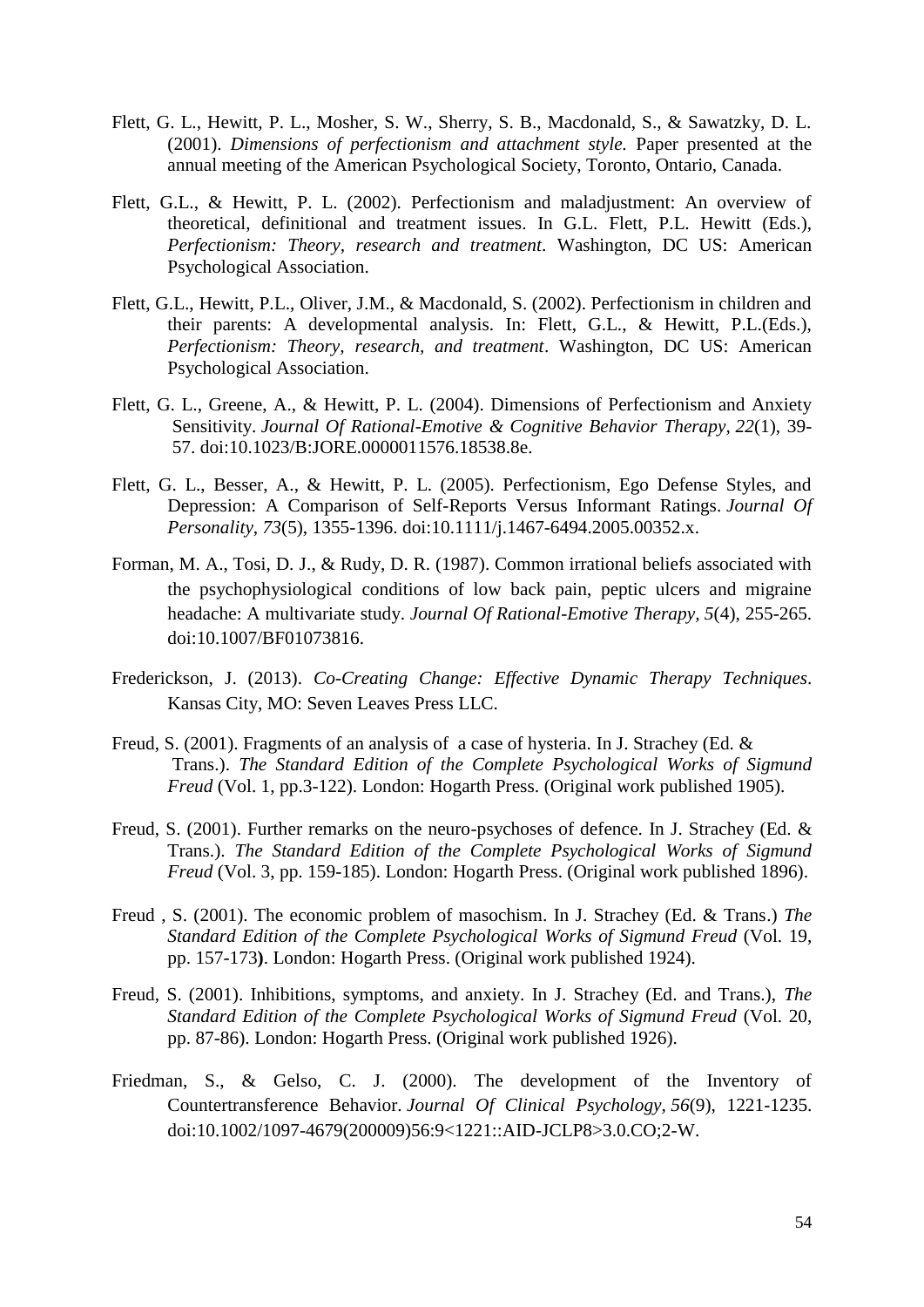- Flett, G. L., Hewitt, P. L., Mosher, S. W., Sherry, S. B., Macdonald, S., & Sawatzky, D. L. (2001). *Dimensions of perfectionism and attachment style.* Paper presented at the annual meeting of the American Psychological Society, Toronto, Ontario, Canada.
- Flett, G.L., & Hewitt, P. L. (2002). Perfectionism and maladjustment: An overview of theoretical, definitional and treatment issues. In G.L. Flett, P.L. Hewitt (Eds.), *Perfectionism: Theory, research and treatment*. Washington, DC US: American Psychological Association.
- Flett, G.L., Hewitt, P.L., Oliver, J.M., & Macdonald, S. (2002). Perfectionism in children and their parents: A developmental analysis. In: Flett, G.L., & Hewitt, P.L.(Eds.), *Perfectionism: Theory, research, and treatment*. Washington, DC US: American Psychological Association.
- Flett, G. L., Greene, A., & Hewitt, P. L. (2004). Dimensions of Perfectionism and Anxiety Sensitivity. *Journal Of Rational-Emotive & Cognitive Behavior Therapy, 22*(1), 39- 57. doi:10.1023/B:JORE.0000011576.18538.8e.
- Flett, G. L., Besser, A., & Hewitt, P. L. (2005). Perfectionism, Ego Defense Styles, and Depression: A Comparison of Self-Reports Versus Informant Ratings. *Journal Of Personality, 73*(5), 1355-1396. doi:10.1111/j.1467-6494.2005.00352.x.
- Forman, M. A., Tosi, D. J., & Rudy, D. R. (1987). Common irrational beliefs associated with the psychophysiological conditions of low back pain, peptic ulcers and migraine headache: A multivariate study. *Journal Of Rational-Emotive Therapy, 5*(4), 255-265. doi:10.1007/BF01073816.
- Frederickson, J. (2013). *Co-Creating Change: Effective Dynamic Therapy Techniques*. Kansas City, MO: Seven Leaves Press LLC.
- Freud, S. (2001). Fragments of an analysis of a case of hysteria. In J. Strachey (Ed. & Trans.). *The Standard Edition of the Complete Psychological Works of Sigmund Freud* (Vol. 1, pp.3-122). London: Hogarth Press. (Original work published 1905).
- Freud, S. (2001). Further remarks on the neuro-psychoses of defence. In J. Strachey (Ed. & Trans.). *The Standard Edition of the Complete Psychological Works of Sigmund Freud* (Vol. 3, pp. 159-185). London: Hogarth Press. (Original work published 1896).
- Freud , S. (2001). The economic problem of masochism. In J. Strachey (Ed. & Trans.) *The Standard Edition of the Complete Psychological Works of Sigmund Freud* (Vol. 19, pp. 157-173**)**. London: Hogarth Press. (Original work published 1924).
- Freud, S. (2001). Inhibitions, symptoms, and anxiety. In J. Strachey (Ed. and Trans.), *The Standard Edition of the Complete Psychological Works of Sigmund Freud* (Vol. 20, pp. 87-86). London: Hogarth Press. (Original work published 1926).
- Friedman, S., & Gelso, C. J. (2000). The development of the Inventory of Countertransference Behavior. *Journal Of Clinical Psychology, 56*(9), 1221-1235. doi:10.1002/1097-4679(200009)56:9<1221::AID-JCLP8>3.0.CO;2-W.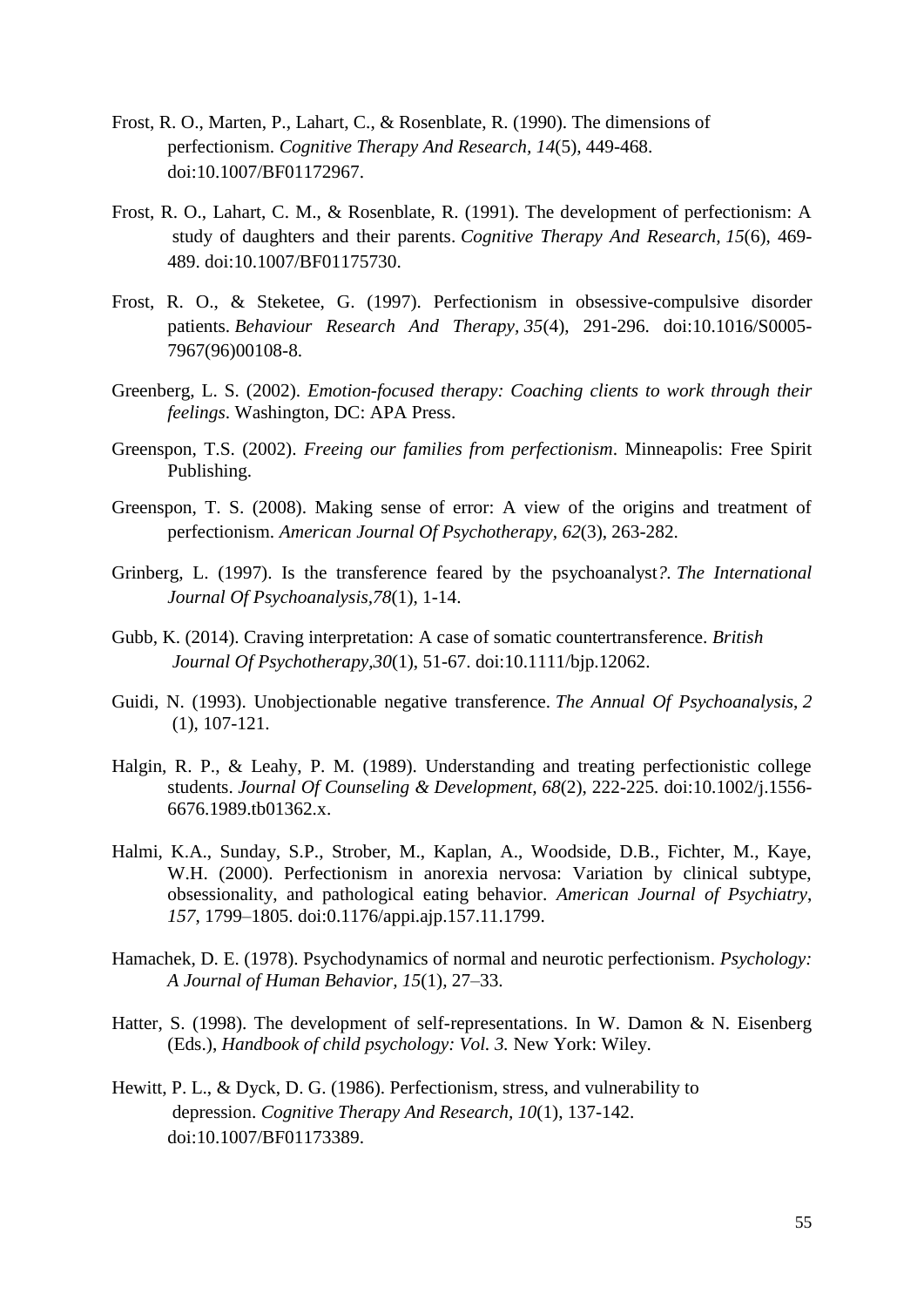- Frost, R. O., Marten, P., Lahart, C., & Rosenblate, R. (1990). The dimensions of perfectionism. *Cognitive Therapy And Research, 14*(5), 449-468. doi:10.1007/BF01172967.
- Frost, R. O., Lahart, C. M., & Rosenblate, R. (1991). The development of perfectionism: A study of daughters and their parents. *Cognitive Therapy And Research, 15*(6), 469- 489. doi:10.1007/BF01175730.
- Frost, R. O., & Steketee, G. (1997). Perfectionism in obsessive-compulsive disorder patients. *Behaviour Research And Therapy, 35*(4), 291-296. doi:10.1016/S0005- 7967(96)00108-8.
- Greenberg, L. S. (2002). *Emotion-focused therapy: Coaching clients to work through their feelings*. Washington, DC: APA Press.
- Greenspon, T.S. (2002). *Freeing our families from perfectionism*. Minneapolis: Free Spirit Publishing.
- Greenspon, T. S. (2008). Making sense of error: A view of the origins and treatment of perfectionism. *American Journal Of Psychotherapy, 62*(3), 263-282.
- Grinberg, L. (1997). Is the transference feared by the psychoanalyst*?. The International Journal Of Psychoanalysis,78*(1), 1-14.
- Gubb, K. (2014). Craving interpretation: A case of somatic countertransference. *British Journal Of Psychotherapy,30*(1), 51-67. doi:10.1111/bjp.12062.
- Guidi, N. (1993). Unobjectionable negative transference. *The Annual Of Psychoanalysis*, *2* (1)*,* 107-121.
- Halgin, R. P., & Leahy, P. M. (1989). Understanding and treating perfectionistic college students. *Journal Of Counseling & Development, 68*(2), 222-225. doi:10.1002/j.1556- 6676.1989.tb01362.x.
- Halmi, K.A., Sunday, S.P., Strober, M., Kaplan, A., Woodside, D.B., Fichter, M., Kaye, W.H. (2000). Perfectionism in anorexia nervosa: Variation by clinical subtype, obsessionality, and pathological eating behavior. *American Journal of Psychiatry*, *157*, 1799–1805. doi:0.1176/appi.ajp.157.11.1799.
- Hamachek, D. E. (1978). Psychodynamics of normal and neurotic perfectionism. *Psychology: A Journal of Human Behavior, 15*(1)*,* 27–33.
- Hatter, S. (1998). The development of self-representations. In W. Damon & N. Eisenberg (Eds.), *Handbook of child psychology: Vol. 3.* New York: Wiley.
- Hewitt, P. L., & Dyck, D. G. (1986). Perfectionism, stress, and vulnerability to depression. *Cognitive Therapy And Research, 10*(1), 137-142. doi:10.1007/BF01173389.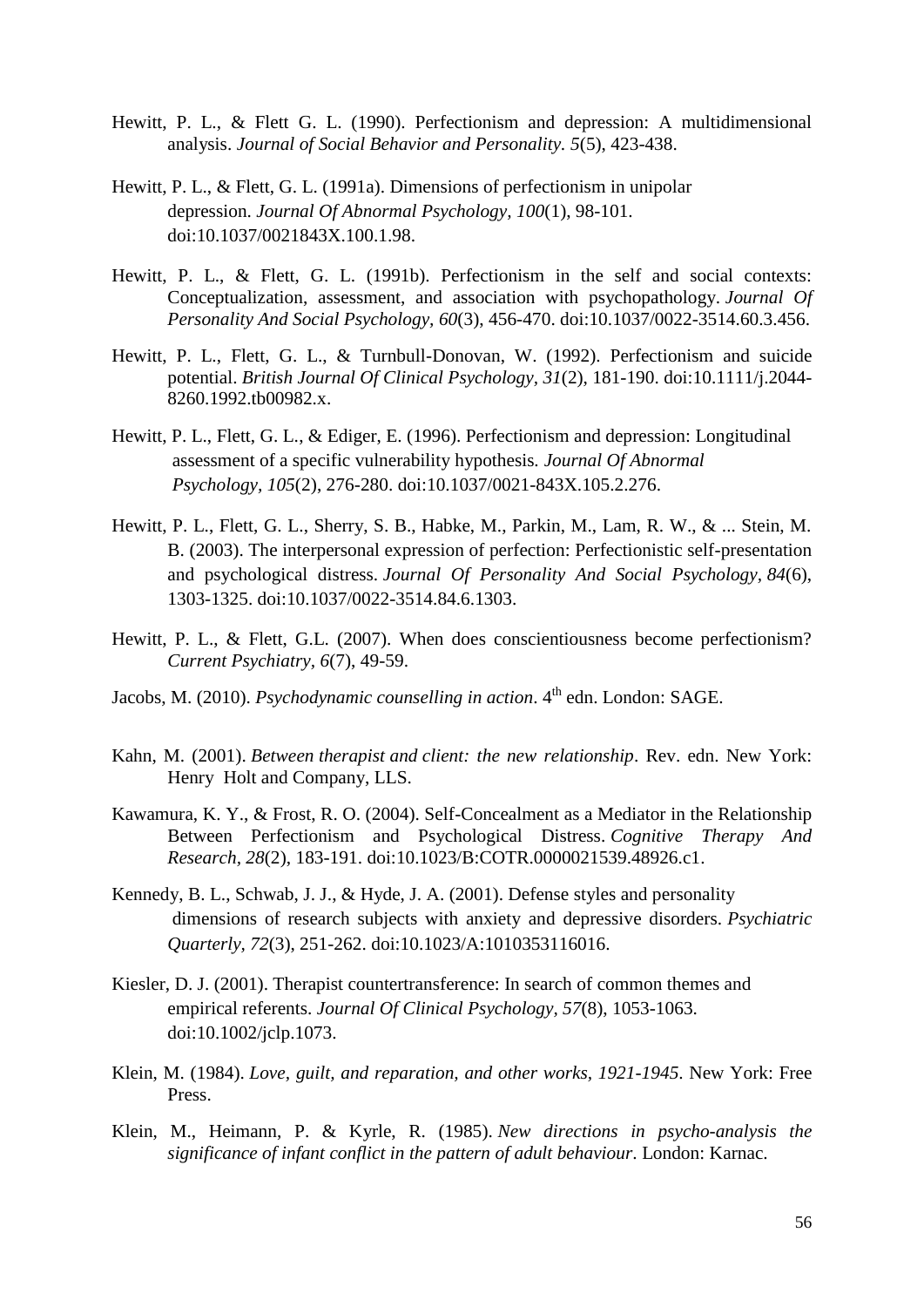- Hewitt, P. L., & Flett G. L. (1990). Perfectionism and depression: A multidimensional analysis. *Journal of Social Behavior and Personality. 5*(5), 423-438.
- Hewitt, P. L., & Flett, G. L. (1991a). Dimensions of perfectionism in unipolar depression. *Journal Of Abnormal Psychology, 100*(1), 98-101. doi:10.1037/0021843X.100.1.98.
- Hewitt, P. L., & Flett, G. L. (1991b). Perfectionism in the self and social contexts: Conceptualization, assessment, and association with psychopathology. *Journal Of Personality And Social Psychology, 60*(3), 456-470. doi:10.1037/0022-3514.60.3.456.
- Hewitt, P. L., Flett, G. L., & Turnbull-Donovan, W. (1992). Perfectionism and suicide potential. *British Journal Of Clinical Psychology, 31*(2), 181-190. doi:10.1111/j.2044- 8260.1992.tb00982.x.
- Hewitt, P. L., Flett, G. L., & Ediger, E. (1996). Perfectionism and depression: Longitudinal assessment of a specific vulnerability hypothesis*. Journal Of Abnormal Psychology, 105*(2), 276-280. doi:10.1037/0021-843X.105.2.276.
- Hewitt, P. L., Flett, G. L., Sherry, S. B., Habke, M., Parkin, M., Lam, R. W., & ... Stein, M. B. (2003). The interpersonal expression of perfection: Perfectionistic self-presentation and psychological distress. *Journal Of Personality And Social Psychology, 84*(6), 1303-1325. doi:10.1037/0022-3514.84.6.1303.
- Hewitt, P. L., & Flett, G.L. (2007). When does conscientiousness become perfectionism? *Current Psychiatry, 6*(7), 49-59.
- Jacobs, M. (2010). *Psychodynamic counselling in action*.  $4<sup>th</sup>$  edn. London: SAGE.
- Kahn, M. (2001). *Between therapist and client: the new relationship*. Rev. edn. New York: Henry Holt and Company, LLS.
- Kawamura, K. Y., & Frost, R. O. (2004). Self-Concealment as a Mediator in the Relationship Between Perfectionism and Psychological Distress. *Cognitive Therapy And Research, 28*(2), 183-191. doi:10.1023/B:COTR.0000021539.48926.c1.
- Kennedy, B. L., Schwab, J. J., & Hyde, J. A. (2001). Defense styles and personality dimensions of research subjects with anxiety and depressive disorders. *Psychiatric Quarterly, 72*(3), 251-262. doi:10.1023/A:1010353116016.
- Kiesler, D. J. (2001). Therapist countertransference: In search of common themes and empirical referents. *Journal Of Clinical Psychology, 57*(8), 1053-1063. doi:10.1002/jclp.1073.
- Klein, M. (1984). *Love, guilt, and reparation, and other works, 1921-1945*. New York: Free Press.
- Klein, M., Heimann, P. & Kyrle, R. (1985). *New directions in psycho-analysis the significance of infant conflict in the pattern of adult behaviour*. London: Karnac.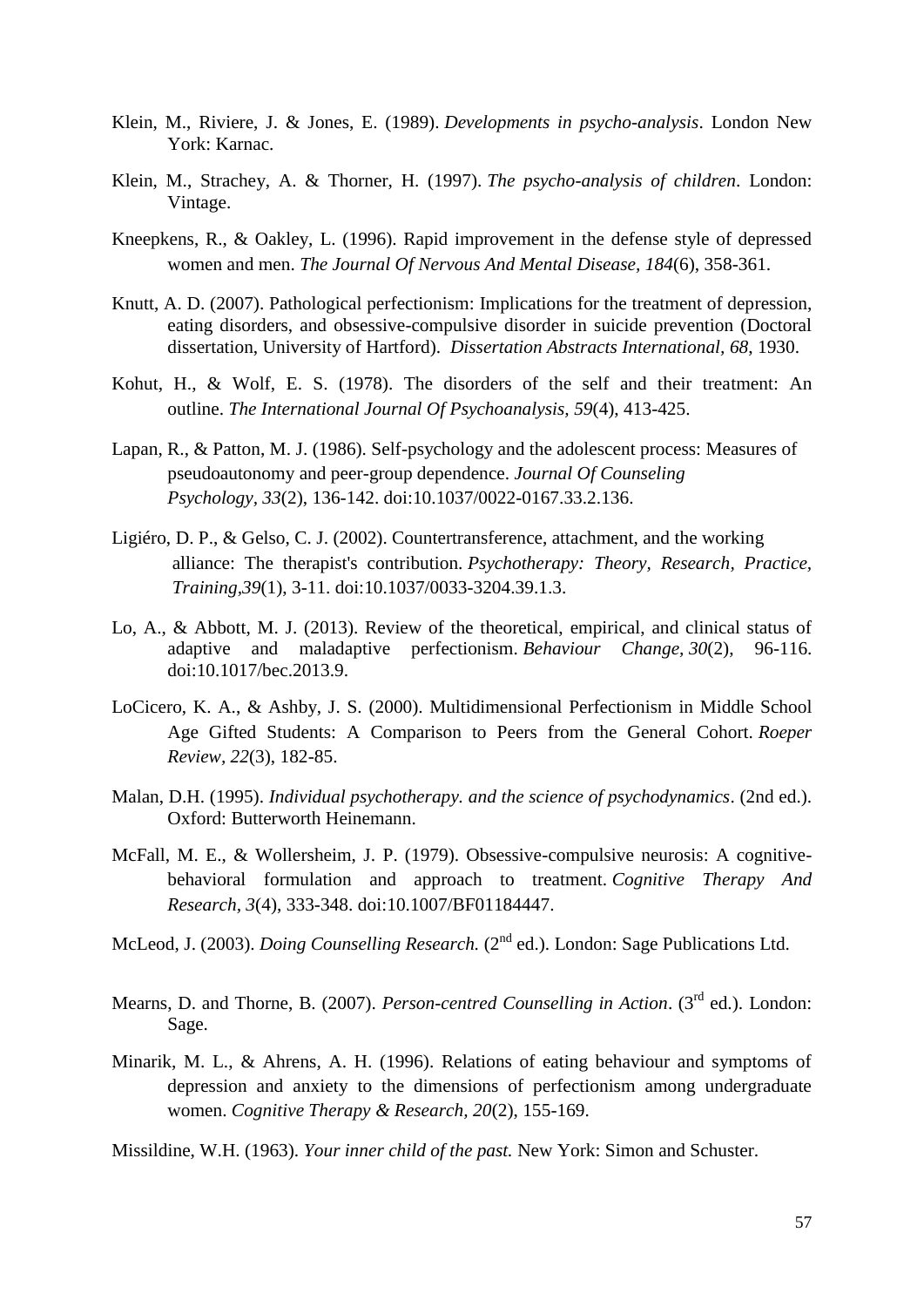- Klein, M., Riviere, J. & Jones, E. (1989). *Developments in psycho-analysis*. London New York: Karnac.
- Klein, M., Strachey, A. & Thorner, H. (1997). *The psycho-analysis of children*. London: Vintage.
- Kneepkens, R., & Oakley, L. (1996). Rapid improvement in the defense style of depressed women and men. *The Journal Of Nervous And Mental Disease, 184*(6), 358-361.
- Knutt, A. D. (2007). Pathological perfectionism: Implications for the treatment of depression, eating disorders, and obsessive-compulsive disorder in suicide prevention (Doctoral dissertation, University of Hartford). *Dissertation Abstracts International, 68*, 1930.
- Kohut, H., & Wolf, E. S. (1978). The disorders of the self and their treatment: An outline. *The International Journal Of Psychoanalysis, 59*(4), 413-425.
- Lapan, R., & Patton, M. J. (1986). Self-psychology and the adolescent process: Measures of pseudoautonomy and peer-group dependence. *Journal Of Counseling Psychology, 33*(2), 136-142. doi:10.1037/0022-0167.33.2.136.
- Ligiéro, D. P., & Gelso, C. J. (2002). Countertransference, attachment, and the working alliance: The therapist's contribution. *Psychotherapy: Theory, Research, Practice, Training,39*(1), 3-11. doi:10.1037/0033-3204.39.1.3.
- Lo, A., & Abbott, M. J. (2013). Review of the theoretical, empirical, and clinical status of adaptive and maladaptive perfectionism. *Behaviour Change, 30*(2), 96-116. doi:10.1017/bec.2013.9.
- LoCicero, K. A., & Ashby, J. S. (2000). Multidimensional Perfectionism in Middle School Age Gifted Students: A Comparison to Peers from the General Cohort. *Roeper Review, 22*(3), 182-85.
- Malan, D.H. (1995). *Individual psychotherapy. and the science of psychodynamics*. (2nd ed.). Oxford: Butterworth Heinemann.
- McFall, M. E., & Wollersheim, J. P. (1979). Obsessive-compulsive neurosis: A cognitivebehavioral formulation and approach to treatment. *Cognitive Therapy And Research, 3*(4), 333-348. doi:10.1007/BF01184447.
- McLeod, J. (2003). *Doing Counselling Research*. (2<sup>nd</sup> ed.). London: Sage Publications Ltd.
- Mearns, D. and Thorne, B. (2007). *Person-centred Counselling in Action*. (3<sup>rd</sup> ed.). London: Sage.
- Minarik, M. L., & Ahrens, A. H. (1996). Relations of eating behaviour and symptoms of depression and anxiety to the dimensions of perfectionism among undergraduate women. *Cognitive Therapy & Research, 20*(2), 155-169.

Missildine, W.H. (1963). *Your inner child of the past.* New York: Simon and Schuster.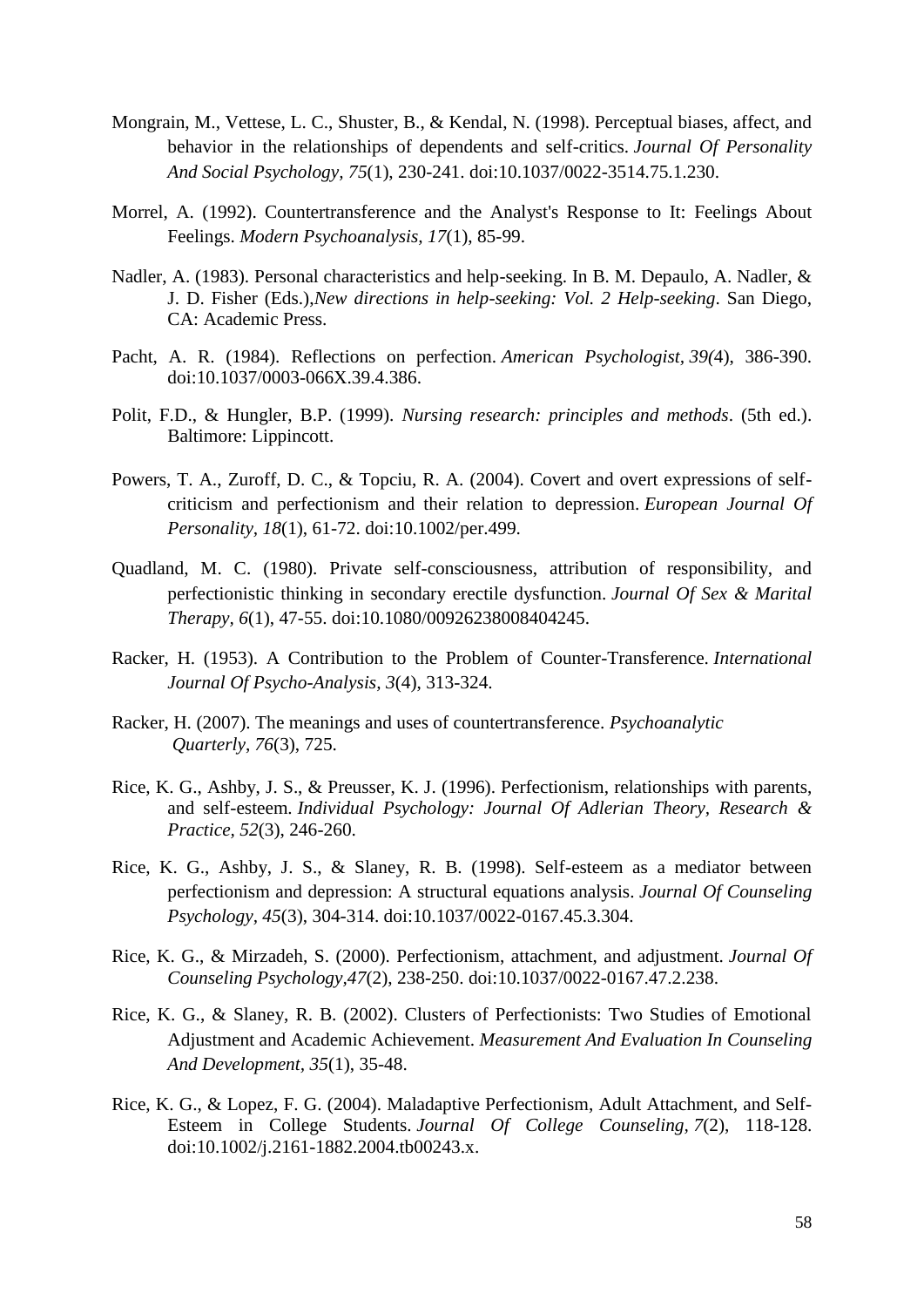- Mongrain, M., Vettese, L. C., Shuster, B., & Kendal, N. (1998). Perceptual biases, affect, and behavior in the relationships of dependents and self-critics. *Journal Of Personality And Social Psychology, 75*(1), 230-241. doi:10.1037/0022-3514.75.1.230.
- Morrel, A. (1992). Countertransference and the Analyst's Response to It: Feelings About Feelings. *Modern Psychoanalysis, 17*(1), 85-99.
- Nadler, A. (1983). Personal characteristics and help-seeking. In B. M. Depaulo, A. Nadler, & J. D. Fisher (Eds.),*New directions in help-seeking: Vol. 2 Help-seeking*. San Diego, CA: Academic Press.
- Pacht, A. R. (1984). Reflections on perfection. *American Psychologist, 39(*4), 386-390. doi:10.1037/0003-066X.39.4.386.
- Polit, F.D., & Hungler, B.P. (1999). *Nursing research: principles and methods*. (5th ed.). Baltimore: Lippincott.
- Powers, T. A., Zuroff, D. C., & Topciu, R. A. (2004). Covert and overt expressions of selfcriticism and perfectionism and their relation to depression. *European Journal Of Personality, 18*(1), 61-72. doi:10.1002/per.499.
- Quadland, M. C. (1980). Private self-consciousness, attribution of responsibility, and perfectionistic thinking in secondary erectile dysfunction. *Journal Of Sex & Marital Therapy, 6*(1), 47-55. doi:10.1080/00926238008404245.
- Racker, H. (1953). A Contribution to the Problem of Counter-Transference. *International Journal Of Psycho-Analysis, 3*(4), 313-324.
- Racker, H. (2007). The meanings and uses of countertransference. *Psychoanalytic Quarterly*, *76*(3), 725.
- Rice, K. G., Ashby, J. S., & Preusser, K. J. (1996). Perfectionism, relationships with parents, and self-esteem*. Individual Psychology: Journal Of Adlerian Theory, Research & Practice, 52*(3), 246-260.
- Rice, K. G., Ashby, J. S., & Slaney, R. B. (1998). Self-esteem as a mediator between perfectionism and depression: A structural equations analysis. *Journal Of Counseling Psychology, 45*(3), 304-314. doi:10.1037/0022-0167.45.3.304.
- Rice, K. G., & Mirzadeh, S. (2000). Perfectionism, attachment, and adjustment. *Journal Of Counseling Psychology,47*(2), 238-250. doi:10.1037/0022-0167.47.2.238.
- Rice, K. G., & Slaney, R. B. (2002). Clusters of Perfectionists: Two Studies of Emotional Adjustment and Academic Achievement. *Measurement And Evaluation In Counseling And Development, 35*(1), 35-48.
- Rice, K. G., & Lopez, F. G. (2004). Maladaptive Perfectionism, Adult Attachment, and Self-Esteem in College Students. *Journal Of College Counseling, 7*(2), 118-128. doi:10.1002/j.2161-1882.2004.tb00243.x.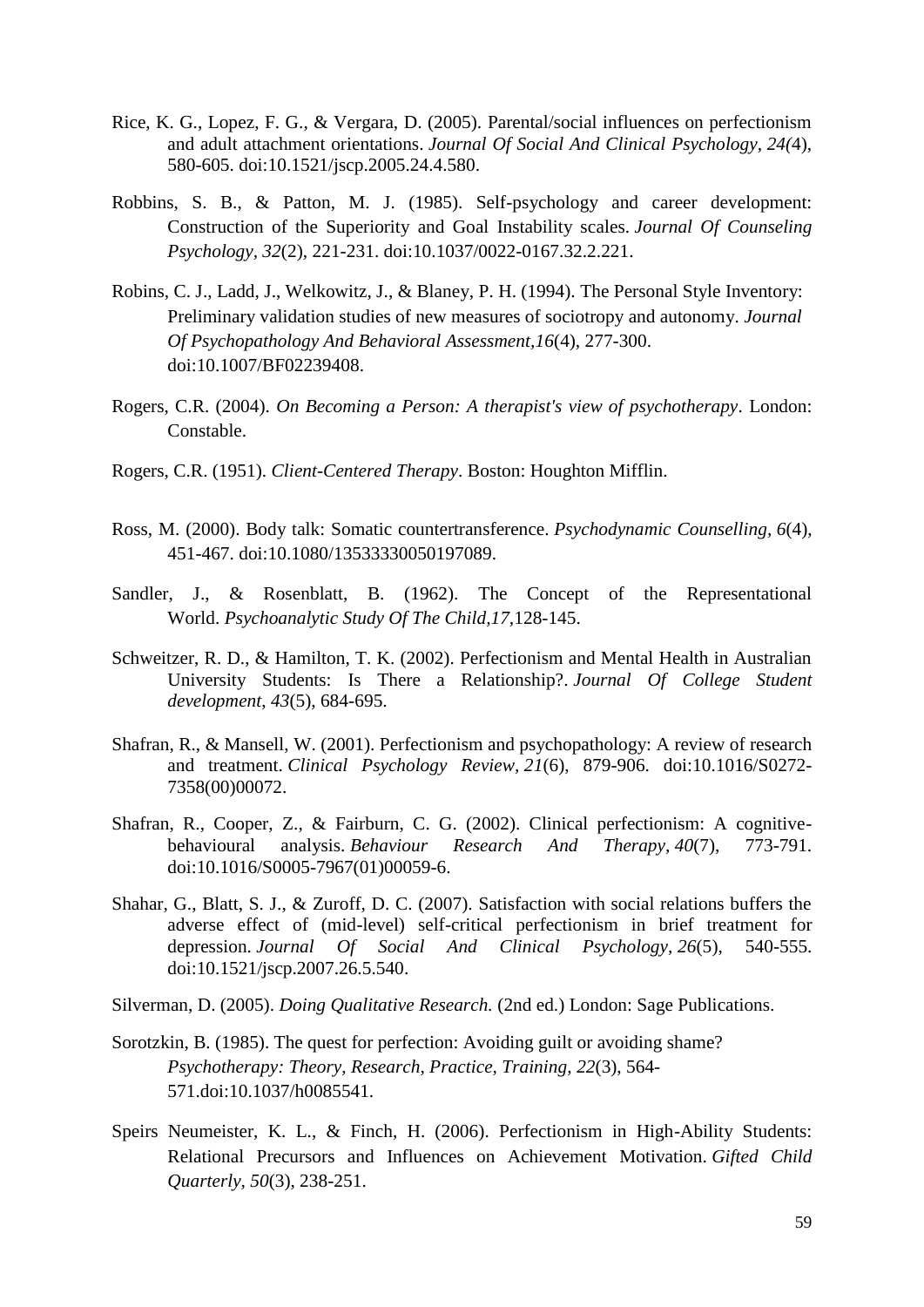- Rice, K. G., Lopez, F. G., & Vergara, D. (2005). Parental/social influences on perfectionism and adult attachment orientations. *Journal Of Social And Clinical Psychology, 24(*4), 580-605. doi:10.1521/jscp.2005.24.4.580.
- Robbins, S. B., & Patton, M. J. (1985). Self-psychology and career development: Construction of the Superiority and Goal Instability scales. *Journal Of Counseling Psychology, 32*(2), 221-231. doi:10.1037/0022-0167.32.2.221.
- Robins, C. J., Ladd, J., Welkowitz, J., & Blaney, P. H. (1994). The Personal Style Inventory: Preliminary validation studies of new measures of sociotropy and autonomy. *Journal Of Psychopathology And Behavioral Assessment,16*(4), 277-300. doi:10.1007/BF02239408.
- Rogers, C.R. (2004). *On Becoming a Person: A therapist's view of psychotherapy*. London: Constable.
- Rogers, C.R. (1951). *Client-Centered Therapy*. Boston: Houghton Mifflin.
- Ross, M. (2000). Body talk: Somatic countertransference. *Psychodynamic Counselling, 6*(4), 451-467. doi:10.1080/13533330050197089.
- Sandler, J., & Rosenblatt, B. (1962). The Concept of the Representational World. *Psychoanalytic Study Of The Child,17,*128-145.
- Schweitzer, R. D., & Hamilton, T. K. (2002). Perfectionism and Mental Health in Australian University Students: Is There a Relationship?. *Journal Of College Student development*, *43*(5), 684-695.
- Shafran, R., & Mansell, W. (2001). Perfectionism and psychopathology: A review of research and treatment. *Clinical Psychology Review, 21*(6), 879-906. doi:10.1016/S0272- 7358(00)00072.
- Shafran, R., Cooper, Z., & Fairburn, C. G. (2002). Clinical perfectionism: A cognitivebehavioural analysis. *Behaviour Research And Therapy, 40*(7), 773-791. doi:10.1016/S0005-7967(01)00059-6.
- Shahar, G., Blatt, S. J., & Zuroff, D. C. (2007). Satisfaction with social relations buffers the adverse effect of (mid-level) self-critical perfectionism in brief treatment for depression. *Journal Of Social And Clinical Psychology, 26*(5), 540-555. doi:10.1521/jscp.2007.26.5.540.
- Silverman, D. (2005). *Doing Qualitative Research.* (2nd ed.) London: Sage Publications.
- Sorotzkin, B. (1985). The quest for perfection: Avoiding guilt or avoiding shame? *Psychotherapy: Theory, Research, Practice, Training, 22*(3), 564- 571.doi:10.1037/h0085541.
- Speirs Neumeister, K. L., & Finch, H. (2006). Perfectionism in High-Ability Students: Relational Precursors and Influences on Achievement Motivation. *Gifted Child Quarterly, 50*(3), 238-251.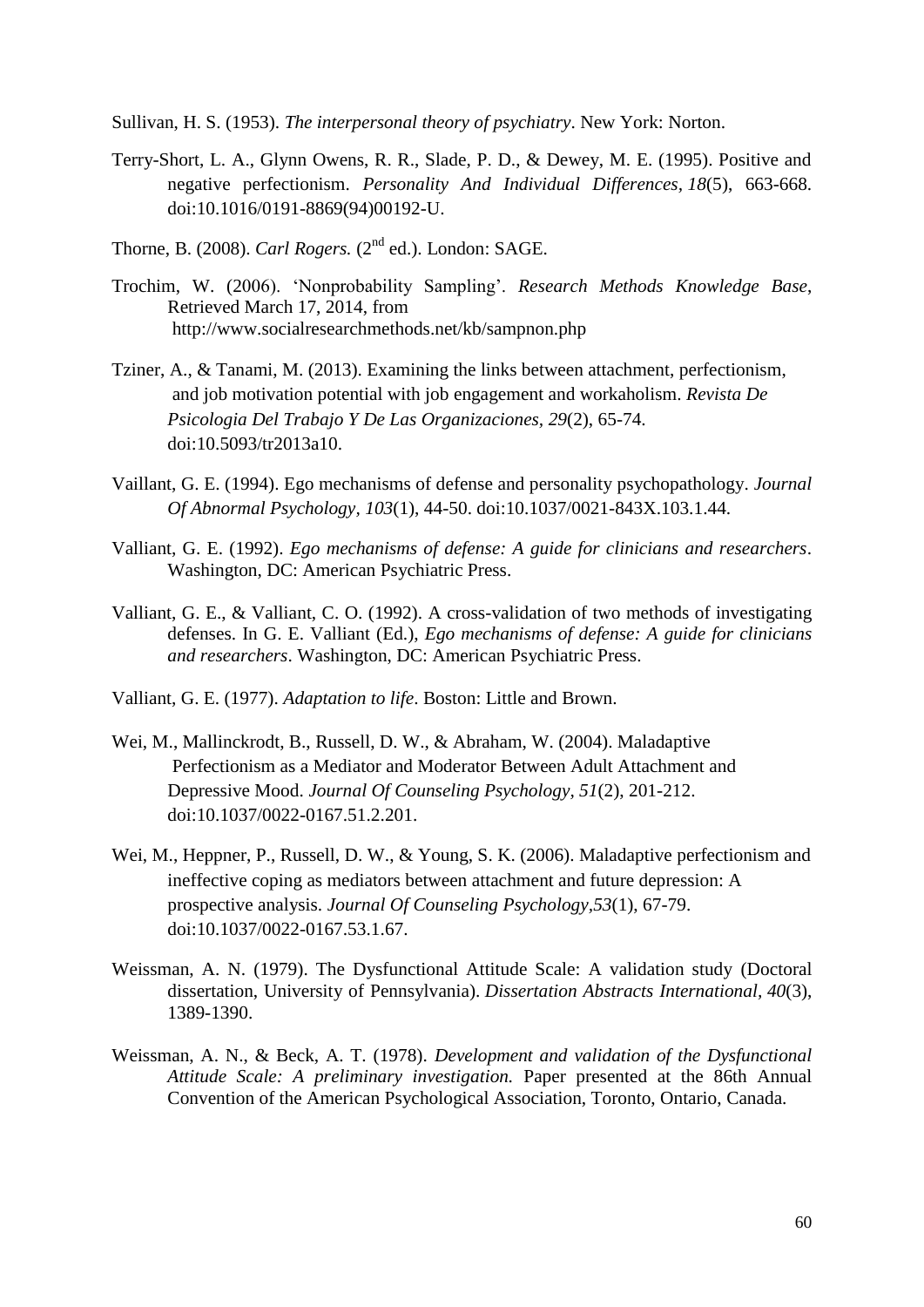Sullivan, H. S. (1953). *The interpersonal theory of psychiatry*. New York: Norton.

- Terry-Short, L. A., Glynn Owens, R. R., Slade, P. D., & Dewey, M. E. (1995). Positive and negative perfectionism. *Personality And Individual Differences, 18*(5), 663-668. doi:10.1016/0191-8869(94)00192-U.
- Thorne, B. (2008). *Carl Rogers.* (2<sup>nd</sup> ed.). London: SAGE.
- Trochim, W. (2006). "Nonprobability Sampling". *Research Methods Knowledge Base*, Retrieved March 17, 2014, from <http://www.socialresearchmethods.net/kb/sampnon.php>
- Tziner, A., & Tanami, M. (2013). Examining the links between attachment, perfectionism, and job motivation potential with job engagement and workaholism. *Revista De Psicologia Del Trabajo Y De Las Organizaciones, 29*(2), 65-74. doi:10.5093/tr2013a10.
- Vaillant, G. E. (1994). Ego mechanisms of defense and personality psychopathology. *Journal Of Abnormal Psychology, 103*(1), 44-50. doi:10.1037/0021-843X.103.1.44.
- Valliant, G. E. (1992). *Ego mechanisms of defense: A guide for clinicians and researchers*. Washington, DC: American Psychiatric Press.
- Valliant, G. E., & Valliant, C. O. (1992). A cross-validation of two methods of investigating defenses. In G. E. Valliant (Ed.), *Ego mechanisms of defense: A guide for clinicians and researchers*. Washington, DC: American Psychiatric Press.
- Valliant, G. E. (1977). *Adaptation to life*. Boston: Little and Brown.
- Wei, M., Mallinckrodt, B., Russell, D. W., & Abraham, W. (2004). Maladaptive Perfectionism as a Mediator and Moderator Between Adult Attachment and Depressive Mood. *Journal Of Counseling Psychology, 51*(2), 201-212. doi:10.1037/0022-0167.51.2.201.
- Wei, M., Heppner, P., Russell, D. W., & Young, S. K. (2006). Maladaptive perfectionism and ineffective coping as mediators between attachment and future depression: A prospective analysis. *Journal Of Counseling Psychology,53*(1), 67-79. doi:10.1037/0022-0167.53.1.67.
- Weissman, A. N. (1979). The Dysfunctional Attitude Scale: A validation study (Doctoral dissertation, University of Pennsylvania). *Dissertation Abstracts International, 40*(3), 1389-1390.
- Weissman, A. N., & Beck, A. T. (1978). *Development and validation of the Dysfunctional Attitude Scale: A preliminary investigation.* Paper presented at the 86th Annual Convention of the American Psychological Association, Toronto, Ontario, Canada.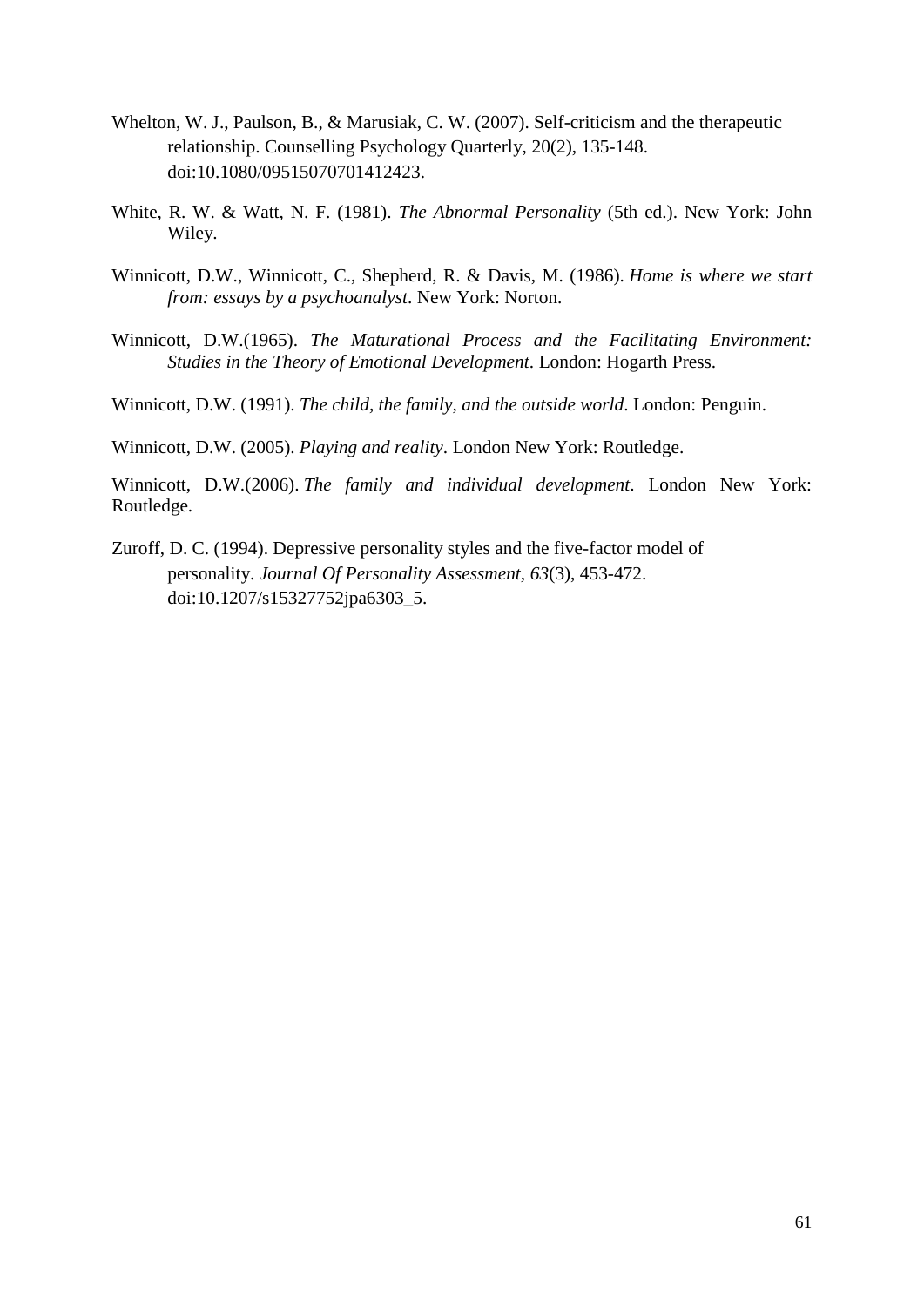- Whelton, W. J., Paulson, B., & Marusiak, C. W. (2007). Self-criticism and the therapeutic relationship. Counselling Psychology Quarterly, 20(2), 135-148. doi:10.1080/09515070701412423.
- White, R. W. & Watt, N. F. (1981). *The Abnormal Personality* (5th ed.). New York: John Wiley.
- Winnicott, D.W., Winnicott, C., Shepherd, R. & Davis, M. (1986). *Home is where we start from: essays by a psychoanalyst*. New York: Norton.
- Winnicott, D.W.(1965). *The Maturational Process and the Facilitating Environment: Studies in the Theory of Emotional Development*. London: Hogarth Press.

Winnicott, D.W. (1991). *The child, the family, and the outside world*. London: Penguin.

Winnicott, D.W. (2005). *Playing and reality*. London New York: Routledge.

Winnicott, D.W.(2006). *The family and individual development*. London New York: Routledge.

Zuroff, D. C. (1994). Depressive personality styles and the five-factor model of personality. *Journal Of Personality Assessment, 63*(3), 453-472. doi:10.1207/s15327752jpa6303\_5.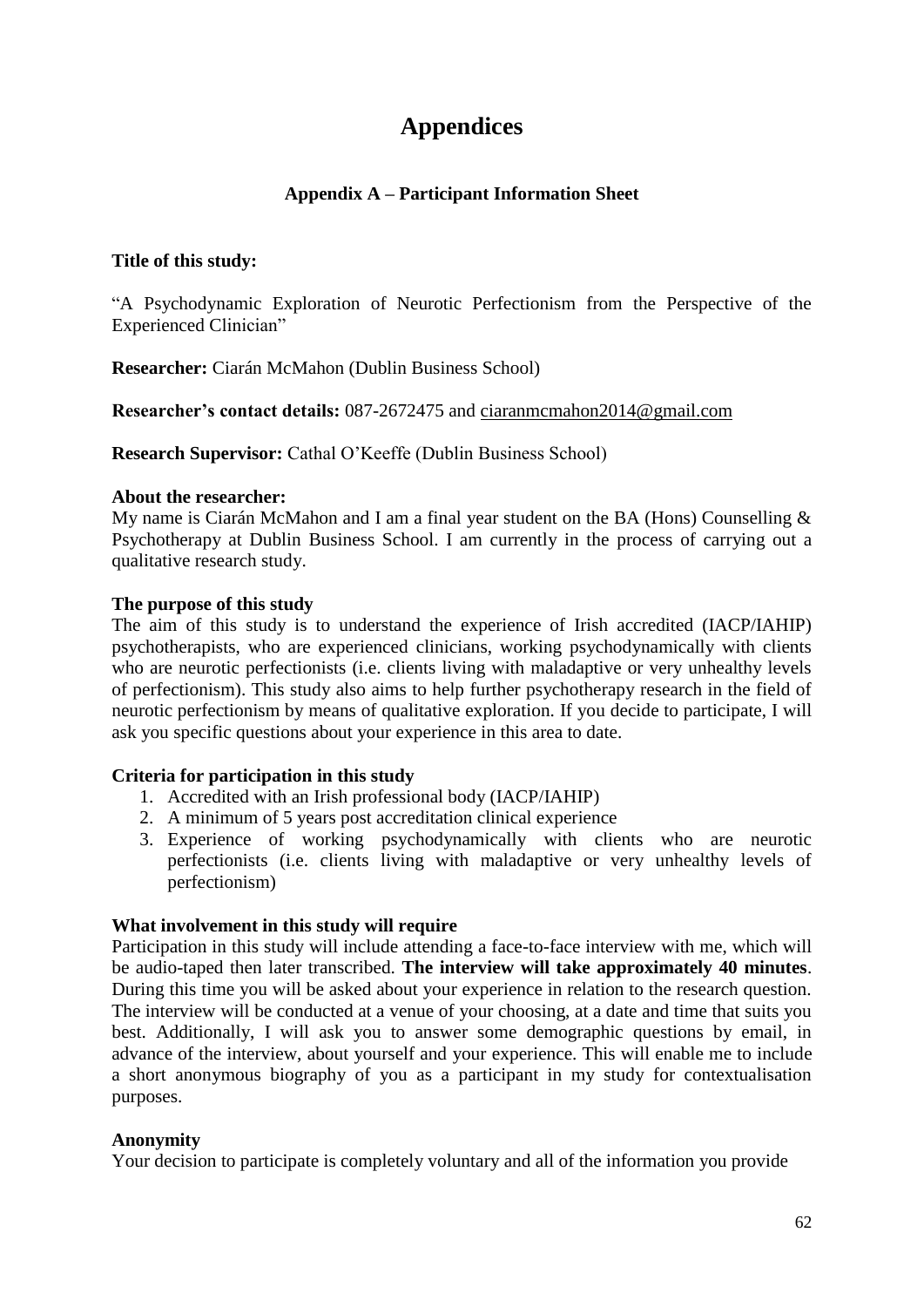# **Appendices**

# **Appendix A – Participant Information Sheet**

# **Title of this study:**

"A Psychodynamic Exploration of Neurotic Perfectionism from the Perspective of the Experienced Clinician"

**Researcher:** Ciarán McMahon (Dublin Business School)

**Researcher's contact details:** 087-2672475 and [ciaranmcmahon2014@gmail.com](mailto:ciaranmcmahon2014@gmail.com)

**Research Supervisor:** Cathal O'Keeffe (Dublin Business School)

#### **About the researcher:**

My name is Ciarán McMahon and I am a final year student on the BA (Hons) Counselling & Psychotherapy at Dublin Business School. I am currently in the process of carrying out a qualitative research study.

## **The purpose of this study**

The aim of this study is to understand the experience of Irish accredited (IACP/IAHIP) psychotherapists, who are experienced clinicians, working psychodynamically with clients who are neurotic perfectionists (i.e. clients living with maladaptive or very unhealthy levels of perfectionism). This study also aims to help further psychotherapy research in the field of neurotic perfectionism by means of qualitative exploration. If you decide to participate, I will ask you specific questions about your experience in this area to date.

# **Criteria for participation in this study**

- 1. Accredited with an Irish professional body (IACP/IAHIP)
- 2. A minimum of 5 years post accreditation clinical experience
- 3. Experience of working psychodynamically with clients who are neurotic perfectionists (i.e. clients living with maladaptive or very unhealthy levels of perfectionism)

#### **What involvement in this study will require**

Participation in this study will include attending a face-to-face interview with me, which will be audio-taped then later transcribed. **The interview will take approximately 40 minutes**. During this time you will be asked about your experience in relation to the research question. The interview will be conducted at a venue of your choosing, at a date and time that suits you best. Additionally, I will ask you to answer some demographic questions by email, in advance of the interview, about yourself and your experience. This will enable me to include a short anonymous biography of you as a participant in my study for contextualisation purposes.

# **Anonymity**

Your decision to participate is completely voluntary and all of the information you provide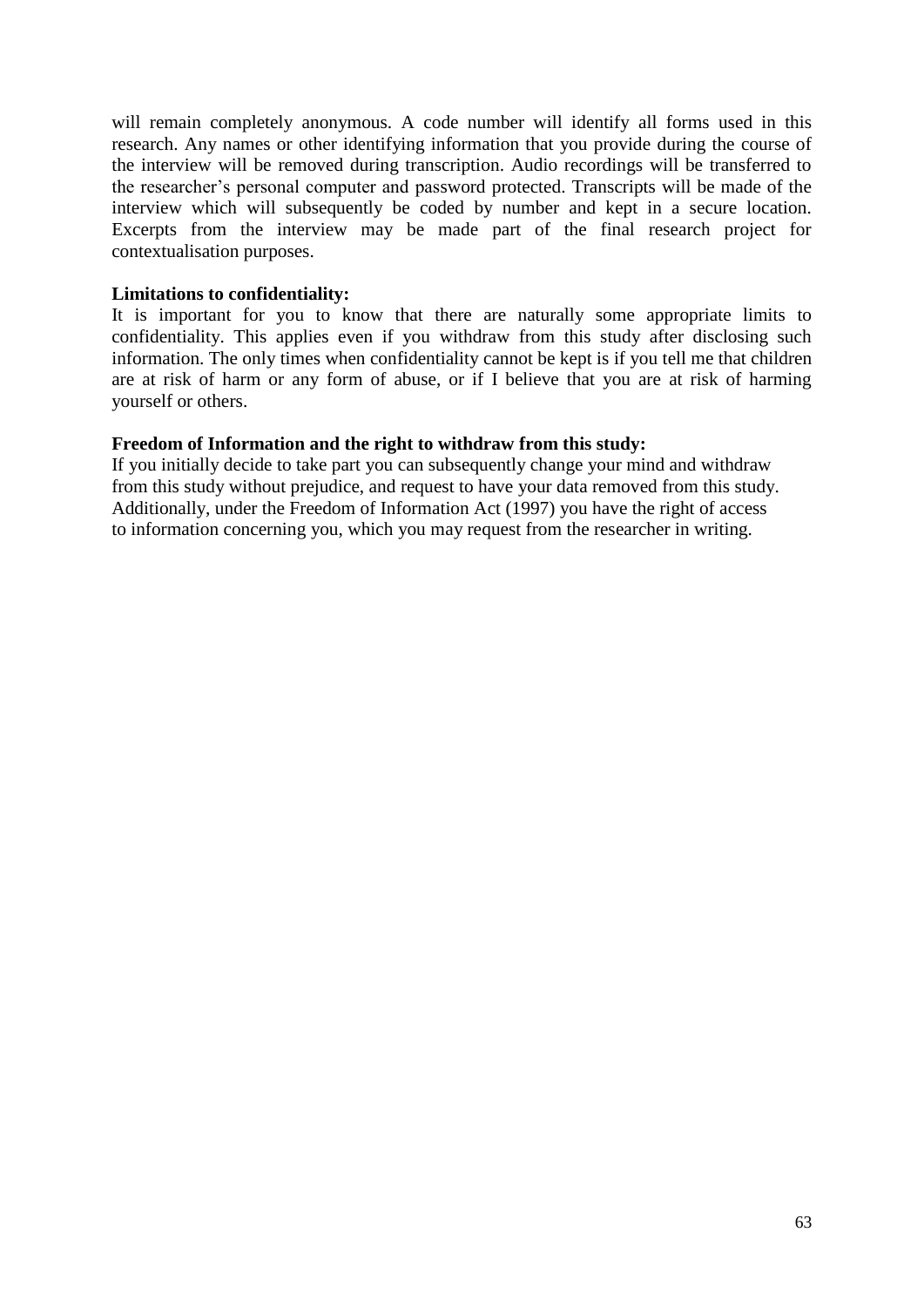will remain completely anonymous. A code number will identify all forms used in this research. Any names or other identifying information that you provide during the course of the interview will be removed during transcription. Audio recordings will be transferred to the researcher"s personal computer and password protected. Transcripts will be made of the interview which will subsequently be coded by number and kept in a secure location. Excerpts from the interview may be made part of the final research project for contextualisation purposes.

## **Limitations to confidentiality:**

It is important for you to know that there are naturally some appropriate limits to confidentiality. This applies even if you withdraw from this study after disclosing such information. The only times when confidentiality cannot be kept is if you tell me that children are at risk of harm or any form of abuse, or if I believe that you are at risk of harming yourself or others.

# **Freedom of Information and the right to withdraw from this study:**

If you initially decide to take part you can subsequently change your mind and withdraw from this study without prejudice, and request to have your data removed from this study. Additionally, under the Freedom of Information Act (1997) you have the right of access to information concerning you, which you may request from the researcher in writing.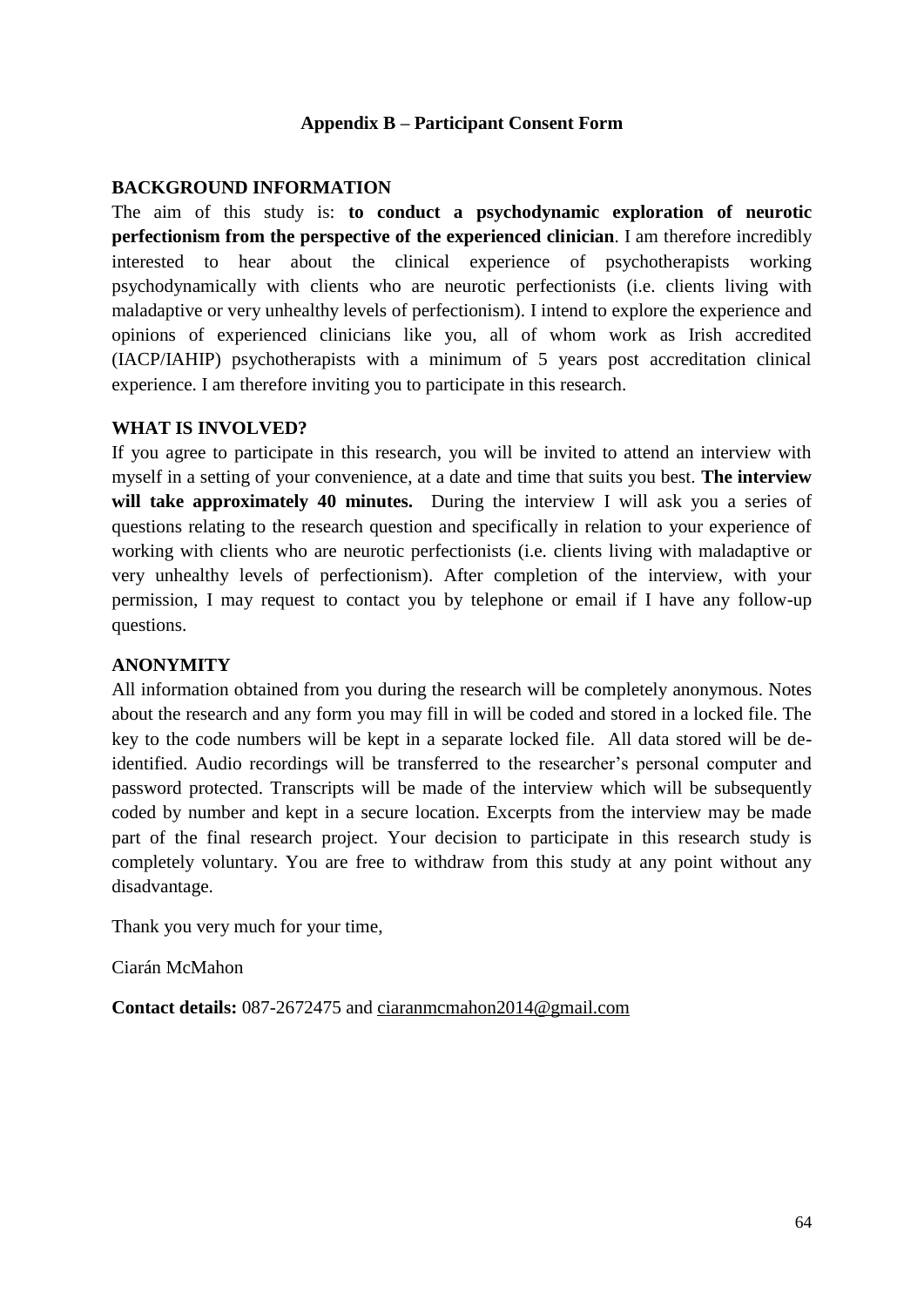# **Appendix B – Participant Consent Form**

#### **BACKGROUND INFORMATION**

The aim of this study is: **to conduct a psychodynamic exploration of neurotic perfectionism from the perspective of the experienced clinician**. I am therefore incredibly interested to hear about the clinical experience of psychotherapists working psychodynamically with clients who are neurotic perfectionists (i.e. clients living with maladaptive or very unhealthy levels of perfectionism). I intend to explore the experience and opinions of experienced clinicians like you, all of whom work as Irish accredited (IACP/IAHIP) psychotherapists with a minimum of 5 years post accreditation clinical experience. I am therefore inviting you to participate in this research.

#### **WHAT IS INVOLVED?**

If you agree to participate in this research, you will be invited to attend an interview with myself in a setting of your convenience, at a date and time that suits you best. **The interview**  will take approximately 40 minutes. During the interview I will ask you a series of questions relating to the research question and specifically in relation to your experience of working with clients who are neurotic perfectionists (i.e. clients living with maladaptive or very unhealthy levels of perfectionism). After completion of the interview, with your permission, I may request to contact you by telephone or email if I have any follow-up questions.

#### **ANONYMITY**

All information obtained from you during the research will be completely anonymous. Notes about the research and any form you may fill in will be coded and stored in a locked file. The key to the code numbers will be kept in a separate locked file. All data stored will be deidentified. Audio recordings will be transferred to the researcher"s personal computer and password protected. Transcripts will be made of the interview which will be subsequently coded by number and kept in a secure location. Excerpts from the interview may be made part of the final research project. Your decision to participate in this research study is completely voluntary. You are free to withdraw from this study at any point without any disadvantage.

Thank you very much for your time,

Ciarán McMahon

**Contact details:** 087-2672475 and [ciaranmcmahon2014@gmail.com](mailto:ciaranmcmahon2014@gmail.com)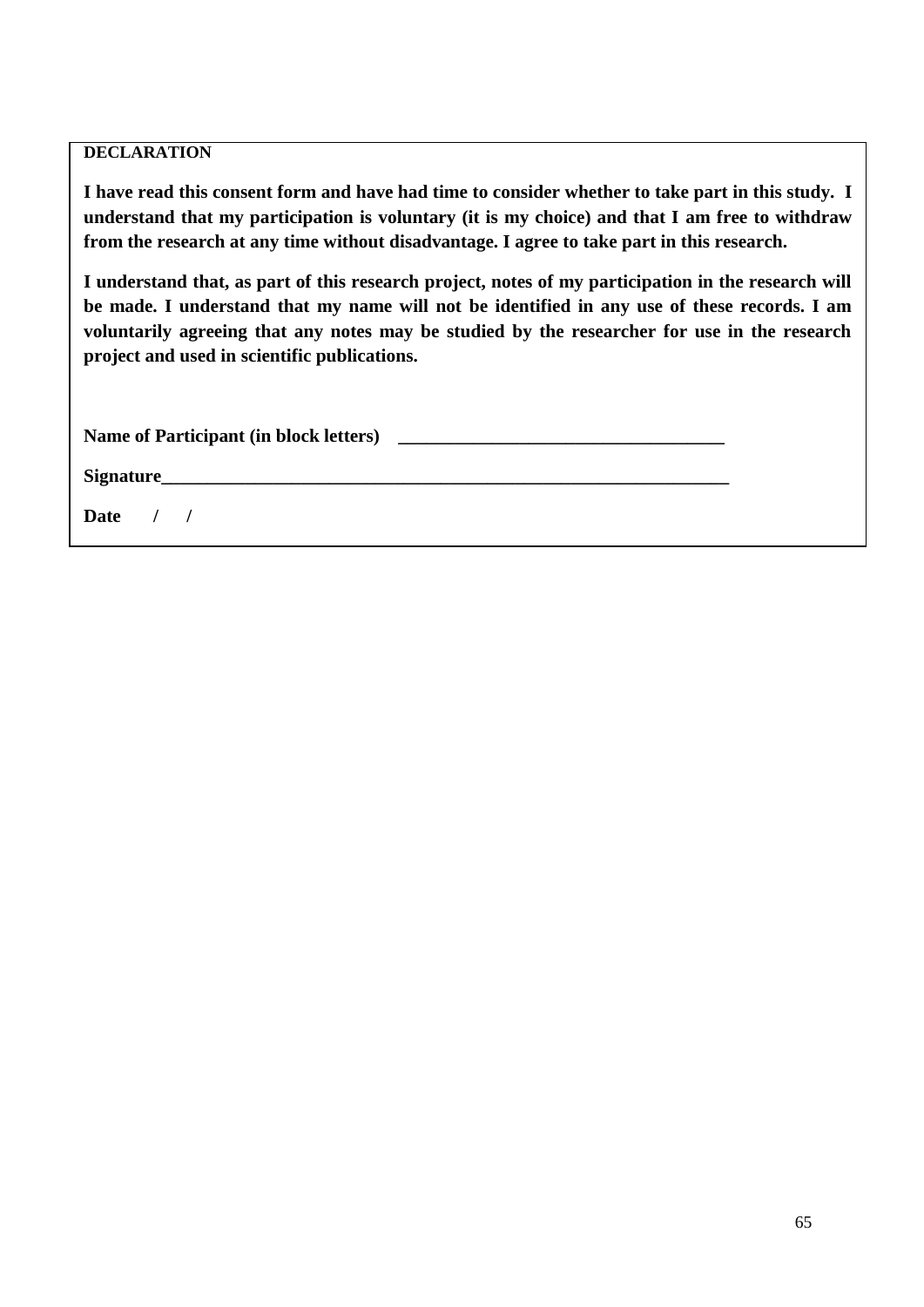# **DECLARATION**

**I have read this consent form and have had time to consider whether to take part in this study. I understand that my participation is voluntary (it is my choice) and that I am free to withdraw from the research at any time without disadvantage. I agree to take part in this research.**

**I understand that, as part of this research project, notes of my participation in the research will be made. I understand that my name will not be identified in any use of these records. I am voluntarily agreeing that any notes may be studied by the researcher for use in the research project and used in scientific publications.**

**Signature\_\_\_\_\_\_\_\_\_\_\_\_\_\_\_\_\_\_\_\_\_\_\_\_\_\_\_\_\_\_\_\_\_\_\_\_\_\_\_\_\_\_\_\_\_\_\_\_\_\_\_\_\_\_\_\_\_\_\_\_\_**

**Date / /**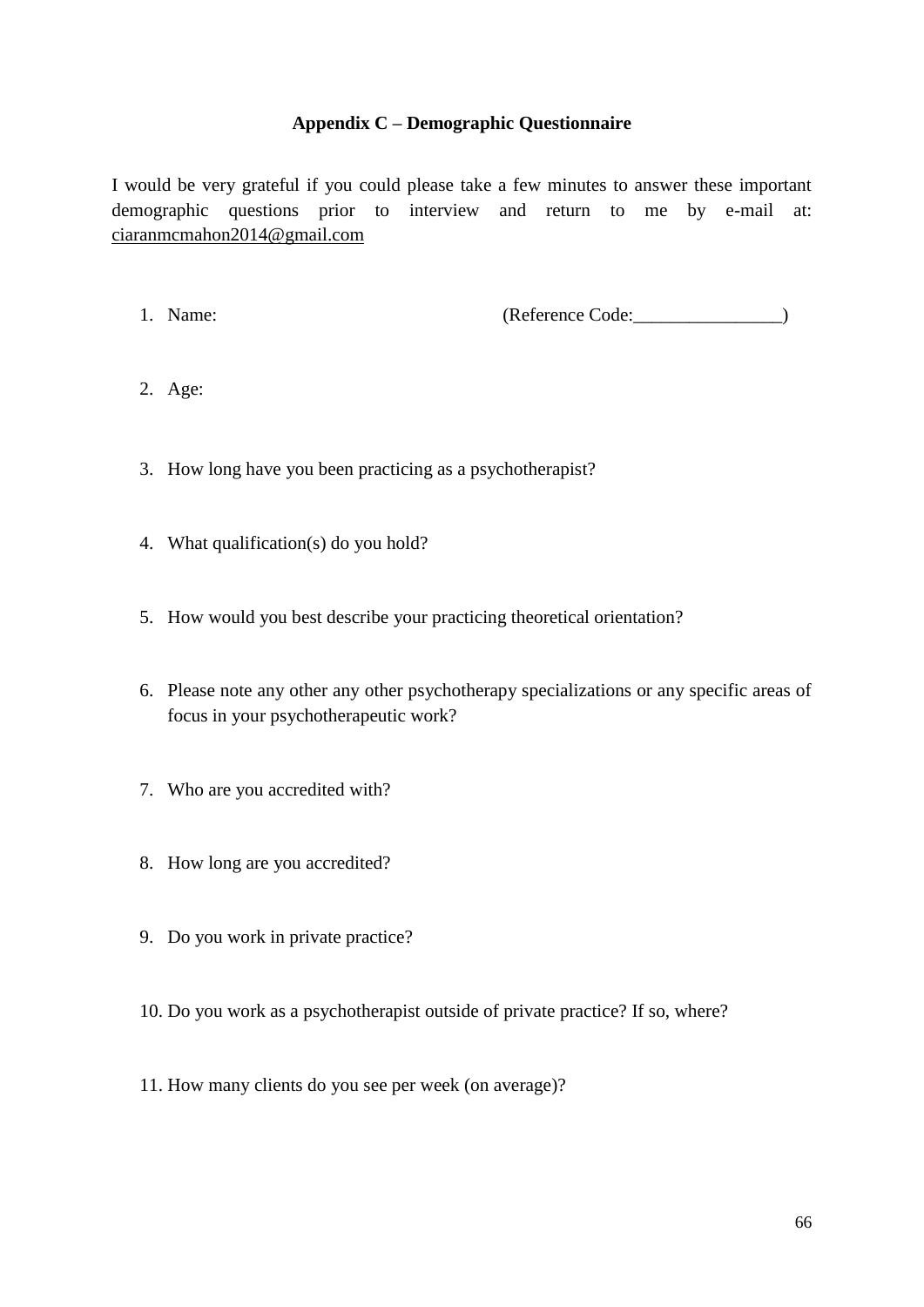# **Appendix C – Demographic Questionnaire**

I would be very grateful if you could please take a few minutes to answer these important demographic questions prior to interview and return to me by e-mail at: [ciaranmcmahon2014@gmail.com](mailto:ciaranmcmahon2014@gmail.com)

1. Name: (Reference Code: )

- 2. Age:
- 3. How long have you been practicing as a psychotherapist?
- 4. What qualification(s) do you hold?
- 5. How would you best describe your practicing theoretical orientation?
- 6. Please note any other any other psychotherapy specializations or any specific areas of focus in your psychotherapeutic work?
- 7. Who are you accredited with?
- 8. How long are you accredited?
- 9. Do you work in private practice?
- 10. Do you work as a psychotherapist outside of private practice? If so, where?
- 11. How many clients do you see per week (on average)?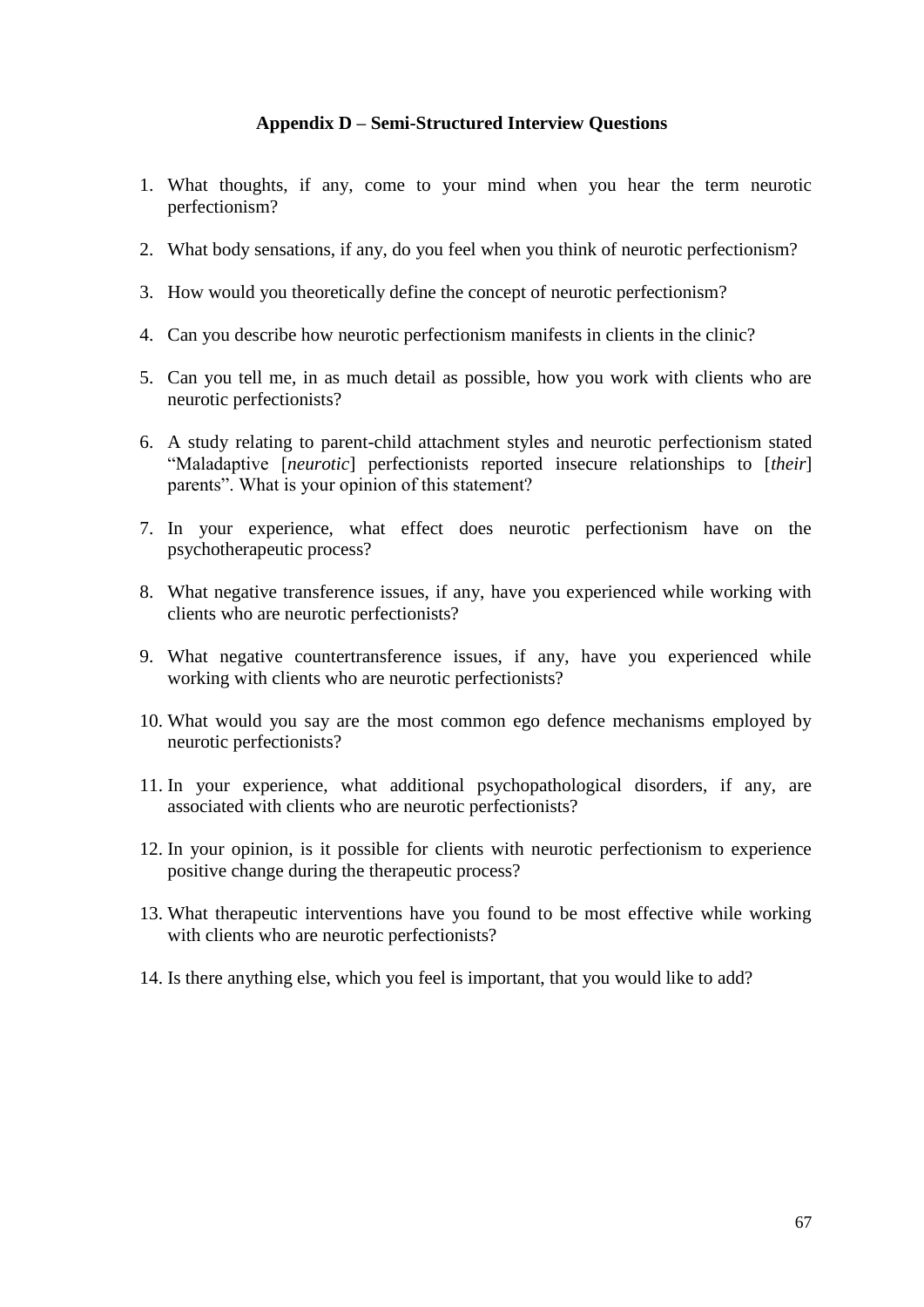## **Appendix D – Semi-Structured Interview Questions**

- 1. What thoughts, if any, come to your mind when you hear the term neurotic perfectionism?
- 2. What body sensations, if any, do you feel when you think of neurotic perfectionism?
- 3. How would you theoretically define the concept of neurotic perfectionism?
- 4. Can you describe how neurotic perfectionism manifests in clients in the clinic?
- 5. Can you tell me, in as much detail as possible, how you work with clients who are neurotic perfectionists?
- 6. A study relating to parent-child attachment styles and neurotic perfectionism stated "Maladaptive [*neurotic*] perfectionists reported insecure relationships to [*their*] parents". What is your opinion of this statement?
- 7. In your experience, what effect does neurotic perfectionism have on the psychotherapeutic process?
- 8. What negative transference issues, if any, have you experienced while working with clients who are neurotic perfectionists?
- 9. What negative countertransference issues, if any, have you experienced while working with clients who are neurotic perfectionists?
- 10. What would you say are the most common ego defence mechanisms employed by neurotic perfectionists?
- 11. In your experience, what additional psychopathological disorders, if any, are associated with clients who are neurotic perfectionists?
- 12. In your opinion, is it possible for clients with neurotic perfectionism to experience positive change during the therapeutic process?
- 13. What therapeutic interventions have you found to be most effective while working with clients who are neurotic perfectionists?
- 14. Is there anything else, which you feel is important, that you would like to add?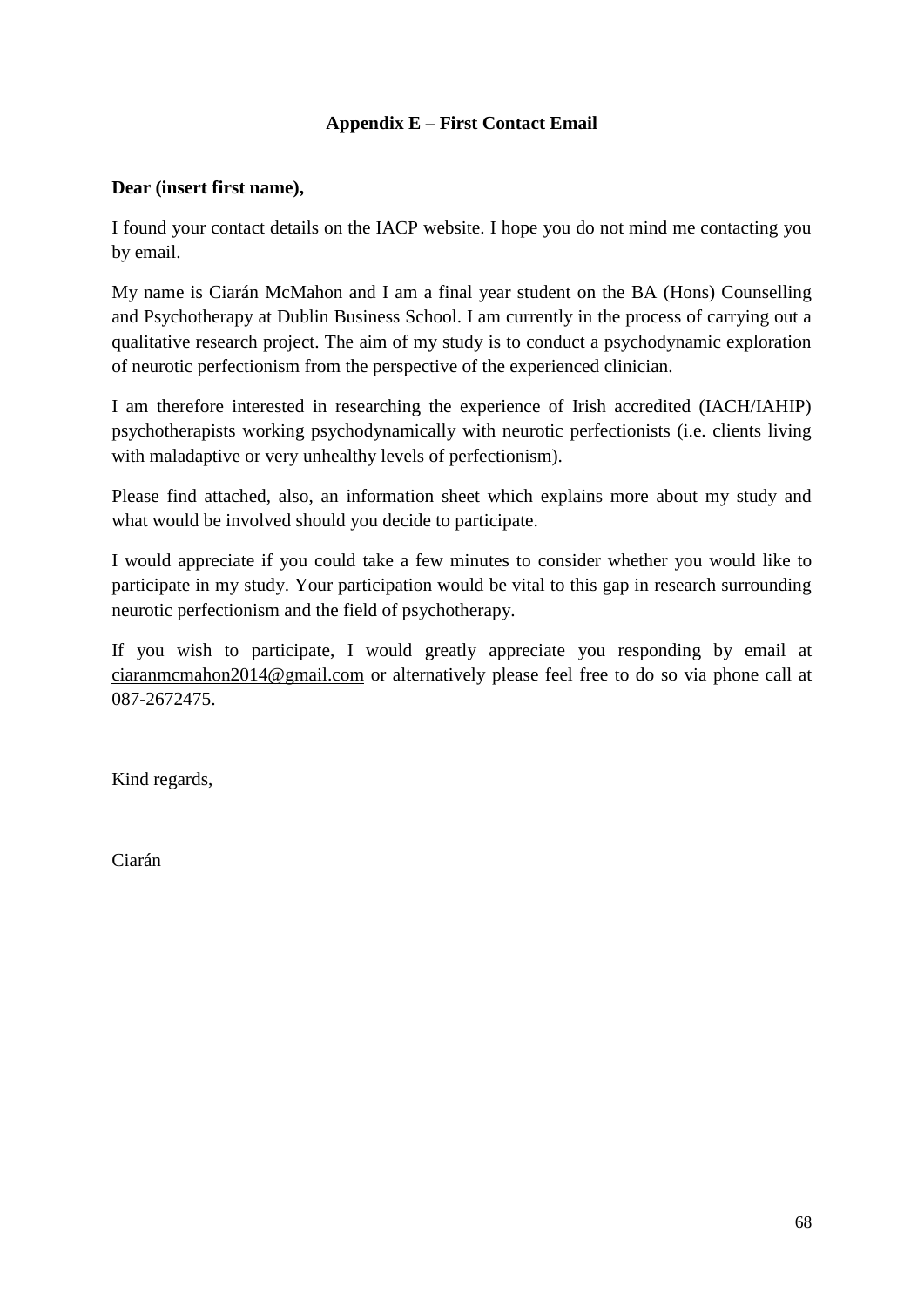## **Appendix E – First Contact Email**

## **Dear (insert first name),**

I found your contact details on the IACP website. I hope you do not mind me contacting you by email.

My name is Ciarán McMahon and I am a final year student on the BA (Hons) Counselling and Psychotherapy at Dublin Business School. I am currently in the process of carrying out a qualitative research project. The aim of my study is to conduct a psychodynamic exploration of neurotic perfectionism from the perspective of the experienced clinician.

I am therefore interested in researching the experience of Irish accredited (IACH/IAHIP) psychotherapists working psychodynamically with neurotic perfectionists (i.e. clients living with maladaptive or very unhealthy levels of perfectionism).

Please find attached, also, an information sheet which explains more about my study and what would be involved should you decide to participate.

I would appreciate if you could take a few minutes to consider whether you would like to participate in my study. Your participation would be vital to this gap in research surrounding neurotic perfectionism and the field of psychotherapy.

If you wish to participate, I would greatly appreciate you responding by email at [ciaranmcmahon2014@gmail.com](mailto:ciaranmcmahon2014@gmail.com) or alternatively please feel free to do so via phone call at 087-2672475.

Kind regards,

Ciarán